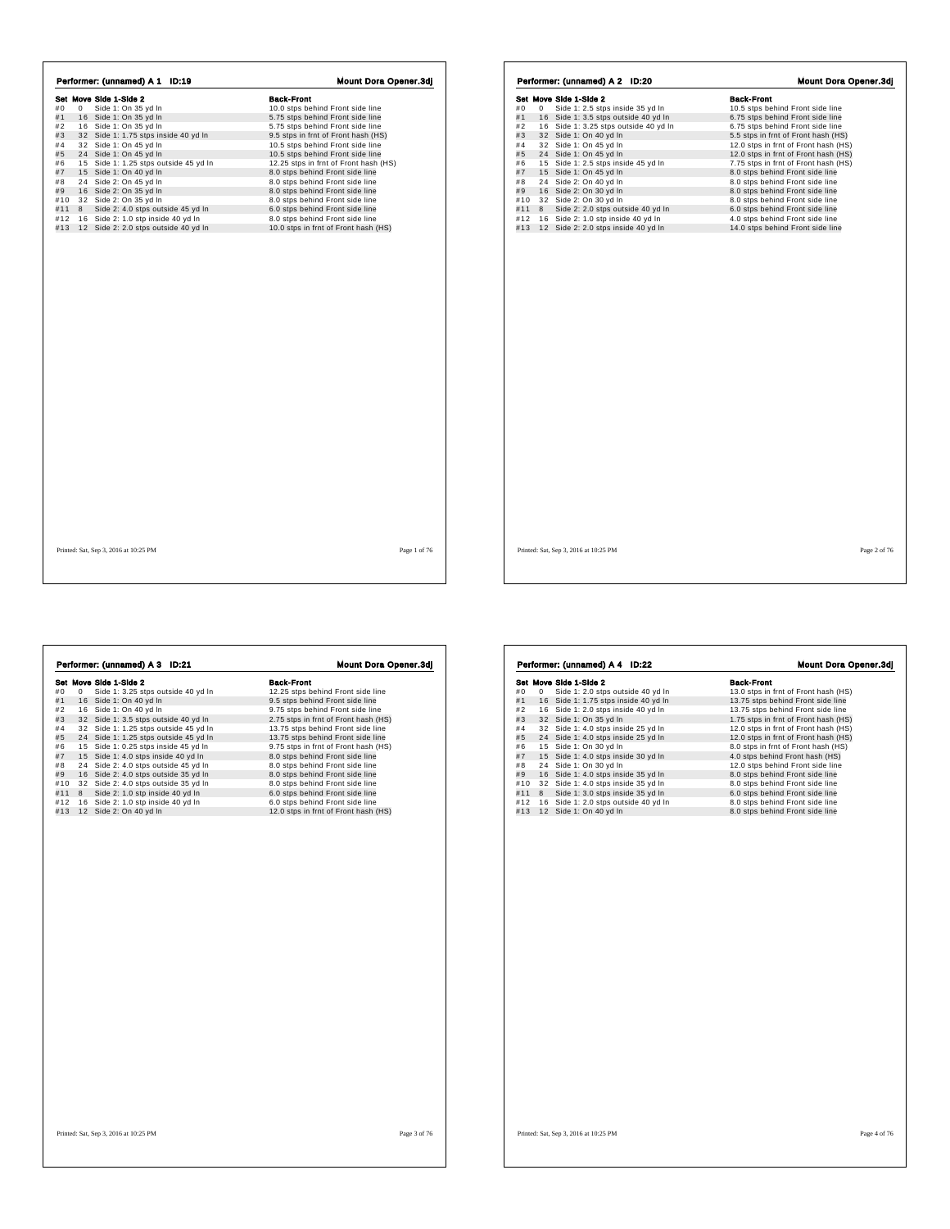|     |   | Set Move Side 1-Side 2                | <b>Back-Front</b>                     |
|-----|---|---------------------------------------|---------------------------------------|
| #0  | 0 | Side 1: On 35 yd In                   | 10.0 stps behind Front side line      |
| #1  |   | 16 Side 1: On 35 yd In                | 5.75 stps behind Front side line      |
| #2  |   | 16 Side 1: On 35 yd In                | 5.75 stps behind Front side line      |
| #3  |   | 32 Side 1: 1.75 stps inside 40 yd In  | 9.5 stps in frnt of Front hash (HS)   |
| #4  |   | 32 Side 1: On 45 yd In                | 10.5 stps behind Front side line      |
| #5  |   | 24 Side 1: On 45 yd In                | 10.5 stps behind Front side line      |
| #6  |   | 15 Side 1: 1.25 stps outside 45 yd In | 12.25 stps in frnt of Front hash (HS) |
| #7  |   | 15 Side 1: On 40 yd In                | 8.0 stps behind Front side line       |
| #8  |   | 24 Side 2: On 45 yd In                | 8.0 stps behind Front side line       |
| #9  |   | 16 Side 2: On 35 yd In                | 8.0 stps behind Front side line       |
| #10 |   | 32 Side 2: On 35 yd In                | 8.0 stps behind Front side line       |
| #11 | 8 | Side 2: 4.0 stps outside 45 yd In     | 6.0 stps behind Front side line       |
| #12 |   | 16 Side 2: 1.0 stp inside 40 yd In    | 8.0 stps behind Front side line       |
| #13 |   | 12 Side 2: 2.0 stps outside 40 yd In  | 10.0 stps in frnt of Front hash (HS)  |
|     |   |                                       |                                       |
|     |   |                                       |                                       |

 $\overline{1}$ 

 $\Gamma$ 

| Performer: (unnamed) A 2 ID:20 |   |                        |                                       |  |  |  |                                      |  | Mount Dora Opener.3dj |  |  |
|--------------------------------|---|------------------------|---------------------------------------|--|--|--|--------------------------------------|--|-----------------------|--|--|
|                                |   | Set Move Side 1-Side 2 |                                       |  |  |  | <b>Back-Front</b>                    |  |                       |  |  |
| #0                             | 0 |                        | Side 1: 2.5 stps inside 35 yd In      |  |  |  | 10.5 stps behind Front side line     |  |                       |  |  |
| #1                             |   |                        | 16 Side 1: 3.5 stps outside 40 yd In  |  |  |  | 6.75 stps behind Front side line     |  |                       |  |  |
| #2                             |   |                        | 16 Side 1: 3.25 stps outside 40 yd In |  |  |  | 6.75 stps behind Front side line     |  |                       |  |  |
| #3                             |   |                        | 32 Side 1: On 40 yd In                |  |  |  | 5.5 stps in frnt of Front hash (HS)  |  |                       |  |  |
| #4                             |   |                        | 32 Side 1: On 45 vd In                |  |  |  | 12.0 stps in frnt of Front hash (HS) |  |                       |  |  |
| #5                             |   |                        | 24 Side 1: On 45 vd In                |  |  |  | 12.0 stps in frnt of Front hash (HS) |  |                       |  |  |
| #6                             |   |                        | 15 Side 1: 2.5 stps inside 45 yd In   |  |  |  | 7.75 stps in frnt of Front hash (HS) |  |                       |  |  |
| #7                             |   |                        | 15 Side 1: On 45 yd In                |  |  |  | 8.0 stps behind Front side line      |  |                       |  |  |
| #8                             |   |                        | 24 Side 2: On 40 yd In                |  |  |  | 8.0 stps behind Front side line      |  |                       |  |  |
| #9                             |   |                        | 16 Side 2: On 30 yd In                |  |  |  | 8.0 stps behind Front side line      |  |                       |  |  |
| #10                            |   |                        | 32 Side 2: On 30 yd In                |  |  |  | 8.0 stps behind Front side line      |  |                       |  |  |
| #11                            | 8 |                        | Side 2: 2.0 stps outside 40 yd In     |  |  |  | 6.0 stps behind Front side line      |  |                       |  |  |
| #12                            |   |                        | 16 Side 2: 1.0 stp inside 40 yd In    |  |  |  | 4.0 stps behind Front side line      |  |                       |  |  |
| #13                            |   |                        | 12 Side 2: 2.0 stps inside 40 yd In   |  |  |  | 14.0 stps behind Front side line     |  |                       |  |  |
|                                |   |                        |                                       |  |  |  |                                      |  |                       |  |  |
|                                |   |                        |                                       |  |  |  |                                      |  |                       |  |  |

|     |   | Set Move Side 1-Side 2                | <b>Back-Front</b>                    |
|-----|---|---------------------------------------|--------------------------------------|
| #0  | 0 | Side 1: 3.25 stps outside 40 yd In    | 12.25 stps behind Front side line    |
| #1  |   | 16 Side 1: On 40 yd In                | 9.5 stps behind Front side line      |
| #2  |   | 16 Side 1: On 40 yd In                | 9.75 stps behind Front side line     |
| #3  |   | 32 Side 1: 3.5 stps outside 40 yd In  | 2.75 stps in frnt of Front hash (HS) |
| #4  |   | 32 Side 1: 1.25 stps outside 45 yd In | 13.75 stps behind Front side line    |
| #5  |   | 24 Side 1: 1.25 stps outside 45 yd In | 13.75 stps behind Front side line    |
| #6  |   | 15 Side 1: 0.25 stps inside 45 yd In  | 9.75 stps in frnt of Front hash (HS) |
| #7  |   | 15 Side 1: 4.0 stps inside 40 yd In   | 8.0 stps behind Front side line      |
| #8  |   | 24 Side 2: 4.0 stps outside 45 yd In  | 8.0 stps behind Front side line      |
| #9  |   | 16 Side 2: 4.0 stps outside 35 yd In  | 8.0 stps behind Front side line      |
| #10 |   | 32 Side 2: 4.0 stps outside 35 yd In  | 8.0 stps behind Front side line      |
| #11 | 8 | Side 2: 1.0 stp inside 40 yd In       | 6.0 stps behind Front side line      |
| #12 |   | 16 Side 2: 1.0 stp inside 40 yd In    | 6.0 stps behind Front side line      |
| #13 |   | 12 Side 2: On 40 yd In                | 12.0 stps in frnt of Front hash (HS) |
|     |   |                                       |                                      |
|     |   |                                       |                                      |
|     |   |                                       |                                      |

|     |   | Performer: (unnamed) A 4 ID:22       | <b>Mount Dora Opener.3dj</b>         |
|-----|---|--------------------------------------|--------------------------------------|
|     |   | Set Move Side 1-Side 2               | <b>Back-Front</b>                    |
| #0  | 0 | Side 1: 2.0 stps outside 40 yd In    | 13.0 stps in frnt of Front hash (HS) |
| #1  |   | 16 Side 1: 1.75 stps inside 40 yd In | 13.75 stps behind Front side line    |
| #2  |   | 16 Side 1: 2.0 stps inside 40 yd In  | 13.75 stps behind Front side line    |
| #3  |   | 32 Side 1: On 35 vd In               | 1.75 stps in frnt of Front hash (HS) |
| #4  |   | 32 Side 1: 4.0 stps inside 25 yd In  | 12.0 stps in frnt of Front hash (HS) |
| #5  |   | 24 Side 1: 4.0 stps inside 25 yd In  | 12.0 stps in frnt of Front hash (HS) |
| #6  |   | 15 Side 1: On 30 yd In               | 8.0 stps in frnt of Front hash (HS)  |
| #7  |   | 15 Side 1: 4.0 stps inside 30 yd In  | 4.0 stps behind Front hash (HS)      |
| #8  |   | 24 Side 1: On 30 yd In               | 12.0 stps behind Front side line     |
| #9  |   | 16 Side 1: 4.0 stps inside 35 yd In  | 8.0 stps behind Front side line      |
| #10 |   | 32 Side 1: 4.0 stps inside 35 yd In  | 8.0 stps behind Front side line      |
| #11 | 8 | Side 1: 3.0 stps inside 35 yd In     | 6.0 stps behind Front side line      |
| #12 |   | 16 Side 1: 2.0 stps outside 40 yd In | 8.0 stps behind Front side line      |
| #13 |   | 12 Side 1: On 40 yd In               | 8.0 stps behind Front side line      |
|     |   |                                      |                                      |
|     |   |                                      |                                      |
|     |   |                                      |                                      |
|     |   |                                      |                                      |
|     |   |                                      |                                      |
|     |   |                                      |                                      |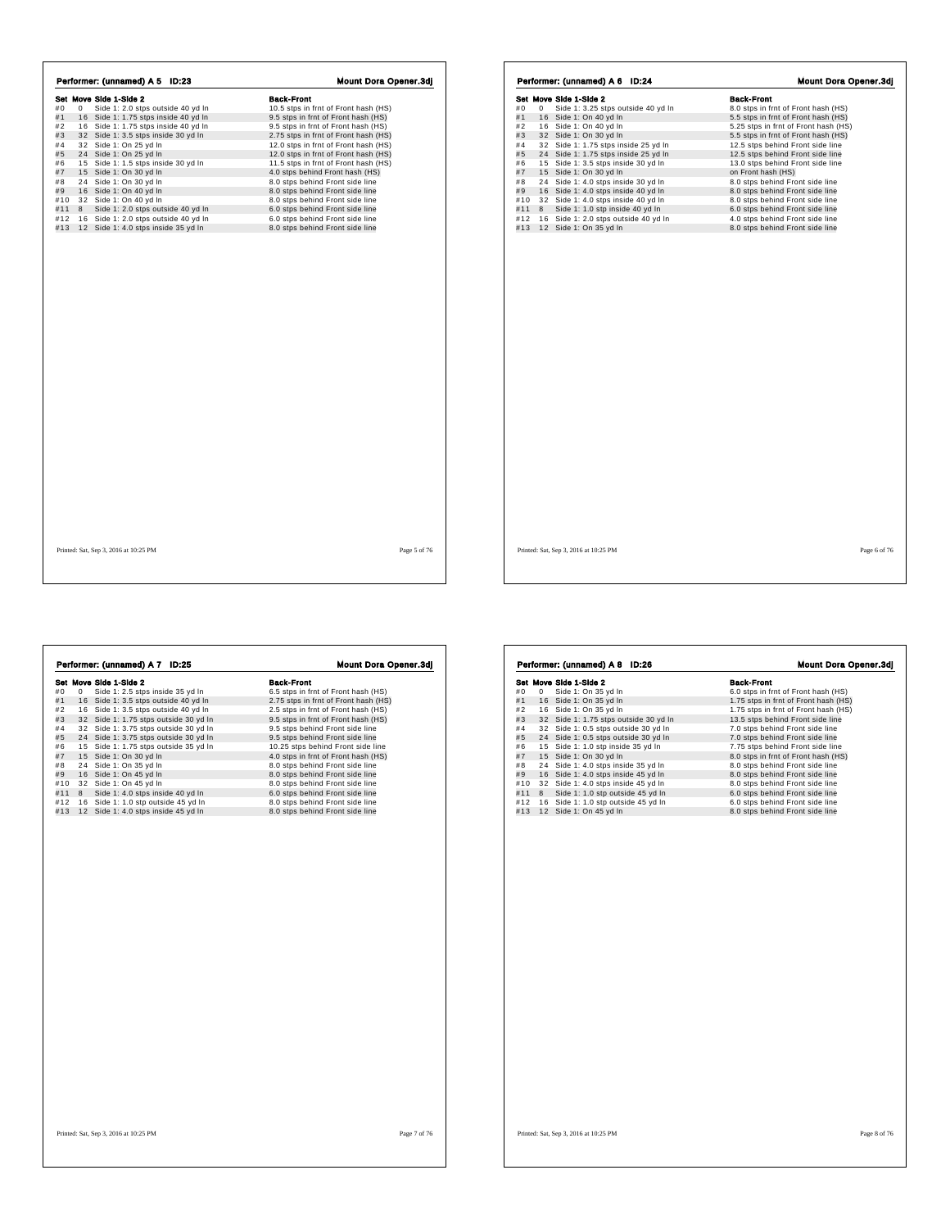|     |   | Performer: (unnamed) A 5 ID:23       | <b>Mount Dora Opener.3dj</b>         |  |
|-----|---|--------------------------------------|--------------------------------------|--|
|     |   | Set Move Side 1-Side 2               | <b>Back-Front</b>                    |  |
| #0  | 0 | Side 1: 2.0 stps outside 40 yd In    | 10.5 stps in frnt of Front hash (HS) |  |
| #1  |   | 16 Side 1: 1.75 stps inside 40 yd In | 9.5 stps in frnt of Front hash (HS)  |  |
| #2  |   | 16 Side 1: 1.75 stps inside 40 yd In | 9.5 stps in frnt of Front hash (HS)  |  |
| #3  |   | 32 Side 1: 3.5 stps inside 30 yd In  | 2.75 stps in frnt of Front hash (HS) |  |
| #4  |   | 32 Side 1: On 25 yd In               | 12.0 stps in frnt of Front hash (HS) |  |
| #5  |   | 24 Side 1: On 25 vd In               | 12.0 stps in frnt of Front hash (HS) |  |
| #6  |   | 15 Side 1: 1.5 stps inside 30 yd In  | 11.5 stps in frnt of Front hash (HS) |  |
| #7  |   | 15 Side 1: On 30 yd In               | 4.0 stps behind Front hash (HS)      |  |
| #8  |   | 24 Side 1: On 30 yd In               | 8.0 stps behind Front side line      |  |
| #9  |   | 16 Side 1: On 40 yd In               | 8.0 stps behind Front side line      |  |
| #10 |   | 32 Side 1: On 40 yd In               | 8.0 stps behind Front side line      |  |
| #11 | 8 | Side 1: 2.0 stps outside 40 yd In    | 6.0 stps behind Front side line      |  |
| #12 |   | 16 Side 1: 2.0 stps outside 40 yd In | 6.0 stps behind Front side line      |  |
| #13 |   | 12 Side 1: 4.0 stps inside 35 yd In  | 8.0 stps behind Front side line      |  |
|     |   |                                      |                                      |  |
|     |   |                                      |                                      |  |

|     |   | Set Move Side 1-Side 2               | <b>Back-Front</b>                    |
|-----|---|--------------------------------------|--------------------------------------|
| #0  | 0 | Side 1: 3.25 stps outside 40 yd In   | 8.0 stps in frnt of Front hash (HS)  |
| #1  |   | 16 Side 1: On 40 yd In               | 5.5 stps in frnt of Front hash (HS)  |
| #2  |   | 16 Side 1: On 40 yd In               | 5.25 stps in frnt of Front hash (HS) |
| #3  |   | 32 Side 1: On 30 yd In               | 5.5 stps in frnt of Front hash (HS)  |
| #4  |   | 32 Side 1: 1.75 stps inside 25 yd In | 12.5 stps behind Front side line     |
| #5  |   | 24 Side 1: 1.75 stps inside 25 yd In | 12.5 stps behind Front side line     |
| #6  |   | 15 Side 1: 3.5 stps inside 30 yd In  | 13.0 stps behind Front side line     |
| #7  |   | 15 Side 1: On 30 yd In               | on Front hash (HS)                   |
| #8  |   | 24 Side 1: 4.0 stps inside 30 yd In  | 8.0 stps behind Front side line      |
| #9  |   | 16 Side 1: 4.0 stps inside 40 yd In  | 8.0 stps behind Front side line      |
| #10 |   | 32 Side 1: 4.0 stps inside 40 yd In  | 8.0 stps behind Front side line      |
| #11 | 8 | Side 1: 1.0 stp inside 40 yd In      | 6.0 stps behind Front side line      |
| #12 |   | 16 Side 1: 2.0 stps outside 40 yd In | 4.0 stps behind Front side line      |
| #13 |   | 12 Side 1: On 35 yd In               | 8.0 stps behind Front side line      |
|     |   |                                      |                                      |
|     |   |                                      |                                      |
|     |   |                                      |                                      |

|     |    | Performer: (unnamed) A 7<br><b>ID:25</b> | <b>Mount Dora Opener.3dj</b>         |
|-----|----|------------------------------------------|--------------------------------------|
|     |    | Set Move Side 1-Side 2                   | <b>Back-Front</b>                    |
| #0  | 0  | Side 1: 2.5 stps inside 35 yd In         | 6.5 stps in frnt of Front hash (HS)  |
| #1  | 16 | Side 1: 3.5 stps outside 40 yd In        | 2.75 stps in frnt of Front hash (HS) |
| #2  |    | 16 Side 1: 3.5 stps outside 40 yd In     | 2.5 stps in frnt of Front hash (HS)  |
| #3  |    | 32 Side 1: 1.75 stps outside 30 yd In    | 9.5 stps in frnt of Front hash (HS)  |
| #4  |    | 32 Side 1: 3.75 stps outside 30 yd In    | 9.5 stps behind Front side line      |
| #5  |    | 24 Side 1: 3.75 stps outside 30 yd In    | 9.5 stps behind Front side line      |
| #6  |    | 15 Side 1: 1.75 stps outside 35 yd In    | 10.25 stps behind Front side line    |
| #7  | 15 | Side 1: On 30 yd In                      | 4.0 stps in frnt of Front hash (HS)  |
| #8  | 24 | Side 1: On 35 yd In                      | 8.0 stps behind Front side line      |
| #9  |    | 16 Side 1: On 45 yd In                   | 8.0 stps behind Front side line      |
| #10 |    | 32 Side 1: On 45 yd In                   | 8.0 stps behind Front side line      |
| #11 | 8  | Side 1: 4.0 stps inside 40 yd In         | 6.0 stps behind Front side line      |
| #12 |    | 16 Side 1: 1.0 stp outside 45 yd In      | 8.0 stps behind Front side line      |
| #13 |    | 12 Side 1: 4.0 stps inside 45 yd In      | 8.0 stps behind Front side line      |
|     |    |                                          |                                      |
|     |    |                                          |                                      |
|     |    | Printed: Sat, Sep 3, 2016 at 10:25 PM    | Page 7 of 76                         |

|     |   | Set Move Side 1-Side 2                | <b>Back-Front</b>                    |
|-----|---|---------------------------------------|--------------------------------------|
| #0  | 0 | Side 1: On 35 yd In                   | 6.0 stps in frnt of Front hash (HS)  |
| #1  |   | 16 Side 1: On 35 yd In                | 1.75 stps in frnt of Front hash (HS) |
| #2  |   | 16 Side 1: On 35 yd In                | 1.75 stps in frnt of Front hash (HS) |
| #3  |   | 32 Side 1: 1.75 stps outside 30 yd In | 13.5 stps behind Front side line     |
| #4  |   | 32 Side 1: 0.5 stps outside 30 yd In  | 7.0 stps behind Front side line      |
| #5  |   | 24 Side 1: 0.5 stps outside 30 yd In  | 7.0 stps behind Front side line      |
| #6  |   | 15 Side 1: 1.0 stp inside 35 yd In    | 7.75 stps behind Front side line     |
| #7  |   | 15 Side 1: On 30 yd In                | 8.0 stps in frnt of Front hash (HS)  |
| #8  |   | 24 Side 1: 4.0 stps inside 35 yd In   | 8.0 stps behind Front side line      |
| #9  |   | 16 Side 1: 4.0 stps inside 45 yd In   | 8.0 stps behind Front side line      |
| #10 |   | 32 Side 1: 4.0 stps inside 45 yd In   | 8.0 stps behind Front side line      |
| #11 | 8 | Side 1: 1.0 stp outside 45 yd In      | 6.0 stps behind Front side line      |
| #12 |   | 16 Side 1: 1.0 stp outside 45 yd In   | 6.0 stps behind Front side line      |
| #13 |   | 12 Side 1: On 45 yd In                | 8.0 stps behind Front side line      |
|     |   |                                       |                                      |
|     |   |                                       |                                      |
|     |   |                                       |                                      |
|     |   |                                       |                                      |
|     |   |                                       |                                      |
|     |   |                                       |                                      |
|     |   |                                       |                                      |
|     |   |                                       |                                      |

 $\Gamma$ 

٦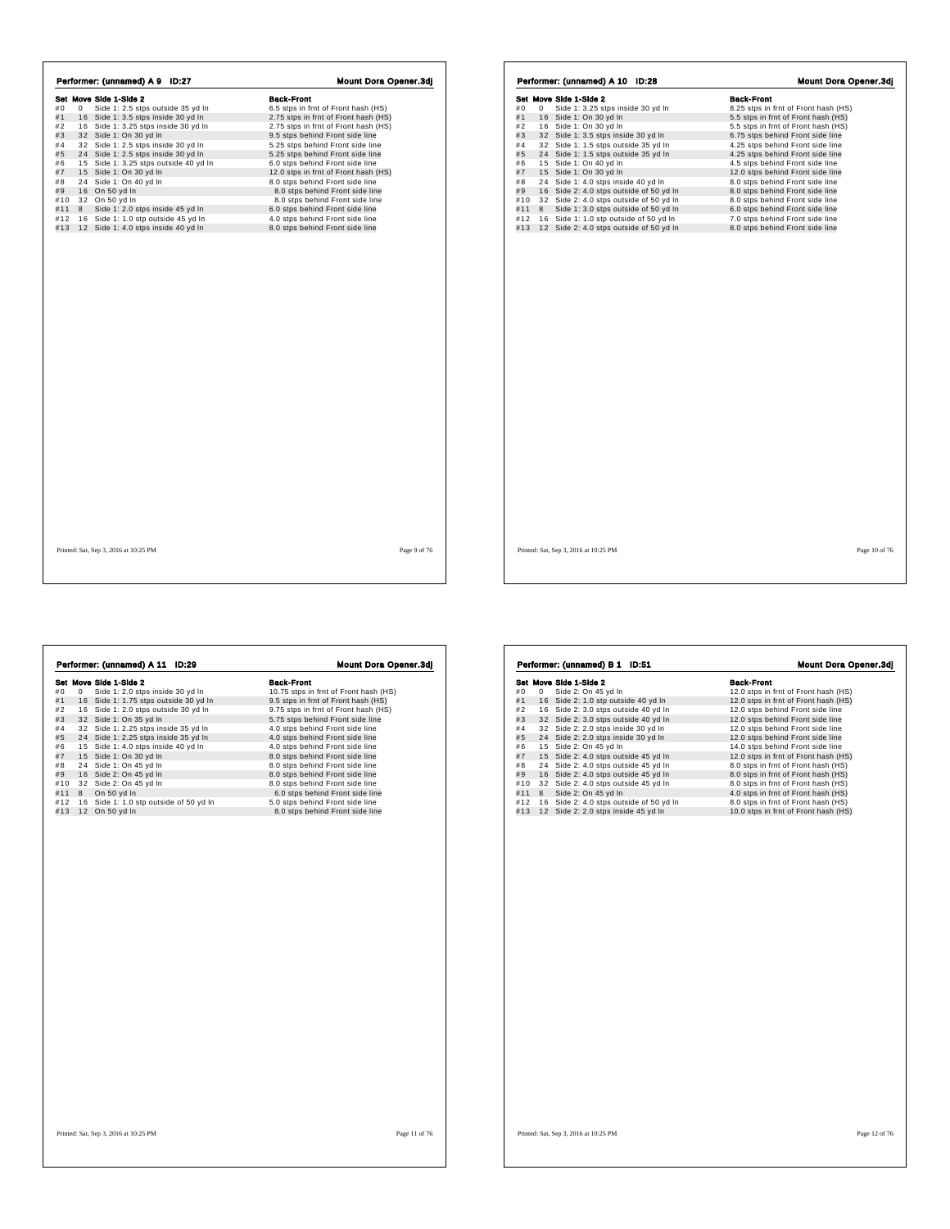|     |   | Performer: (unnamed) A 9 ID:27        | <b>Mount Dora Opener.3dj</b>         |
|-----|---|---------------------------------------|--------------------------------------|
|     |   | Set Move Side 1-Side 2                | <b>Back-Front</b>                    |
| #0  | 0 | Side 1: 2.5 stps outside 35 yd In     | 6.5 stps in frnt of Front hash (HS)  |
| #1  |   | 16 Side 1: 3.5 stps inside 30 yd In   | 2.75 stps in frnt of Front hash (HS) |
| #2  |   | 16 Side 1: 3.25 stps inside 30 yd In  | 2.75 stps in frnt of Front hash (HS) |
| #3  |   | 32 Side 1: On 30 yd In                | 9.5 stps behind Front side line      |
| #4  |   | 32 Side 1: 2.5 stps inside 30 yd In   | 5.25 stps behind Front side line     |
| #5  |   | 24 Side 1: 2.5 stps inside 30 yd In   | 5.25 stps behind Front side line     |
| #6  |   | 15 Side 1: 3.25 stps outside 40 yd In | 6.0 stps behind Front side line      |
| #7  |   | 15 Side 1: On 30 yd In                | 12.0 stps in frnt of Front hash (HS) |
| #8  |   | 24 Side 1: On 40 yd In                | 8.0 stps behind Front side line      |
| #9  |   | 16 On 50 yd In                        | 8.0 stps behind Front side line      |
| #10 |   | 32 On 50 yd In                        | 8.0 stps behind Front side line      |
| #11 | 8 | Side 1: 2.0 stps inside 45 yd In      | 6.0 stps behind Front side line      |
| #12 |   | 16 Side 1: 1.0 stp outside 45 yd In   | 4.0 stps behind Front side line      |
| #13 |   | 12 Side 1: 4.0 stps inside 40 yd In   | 8.0 stps behind Front side line      |
|     |   |                                       |                                      |
|     |   |                                       |                                      |

|            |   | Set Move Side 1-Side 2                  | <b>Back-Front</b>                    |
|------------|---|-----------------------------------------|--------------------------------------|
| #0         | 0 | Side 1: 3.25 stps inside 30 yd In       | 8.25 stps in frnt of Front hash (HS) |
| #1         |   | 16 Side 1: On 30 yd In                  | 5.5 stps in frnt of Front hash (HS)  |
| #2         |   | 16 Side 1: On 30 yd In                  | 5.5 stps in frnt of Front hash (HS)  |
| #3         |   | 32 Side 1: 3.5 stps inside 30 yd In     | 6.75 stps behind Front side line     |
| #4         |   | 32 Side 1: 1.5 stps outside 35 yd In    | 4.25 stps behind Front side line     |
| #5         |   | 24 Side 1: 1.5 stps outside 35 vd In    | 4.25 stps behind Front side line     |
| #6         |   | 15 Side 1: On 40 yd In                  | 4.5 stps behind Front side line      |
| #7         |   | 15 Side 1: On 30 yd In                  | 12.0 stps behind Front side line     |
| #8         |   | 24 Side 1: 4.0 stps inside 40 yd In     | 8.0 stps behind Front side line      |
| #9         |   | 16 Side 2: 4.0 stps outside of 50 yd In | 8.0 stps behind Front side line      |
| #10        |   | 32 Side 2: 4.0 stps outside of 50 yd In | 8.0 stps behind Front side line      |
| #11<br>#12 | 8 | Side 1: 3.0 stps outside of 50 yd In    | 6.0 stps behind Front side line      |
|            |   | 16 Side 1: 1.0 stp outside of 50 yd In  | 7.0 stps behind Front side line      |
| #13        |   | 12 Side 2: 4.0 stps outside of 50 yd In | 8.0 stps behind Front side line      |
|            |   |                                         |                                      |
|            |   |                                         |                                      |

|     |   | Performer: (unnamed) A 11 ID:29        |                                       |
|-----|---|----------------------------------------|---------------------------------------|
|     |   | Set Move Side 1-Side 2                 | <b>Back-Front</b>                     |
| #0  | 0 | Side 1: 2.0 stps inside 30 yd In       | 10.75 stps in frnt of Front hash (HS) |
| #1  |   | 16 Side 1: 1.75 stps outside 30 yd In  | 9.5 stps in frnt of Front hash (HS)   |
| #2  |   | 16 Side 1: 2.0 stps outside 30 yd In   | 9.75 stps in frnt of Front hash (HS)  |
| #3  |   | 32 Side 1: On 35 yd In                 | 5.75 stps behind Front side line      |
| #4  |   | 32 Side 1: 2.25 stps inside 35 yd In   | 4.0 stps behind Front side line       |
| #5  |   | 24 Side 1: 2.25 stps inside 35 yd In   | 4.0 stps behind Front side line       |
| #6  |   | 15 Side 1: 4.0 stps inside 40 yd In    | 4.0 stps behind Front side line       |
| #7  |   | 15 Side 1: On 30 yd In                 | 8.0 stps behind Front side line       |
| #8  |   | 24 Side 1: On 45 yd In                 | 8.0 stps behind Front side line       |
| #9  |   | 16 Side 2: On 45 vd In                 | 8.0 stps behind Front side line       |
| #10 |   | 32 Side 2: On 45 yd In                 | 8.0 stps behind Front side line       |
| #11 | 8 | On 50 yd In                            | 6.0 stps behind Front side line       |
| #12 |   | 16 Side 1: 1.0 stp outside of 50 yd In | 5.0 stps behind Front side line       |
| #13 |   | 12 On 50 yd In                         | 8.0 stps behind Front side line       |
|     |   |                                        |                                       |
|     |   |                                        |                                       |
|     |   |                                        |                                       |
|     |   |                                        |                                       |
|     |   |                                        |                                       |
|     |   |                                        |                                       |

|     |    | Set Move Side 1-Side 2                  | <b>Back-Front</b>                    |
|-----|----|-----------------------------------------|--------------------------------------|
| #0  | 0  | Side 2: On 45 yd In                     | 12.0 stps in frnt of Front hash (HS) |
| #1  |    | 16 Side 2: 1.0 stp outside 40 yd In     | 12.0 stps in frnt of Front hash (HS) |
| #2  |    | 16 Side 2: 3.0 stps outside 40 vd In    | 12.0 stps behind Front side line     |
| #3  |    | 32 Side 2: 3.0 stps outside 40 vd In    | 12.0 stps behind Front side line     |
| #4  | 32 | Side 2: 2.0 stps inside 30 yd In        | 12.0 stps behind Front side line     |
| #5  |    | 24 Side 2: 2.0 stps inside 30 yd In     | 12.0 stps behind Front side line     |
| #6  |    | 15 Side 2: On 45 yd In                  | 14.0 stps behind Front side line     |
| #7  |    | 15 Side 2: 4.0 stps outside 45 yd In    | 12.0 stps in frnt of Front hash (HS) |
| #8  |    | 24 Side 2: 4.0 stps outside 45 yd In    | 8.0 stps in frnt of Front hash (HS)  |
| #9  |    | 16 Side 2: 4.0 stps outside 45 yd In    | 8.0 stps in frnt of Front hash (HS)  |
| #10 |    | 32 Side 2: 4.0 stps outside 45 yd In    | 8.0 stps in frnt of Front hash (HS)  |
| #11 | 8  | Side 2: On 45 yd In                     | 4.0 stps in frnt of Front hash (HS)  |
| #12 |    | 16 Side 2: 4.0 stps outside of 50 yd In | 8.0 stps in frnt of Front hash (HS)  |
| #13 |    | 12 Side 2: 2.0 stps inside 45 yd In     | 10.0 stps in frnt of Front hash (HS) |
|     |    |                                         |                                      |
|     |    |                                         |                                      |
|     |    |                                         |                                      |
|     |    |                                         |                                      |
|     |    |                                         |                                      |
|     |    |                                         |                                      |

٦

 $\Gamma$ 

 $\overline{1}$ 

Printed: Sat, Sep 3, 2016 at 10:25 PM Page 12 of 76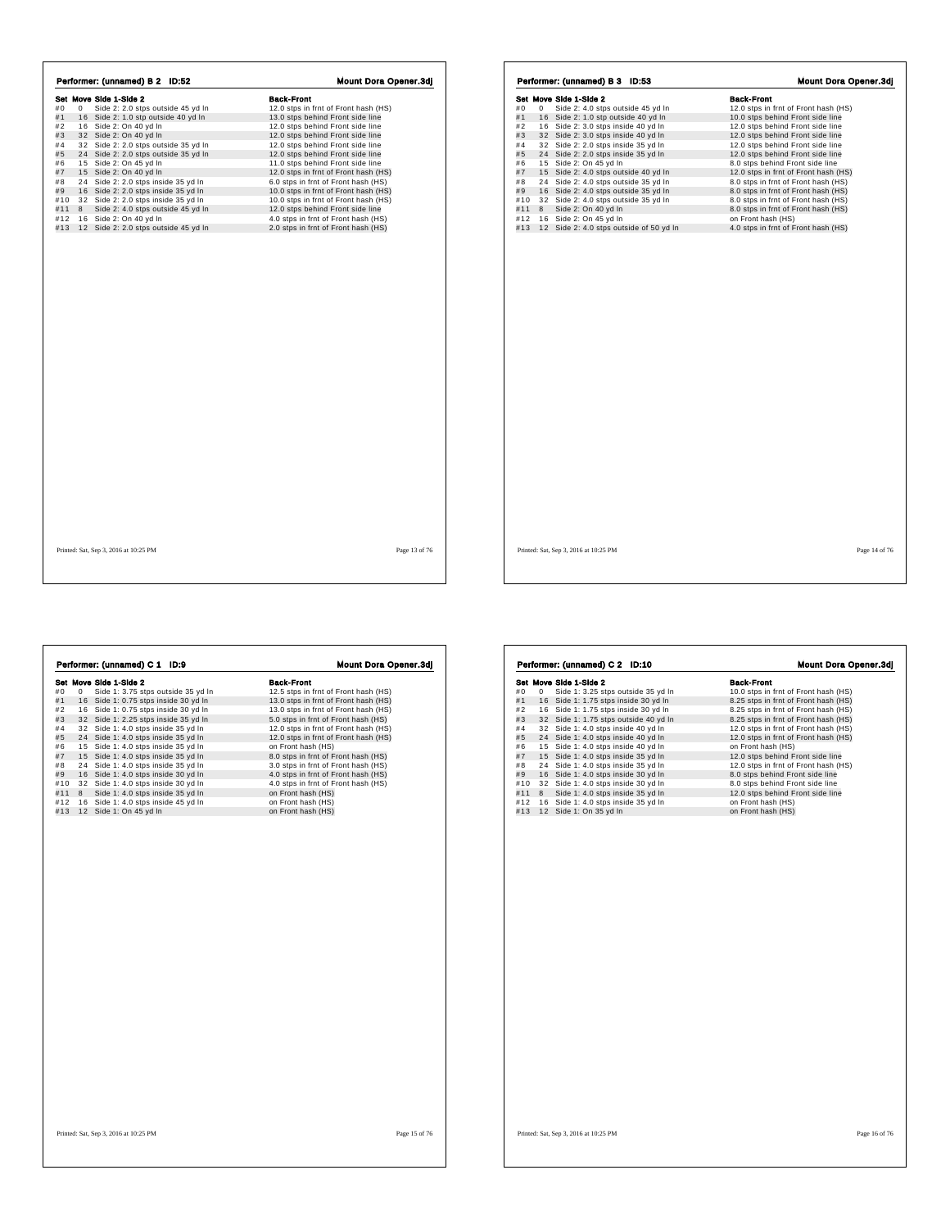|     |   | Performer: (unnamed) B 2 ID:52       | <b>Mount Dora Opener.3dj</b>         |
|-----|---|--------------------------------------|--------------------------------------|
|     |   | Set Move Side 1-Side 2               | Back-Front                           |
| #0  | 0 | Side 2: 2.0 stps outside 45 yd In    | 12.0 stps in frnt of Front hash (HS) |
| #1  |   | 16 Side 2: 1.0 stp outside 40 yd In  | 13.0 stps behind Front side line     |
| #2  |   | 16 Side 2: On 40 yd In               | 12.0 stps behind Front side line     |
| #3  |   | 32 Side 2: On 40 yd In               | 12.0 stps behind Front side line     |
| #4  |   | 32 Side 2: 2.0 stps outside 35 yd In | 12.0 stps behind Front side line     |
| #5  |   | 24 Side 2: 2.0 stps outside 35 yd In | 12.0 stps behind Front side line     |
| #6  |   | 15 Side 2: On 45 yd In               | 11.0 stps behind Front side line     |
| #7  |   | 15 Side 2: On 40 yd In               | 12.0 stps in frnt of Front hash (HS) |
| #8  |   | 24 Side 2: 2.0 stps inside 35 yd In  | 6.0 stps in frnt of Front hash (HS)  |
| #9  |   | 16 Side 2: 2.0 stps inside 35 yd In  | 10.0 stps in frnt of Front hash (HS) |
| #10 |   | 32 Side 2: 2.0 stps inside 35 yd In  | 10.0 stps in frnt of Front hash (HS) |
| #11 | 8 | Side 2: 4.0 stps outside 45 vd In    | 12.0 stps behind Front side line     |
| #12 |   | 16 Side 2: On 40 yd In               | 4.0 stps in frnt of Front hash (HS)  |
| #13 |   | 12 Side 2: 2.0 stps outside 45 yd In | 2.0 stps in frnt of Front hash (HS)  |
|     |   |                                      |                                      |
|     |   |                                      |                                      |
|     |   |                                      |                                      |

|     |    | Set Move Side 1-Side 2                  | <b>Back-Front</b>                    |
|-----|----|-----------------------------------------|--------------------------------------|
| #0  | 0  | Side 2: 4.0 stps outside 45 yd In       | 12.0 stps in frnt of Front hash (HS) |
| #1  |    | 16 Side 2: 1.0 stp outside 40 yd In     | 10.0 stps behind Front side line     |
| #2  |    | 16 Side 2: 3.0 stps inside 40 yd In     | 12.0 stps behind Front side line     |
| #3  |    | 32 Side 2: 3.0 stps inside 40 yd In     | 12.0 stps behind Front side line     |
| #4  |    | 32 Side 2: 2.0 stps inside 35 yd In     | 12.0 stps behind Front side line     |
| #5  |    | 24 Side 2: 2.0 stps inside 35 yd In     | 12.0 stps behind Front side line     |
| #6  |    | 15 Side 2: On 45 yd In                  | 8.0 stps behind Front side line      |
| #7  |    | 15 Side 2: 4.0 stps outside 40 yd In    | 12.0 stps in frnt of Front hash (HS) |
| #8  | 24 | Side 2: 4.0 stps outside 35 yd In       | 8.0 stps in frnt of Front hash (HS)  |
| #9  |    | 16 Side 2: 4.0 stps outside 35 yd In    | 8.0 stps in frnt of Front hash (HS)  |
| #10 |    | 32 Side 2: 4.0 stps outside 35 yd In    | 8.0 stps in frnt of Front hash (HS)  |
| #11 | 8  | Side 2: On 40 yd In                     | 8.0 stps in frnt of Front hash (HS)  |
| #12 |    | 16 Side 2: On 45 yd In                  | on Front hash (HS)                   |
| #13 |    | 12 Side 2: 4.0 stps outside of 50 yd In | 4.0 stps in frnt of Front hash (HS)  |
|     |    |                                         |                                      |
|     |    |                                         |                                      |
|     |    |                                         |                                      |

|     |   | Performer: (unnamed) C 1<br>ID:9     | <b>Mount Dora Opener.3dj</b>         |
|-----|---|--------------------------------------|--------------------------------------|
|     |   | Set Move Side 1-Side 2               | <b>Back-Front</b>                    |
| #0  | 0 | Side 1: 3.75 stps outside 35 yd In   | 12.5 stps in frnt of Front hash (HS) |
| #1  |   | 16 Side 1: 0.75 stps inside 30 yd In | 13.0 stps in frnt of Front hash (HS) |
| #2  |   | 16 Side 1: 0.75 stps inside 30 yd In | 13.0 stps in frnt of Front hash (HS) |
| #3  |   | 32 Side 1: 2.25 stps inside 35 vd In | 5.0 stps in frnt of Front hash (HS)  |
| #4  |   | 32 Side 1: 4.0 stps inside 35 yd In  | 12.0 stps in frnt of Front hash (HS) |
| #5  |   | 24 Side 1: 4.0 stps inside 35 yd In  | 12.0 stps in frnt of Front hash (HS) |
| #6  |   | 15 Side 1: 4.0 stps inside 35 yd In  | on Front hash (HS)                   |
| #7  |   | 15 Side 1: 4.0 stps inside 35 yd In  | 8.0 stps in frnt of Front hash (HS)  |
| #8  |   | 24 Side 1: 4.0 stps inside 35 yd In  | 3.0 stps in frnt of Front hash (HS)  |
| #9  |   | 16 Side 1: 4.0 stps inside 30 yd In  | 4.0 stps in frnt of Front hash (HS)  |
| #10 |   | 32 Side 1: 4.0 stps inside 30 yd In  | 4.0 stps in frnt of Front hash (HS)  |
| #11 | 8 | Side 1: 4.0 stps inside 35 yd In     | on Front hash (HS)                   |
| #12 |   | 16 Side 1: 4.0 stps inside 45 yd In  | on Front hash (HS)                   |
| #13 |   | 12 Side 1: On 45 yd In               | on Front hash (HS)                   |
|     |   |                                      |                                      |
|     |   |                                      |                                      |
|     |   |                                      |                                      |
|     |   |                                      |                                      |
|     |   |                                      |                                      |
|     |   |                                      |                                      |

|          | Set Move Side 1-Side 2                | <b>Back-Front</b>                    |
|----------|---------------------------------------|--------------------------------------|
| #0<br>0  | Side 1: 3.25 stps outside 35 yd In    | 10.0 stps in frnt of Front hash (HS) |
| #1       | 16 Side 1: 1.75 stps inside 30 yd In  | 8.25 stps in frnt of Front hash (HS) |
| #2       | 16 Side 1: 1.75 stps inside 30 yd In  | 8.25 stps in frnt of Front hash (HS) |
| #3       | 32 Side 1: 1.75 stps outside 40 vd In | 8.25 stps in frnt of Front hash (HS) |
| #4       | 32 Side 1: 4.0 stps inside 40 yd In   | 12.0 stps in frnt of Front hash (HS) |
| #5       | 24 Side 1: 4.0 stps inside 40 yd In   | 12.0 stps in frnt of Front hash (HS) |
| #6       | 15 Side 1: 4.0 stps inside 40 yd In   | on Front hash (HS)                   |
| #7       | 15 Side 1: 4.0 stps inside 35 yd In   | 12.0 stps behind Front side line     |
| #8       | 24 Side 1: 4.0 stps inside 35 yd In   | 12.0 stps in frnt of Front hash (HS) |
| #9       | 16 Side 1: 4.0 stps inside 30 vd In   | 8.0 stps behind Front side line      |
| #10      | 32 Side 1: 4.0 stps inside 30 yd In   | 8.0 stps behind Front side line      |
| #11<br>8 | Side 1: 4.0 stps inside 35 yd In      | 12.0 stps behind Front side line     |
| #12      | 16 Side 1: 4.0 stps inside 35 yd In   | on Front hash (HS)                   |
| #13      | 12 Side 1: On 35 yd In                | on Front hash (HS)                   |
|          |                                       |                                      |
|          |                                       |                                      |
|          |                                       |                                      |
|          |                                       |                                      |

h,

 $\overline{1}$ 

 $\mathbf{r}$ 

Printed: Sat, Sep 3, 2016 at 10:25 PM Page 16 of 76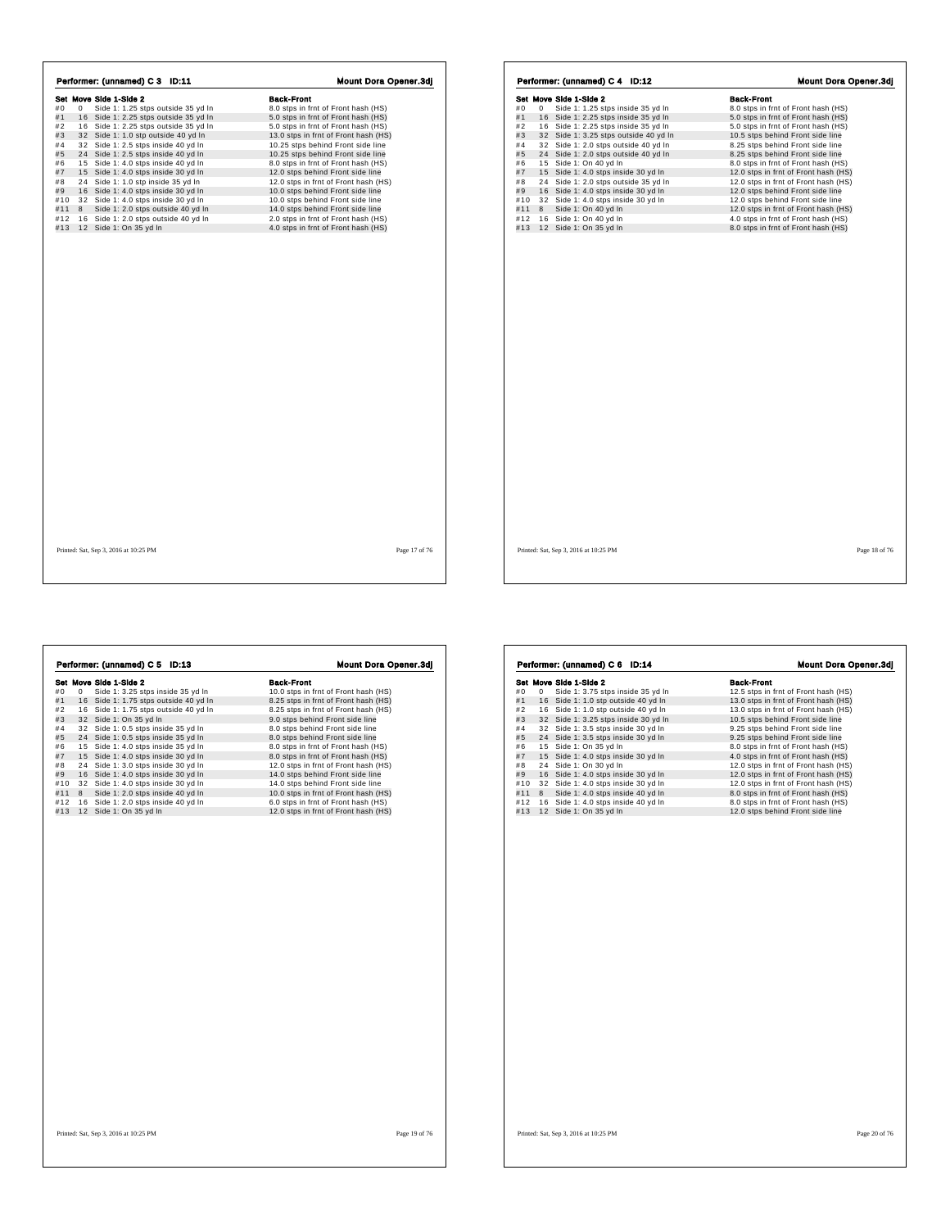|     |    | Set Move Side 1-Side 2                | <b>Back-Front</b>                    |
|-----|----|---------------------------------------|--------------------------------------|
| #0  | 0  | Side 1: 1.25 stps outside 35 yd In    | 8.0 stps in frnt of Front hash (HS)  |
| #1  | 16 | Side 1: 2.25 stps outside 35 yd In    | 5.0 stps in frnt of Front hash (HS)  |
| #2  |    | 16 Side 1: 2.25 stps outside 35 yd In | 5.0 stps in frnt of Front hash (HS)  |
| #3  |    | 32 Side 1: 1.0 stp outside 40 yd In   | 13.0 stps in frnt of Front hash (HS) |
| #4  |    | 32 Side 1: 2.5 stps inside 40 yd In   | 10.25 stps behind Front side line    |
| #5  |    | 24 Side 1: 2.5 stps inside 40 yd In   | 10.25 stps behind Front side line    |
| #6  |    | 15 Side 1: 4.0 stps inside 40 yd In   | 8.0 stps in frnt of Front hash (HS)  |
| #7  |    | 15 Side 1: 4.0 stps inside 30 yd In   | 12.0 stps behind Front side line     |
| #8  |    | 24 Side 1: 1.0 stp inside 35 yd In    | 12.0 stps in frnt of Front hash (HS) |
| #9  |    | 16 Side 1: 4.0 stps inside 30 yd In   | 10.0 stps behind Front side line     |
| #10 |    | 32 Side 1: 4.0 stps inside 30 yd In   | 10.0 stps behind Front side line     |
| #11 | 8  | Side 1: 2.0 stps outside 40 vd In     | 14.0 stps behind Front side line     |
| #12 |    | 16 Side 1: 2.0 stps outside 40 yd In  | 2.0 stps in frnt of Front hash (HS)  |
| #13 |    | 12 Side 1: On 35 yd In                | 4.0 stps in frnt of Front hash (HS)  |
|     |    |                                       |                                      |
|     |    |                                       |                                      |

|     | Performer: (unnamed) C 4 ID:12 |                        |                        |                                       |  |                                      |  | <b>Mount Dora Opener.3dj</b> |  |
|-----|--------------------------------|------------------------|------------------------|---------------------------------------|--|--------------------------------------|--|------------------------------|--|
|     |                                | Set Move Side 1-Side 2 |                        |                                       |  | <b>Back-Front</b>                    |  |                              |  |
| #0  | 0                              |                        |                        | Side 1: 1.25 stps inside 35 yd In     |  | 8.0 stps in frnt of Front hash (HS)  |  |                              |  |
| #1  |                                |                        |                        | 16 Side 1: 2.25 stps inside 35 yd In  |  | 5.0 stps in frnt of Front hash (HS)  |  |                              |  |
| #2  |                                |                        |                        | 16 Side 1: 2.25 stps inside 35 yd In  |  | 5.0 stps in frnt of Front hash (HS)  |  |                              |  |
| #3  |                                |                        |                        | 32 Side 1: 3.25 stps outside 40 yd In |  | 10.5 stps behind Front side line     |  |                              |  |
| #4  |                                |                        |                        | 32 Side 1: 2.0 stps outside 40 yd In  |  | 8.25 stps behind Front side line     |  |                              |  |
| #5  |                                |                        |                        | 24 Side 1: 2.0 stps outside 40 vd In  |  | 8.25 stps behind Front side line     |  |                              |  |
| #6  |                                | 15 Side 1: On 40 yd In |                        |                                       |  | 8.0 stps in frnt of Front hash (HS)  |  |                              |  |
| #7  |                                |                        |                        | 15 Side 1: 4.0 stps inside 30 yd In   |  | 12.0 stps in frnt of Front hash (HS) |  |                              |  |
| #8  |                                |                        |                        | 24 Side 1: 2.0 stps outside 35 yd In  |  | 12.0 stps in frnt of Front hash (HS) |  |                              |  |
| #9  |                                |                        |                        | 16 Side 1: 4.0 stps inside 30 yd In   |  | 12.0 stps behind Front side line     |  |                              |  |
| #10 |                                |                        |                        | 32 Side 1: 4.0 stps inside 30 yd In   |  | 12.0 stps behind Front side line     |  |                              |  |
| #11 | 8                              |                        | Side 1: On 40 yd In    |                                       |  | 12.0 stps in frnt of Front hash (HS) |  |                              |  |
| #12 |                                |                        | 16 Side 1: On 40 yd In |                                       |  | 4.0 stps in frnt of Front hash (HS)  |  |                              |  |
| #13 |                                | 12 Side 1: On 35 yd In |                        |                                       |  | 8.0 stps in frnt of Front hash (HS)  |  |                              |  |
|     |                                |                        |                        |                                       |  |                                      |  |                              |  |
|     |                                |                        |                        |                                       |  |                                      |  |                              |  |
|     |                                |                        |                        |                                       |  |                                      |  |                              |  |

 $\lceil$ 

**Set Move Side 1:** 3.25 stps inside 35 yd In **Back-Front**<br>
#1 0 Side 1: 3.25 stps inside 35 yd In 1 8.25 stps in fmt of Front hash (HS)<br>
#1 1 6 Side 1: 1.75 stps outside 40 yd In 8.25 stps in fmt of Front hash (HS)<br>
#3 3 2 **Performer: (unnamed) C 5 ID:13** Mount Dora Opener.3dj<br> **Set Move Side 1:** 3.25 stps inside 35 yd In 10.0 stps in fmt of Front hash (HS)<br>
#1 1 6 Side 1: 3.75 stps outside 40 yd In 8.25 stps in fmt of Front hash (HS)<br>
#2 1

| Set Move Side 1-Side 2 |   |  |                                      |  |  | <b>Back-Front</b>                    |  |  |  |
|------------------------|---|--|--------------------------------------|--|--|--------------------------------------|--|--|--|
| #0                     | 0 |  | Side 1: 3.75 stps inside 35 yd In    |  |  | 12.5 stps in frnt of Front hash (HS) |  |  |  |
| #1                     |   |  | 16 Side 1: 1.0 stp outside 40 yd In  |  |  | 13.0 stps in frnt of Front hash (HS) |  |  |  |
| #2                     |   |  | 16 Side 1: 1.0 stp outside 40 yd In  |  |  | 13.0 stps in frnt of Front hash (HS) |  |  |  |
| #3                     |   |  | 32 Side 1: 3.25 stps inside 30 yd In |  |  | 10.5 stps behind Front side line     |  |  |  |
| #4                     |   |  | 32 Side 1: 3.5 stps inside 30 yd In  |  |  | 9.25 stps behind Front side line     |  |  |  |
| #5                     |   |  | 24 Side 1: 3.5 stps inside 30 yd In  |  |  | 9.25 stps behind Front side line     |  |  |  |
| #6                     |   |  | 15 Side 1: On 35 yd In               |  |  | 8.0 stps in frnt of Front hash (HS)  |  |  |  |
| #7                     |   |  | 15 Side 1: 4.0 stps inside 30 yd In  |  |  | 4.0 stps in frnt of Front hash (HS)  |  |  |  |
| #8                     |   |  | 24 Side 1: On 30 yd In               |  |  | 12.0 stps in frnt of Front hash (HS) |  |  |  |
| #9                     |   |  | 16 Side 1: 4.0 stps inside 30 yd In  |  |  | 12.0 stps in frnt of Front hash (HS) |  |  |  |
| #10                    |   |  | 32 Side 1: 4.0 stps inside 30 yd In  |  |  | 12.0 stps in frnt of Front hash (HS) |  |  |  |
| #11                    | 8 |  | Side 1: 4.0 stps inside 40 yd In     |  |  | 8.0 stps in frnt of Front hash (HS)  |  |  |  |
| #12                    |   |  | 16 Side 1: 4.0 stps inside 40 yd In  |  |  | 8.0 stps in frnt of Front hash (HS)  |  |  |  |
| #13                    |   |  | 12 Side 1: On 35 yd In               |  |  | 12.0 stps behind Front side line     |  |  |  |
|                        |   |  |                                      |  |  |                                      |  |  |  |
|                        |   |  |                                      |  |  |                                      |  |  |  |

Performer: (unnamed) C 6 ID:14 Mount Dora Opener.3dj

Printed: Sat, Sep 3, 2016 at 10:25 PM Page 19 of 76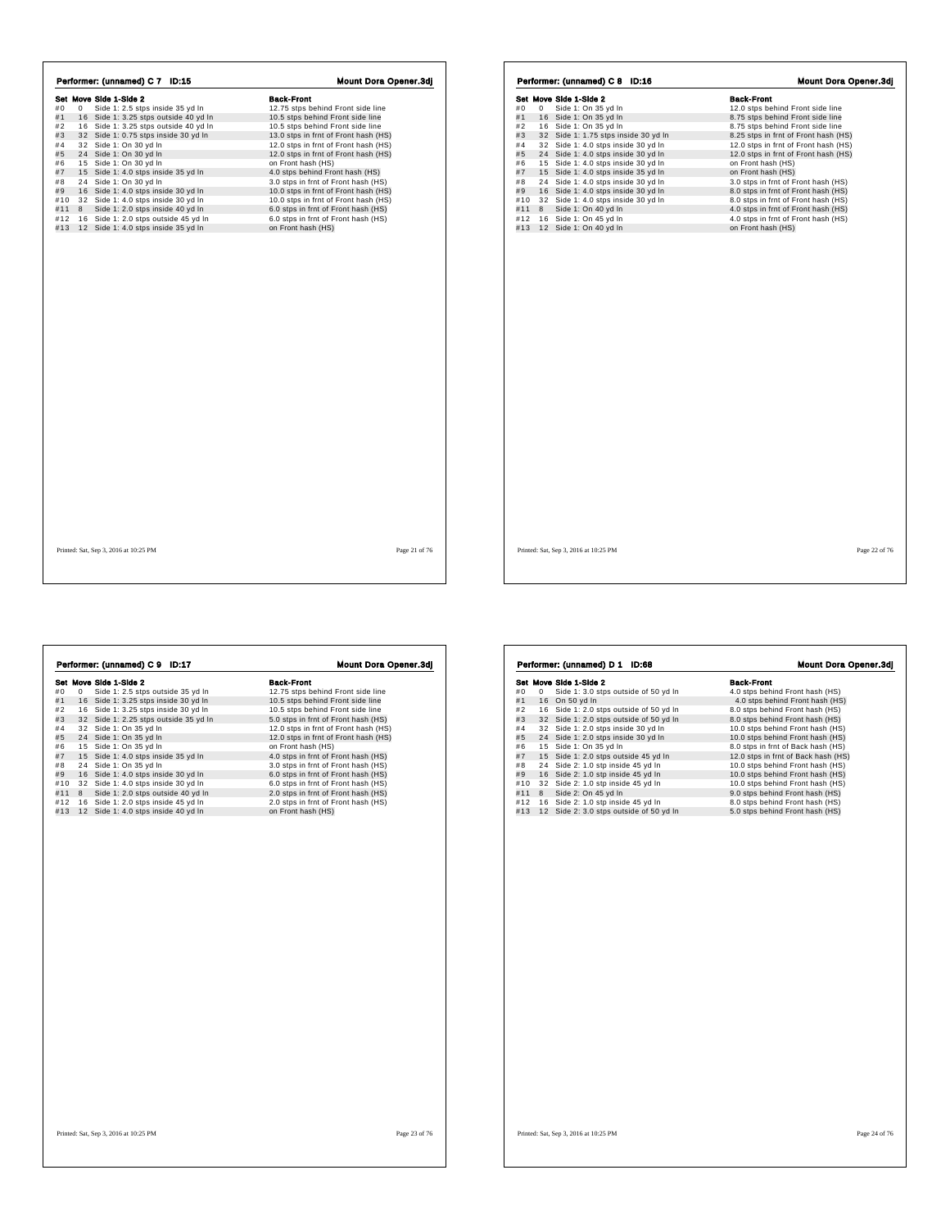|     |   | Set Move Side 1-Side 2                | <b>Back-Front</b>                    |
|-----|---|---------------------------------------|--------------------------------------|
| #0  | 0 | Side 1: 2.5 stps inside 35 yd In      | 12.75 stps behind Front side line    |
| #1  |   | 16 Side 1: 3.25 stps outside 40 yd In | 10.5 stps behind Front side line     |
| #2  |   | 16 Side 1: 3.25 stps outside 40 yd In | 10.5 stps behind Front side line     |
| #3  |   | 32 Side 1: 0.75 stps inside 30 yd In  | 13.0 stps in frnt of Front hash (HS) |
| #4  |   | 32 Side 1: On 30 yd In                | 12.0 stps in frnt of Front hash (HS) |
| #5  |   | 24 Side 1: On 30 yd In                | 12.0 stps in frnt of Front hash (HS) |
| #6  |   | 15 Side 1: On 30 yd In                | on Front hash (HS)                   |
| #7  |   | 15 Side 1: 4.0 stps inside 35 yd In   | 4.0 stps behind Front hash (HS)      |
| #8  |   | 24 Side 1: On 30 yd In                | 3.0 stps in frnt of Front hash (HS)  |
| #9  |   | 16 Side 1: 4.0 stps inside 30 yd In   | 10.0 stps in frnt of Front hash (HS) |
| #10 |   | 32 Side 1: 4.0 stps inside 30 vd In   | 10.0 stps in frnt of Front hash (HS) |
| #11 | 8 | Side 1: 2.0 stps inside 40 yd In      | 6.0 stps in frnt of Front hash (HS)  |
| #12 |   | 16 Side 1: 2.0 stps outside 45 yd In  | 6.0 stps in frnt of Front hash (HS)  |
| #13 |   | 12 Side 1: 4.0 stps inside 35 yd In   | on Front hash (HS)                   |
|     |   |                                       |                                      |
|     |   |                                       |                                      |

|     |   | Set Move Side 1-Side 2               | <b>Back-Front</b>                    |
|-----|---|--------------------------------------|--------------------------------------|
| #0  | 0 | Side 1: On 35 yd In                  | 12.0 stps behind Front side line     |
| #1  |   | 16 Side 1: On 35 yd In               | 8.75 stps behind Front side line     |
| #2  |   | 16 Side 1: On 35 yd In               | 8.75 stps behind Front side line     |
| #3  |   | 32 Side 1: 1.75 stps inside 30 yd In | 8.25 stps in frnt of Front hash (HS) |
| #4  |   | 32 Side 1: 4.0 stps inside 30 yd In  | 12.0 stps in frnt of Front hash (HS) |
| #5  |   | 24 Side 1: 4.0 stps inside 30 vd In  | 12.0 stps in frnt of Front hash (HS) |
| #6  |   | 15 Side 1: 4.0 stps inside 30 yd In  | on Front hash (HS)                   |
| #7  |   | 15 Side 1: 4.0 stps inside 35 yd In  | on Front hash (HS)                   |
| #8  |   | 24 Side 1: 4.0 stps inside 30 yd In  | 3.0 stps in frnt of Front hash (HS)  |
| #9  |   | 16 Side 1: 4.0 stps inside 30 yd In  | 8.0 stps in frnt of Front hash (HS)  |
| #10 |   | 32 Side 1: 4.0 stps inside 30 yd In  | 8.0 stps in frnt of Front hash (HS)  |
| #11 |   | 8 Side 1: On 40 vd In                | 4.0 stps in frnt of Front hash (HS)  |
| #12 |   | 16 Side 1: On 45 yd In               | 4.0 stps in frnt of Front hash (HS)  |
| #13 |   | 12 Side 1: On 40 yd In               | on Front hash (HS)                   |
|     |   |                                      |                                      |
|     |   |                                      |                                      |

**Set Mave Side 1-Side 2**<br> **Set Mave Side 1:** 2.5 stps outside 35 yd In **12.75 stps behind Front side line**<br>
#1 16 Side 1: 3.25 stps inside 30 yd In 10.5 stps behind Front side line<br>
#3 32 Side 1: 3.25 stps inside 30 yd In **Performer: (unnamed) C 9 ID:17 Mount Dora Opener.3dj**<br> **Set Move Side 1:** 3.6 go ustide 35 yd In 10.5 stps behind Front side line<br>
#1 16 Side 1: 3.25 stps inside 30 yd In 10.5 stps behind Front side line<br>
#2 16 Side 1: 3

|     |   | Set Move Side 1-Side 2                  | <b>Back-Front</b>                   |
|-----|---|-----------------------------------------|-------------------------------------|
| #0  | 0 | Side 1: 3.0 stps outside of 50 yd In    | 4.0 stps behind Front hash (HS)     |
| #1  |   | 16 On 50 yd In                          | 4.0 stps behind Front hash (HS)     |
| #2  |   | 16 Side 1: 2.0 stps outside of 50 yd In | 8.0 stps behind Front hash (HS)     |
| #3  |   | 32 Side 1: 2.0 stps outside of 50 vd In | 8.0 stps behind Front hash (HS)     |
| #4  |   | 32 Side 1: 2.0 stps inside 30 yd In     | 10.0 stps behind Front hash (HS)    |
| #5  |   | 24 Side 1: 2.0 stps inside 30 yd In     | 10.0 stps behind Front hash (HS)    |
| #6  |   | 15 Side 1: On 35 yd In                  | 8.0 stps in frnt of Back hash (HS)  |
| #7  |   | 15 Side 1: 2.0 stps outside 45 yd In    | 12.0 stps in frnt of Back hash (HS) |
| #8  |   | 24 Side 2: 1.0 stp inside 45 yd In      | 10.0 stps behind Front hash (HS)    |
| #9  |   | 16 Side 2: 1.0 stp inside 45 yd In      | 10.0 stps behind Front hash (HS)    |
| #10 |   | 32 Side 2: 1.0 stp inside 45 yd In      | 10.0 stps behind Front hash (HS)    |
| #11 | 8 | Side 2: On 45 yd In                     | 9.0 stps behind Front hash (HS)     |
| #12 |   | 16 Side 2: 1.0 stp inside 45 yd In      | 8.0 stps behind Front hash (HS)     |
| #13 |   | 12 Side 2: 3.0 stps outside of 50 yd In | 5.0 stps behind Front hash (HS)     |
|     |   |                                         |                                     |
|     |   |                                         |                                     |
|     |   |                                         |                                     |
|     |   |                                         |                                     |
|     |   |                                         |                                     |
|     |   |                                         |                                     |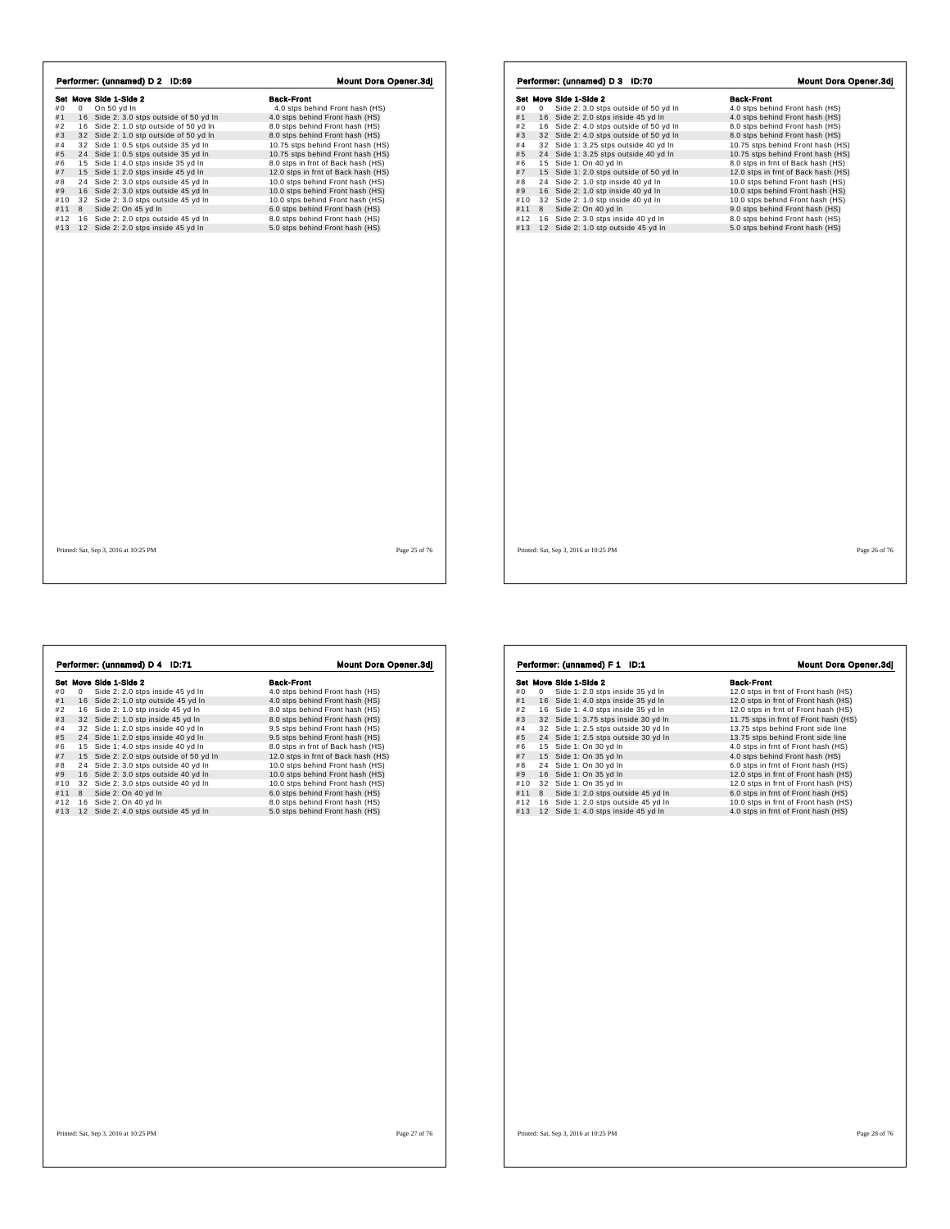|     |    | Performer: (unnamed) D 2 ID:69         | <b>Mount Dora Opener.3dj</b>        |               |
|-----|----|----------------------------------------|-------------------------------------|---------------|
|     |    | Set Move Side 1-Side 2                 | <b>Back-Front</b>                   |               |
| #0  | 0  | On 50 yd In                            | 4.0 stps behind Front hash (HS)     |               |
| #1  | 16 | Side 2: 3.0 stps outside of 50 yd In   | 4.0 stps behind Front hash (HS)     |               |
| #2  |    | 16 Side 2: 1.0 stp outside of 50 yd In | 8.0 stps behind Front hash (HS)     |               |
| #3  |    | 32 Side 2: 1.0 stp outside of 50 yd In | 8.0 stps behind Front hash (HS)     |               |
| #4  |    | 32 Side 1: 0.5 stps outside 35 yd In   | 10.75 stps behind Front hash (HS)   |               |
| #5  |    | 24 Side 1: 0.5 stps outside 35 vd In   | 10.75 stps behind Front hash (HS)   |               |
| #6  |    | 15 Side 1: 4.0 stps inside 35 yd In    | 8.0 stps in frnt of Back hash (HS)  |               |
| #7  |    | 15 Side 1: 2.0 stps inside 45 yd In    | 12.0 stps in frnt of Back hash (HS) |               |
| #8  |    | 24 Side 2: 3.0 stps outside 45 yd In   | 10.0 stps behind Front hash (HS)    |               |
| #9  |    | 16 Side 2: 3.0 stps outside 45 yd In   | 10.0 stps behind Front hash (HS)    |               |
| #10 |    | 32 Side 2: 3.0 stps outside 45 yd In   | 10.0 stps behind Front hash (HS)    |               |
| #11 | 8  | Side 2: On 45 yd In                    | 6.0 stps behind Front hash (HS)     |               |
| #12 |    | 16 Side 2: 2.0 stps outside 45 yd In   | 8.0 stps behind Front hash (HS)     |               |
| #13 |    | 12 Side 2: 2.0 stps inside 45 yd In    | 5.0 stps behind Front hash (HS)     |               |
|     |    |                                        |                                     |               |
|     |    | Printed: Sat, Sep 3, 2016 at 10:25 PM  |                                     | Page 25 of 76 |

Ē,

 $\sqrt{ }$ 

|            |   | Performer: (unnamed) D 3 ID:70          | Mount Dora Opener.3dj               |
|------------|---|-----------------------------------------|-------------------------------------|
|            |   | Set Move Side 1-Side 2                  | <b>Back-Front</b>                   |
| #0         | 0 | Side 2: 3.0 stps outside of 50 yd In    | 4.0 stps behind Front hash (HS)     |
| #1         |   | 16 Side 2: 2.0 stps inside 45 yd In     | 4.0 stps behind Front hash (HS)     |
| #2         |   | 16 Side 2: 4.0 stps outside of 50 yd In | 8.0 stps behind Front hash (HS)     |
| #3         |   | 32 Side 2: 4.0 stps outside of 50 yd In | 8.0 stps behind Front hash (HS)     |
| #4         |   | 32 Side 1: 3.25 stps outside 40 yd In   | 10.75 stps behind Front hash (HS)   |
| #5         |   | 24 Side 1: 3.25 stps outside 40 yd In   | 10.75 stps behind Front hash (HS)   |
| #6         |   | 15 Side 1: On 40 yd In                  | 8.0 stps in frnt of Back hash (HS)  |
| #7         |   | 15 Side 1: 2.0 stps outside of 50 yd In | 12.0 stps in frnt of Back hash (HS) |
| #8         |   | 24 Side 2: 1.0 stp inside 40 yd In      | 10.0 stps behind Front hash (HS)    |
| #9         |   | 16 Side 2: 1.0 stp inside 40 yd In      | 10.0 stps behind Front hash (HS)    |
| #10        |   | 32 Side 2: 1.0 stp inside 40 yd In      | 10.0 stps behind Front hash (HS)    |
|            | 8 | Side 2: On 40 yd In                     | 9.0 stps behind Front hash (HS)     |
| #11<br>#12 |   |                                         |                                     |
|            |   | 16 Side 2: 3.0 stps inside 40 yd In     | 8.0 stps behind Front hash (HS)     |
| #13        |   | 12 Side 2: 1.0 stp outside 45 yd In     | 5.0 stps behind Front hash (HS)     |
|            |   |                                         |                                     |
|            |   |                                         |                                     |

|     |   | Performer: (unnamed) D 4 ID:71          | Mount Dora Opener.3dj               |
|-----|---|-----------------------------------------|-------------------------------------|
|     |   | Set Move Side 1-Side 2                  | <b>Back-Front</b>                   |
| #0  | 0 | Side 2: 2.0 stps inside 45 yd In        | 4.0 stps behind Front hash (HS)     |
| #1  |   | 16 Side 2: 1.0 stp outside 45 yd In     | 4.0 stps behind Front hash (HS)     |
| #2  |   | 16 Side 2: 1.0 stp inside 45 yd In      | 8.0 stps behind Front hash (HS)     |
| #3  |   | 32 Side 2: 1.0 stp inside 45 yd In      | 8.0 stps behind Front hash (HS)     |
| #4  |   | 32 Side 1: 2.0 stps inside 40 yd In     | 9.5 stps behind Front hash (HS)     |
| #5  |   | 24 Side 1: 2.0 stps inside 40 yd In     | 9.5 stps behind Front hash (HS)     |
| #6  |   | 15 Side 1: 4.0 stps inside 40 yd In     | 8.0 stps in frnt of Back hash (HS)  |
| #7  |   | 15 Side 2: 2.0 stps outside of 50 yd In | 12.0 stps in frnt of Back hash (HS) |
| #8  |   | 24 Side 2: 3.0 stps outside 40 yd In    | 10.0 stps behind Front hash (HS)    |
| #9  |   | 16 Side 2: 3.0 stps outside 40 yd In    | 10.0 stps behind Front hash (HS)    |
| #10 |   | 32 Side 2: 3.0 stps outside 40 yd In    | 10.0 stps behind Front hash (HS)    |
| #11 | 8 | Side 2: On 40 yd In                     | 6.0 stps behind Front hash (HS)     |
| #12 |   | 16 Side 2: On 40 yd In                  | 8.0 stps behind Front hash (HS)     |
| #13 |   | 12 Side 2: 4.0 stps outside 45 yd In    | 5.0 stps behind Front hash (HS)     |
|     |   |                                         |                                     |
|     |   |                                         |                                     |
|     |   |                                         |                                     |
|     |   |                                         |                                     |

|     |   | Performer: (unnamed) F 1<br>ID:1     | <b>Mount Dora Opener.3dj</b>          |
|-----|---|--------------------------------------|---------------------------------------|
|     |   | Set Move Side 1-Side 2               | <b>Back-Front</b>                     |
| #0  | 0 | Side 1: 2.0 stps inside 35 yd In     | 12.0 stps in frnt of Front hash (HS)  |
| #1  |   | 16 Side 1: 4.0 stps inside 35 yd In  | 12.0 stps in frnt of Front hash (HS)  |
| #2  |   | 16 Side 1: 4.0 stps inside 35 yd In  | 12.0 stps in frnt of Front hash (HS)  |
| #3  |   | 32 Side 1: 3.75 stps inside 30 vd In | 11.75 stps in frnt of Front hash (HS) |
| #4  |   | 32 Side 1: 2.5 stps outside 30 yd In | 13.75 stps behind Front side line     |
| #5  |   | 24 Side 1: 2.5 stps outside 30 yd In | 13.75 stps behind Front side line     |
| #6  |   | 15 Side 1: On 30 yd In               | 4.0 stps in frnt of Front hash (HS)   |
| #7  |   | 15 Side 1: On 35 yd In               | 4.0 stps behind Front hash (HS)       |
| #8  |   | 24 Side 1: On 30 yd In               | 6.0 stps in frnt of Front hash (HS)   |
| #9  |   | 16 Side 1: On 35 yd In               | 12.0 stps in frnt of Front hash (HS)  |
| #10 |   | 32 Side 1: On 35 yd In               | 12.0 stps in frnt of Front hash (HS)  |
| #11 | 8 | Side 1: 2.0 stps outside 45 yd In    | 6.0 stps in frnt of Front hash (HS)   |
| #12 |   | 16 Side 1: 2.0 stps outside 45 yd In | 10.0 stps in frnt of Front hash (HS)  |
| #13 |   | 12 Side 1: 4.0 stps inside 45 yd In  | 4.0 stps in frnt of Front hash (HS)   |
|     |   |                                      |                                       |
|     |   |                                      |                                       |
|     |   |                                      |                                       |
|     |   |                                      |                                       |
|     |   |                                      |                                       |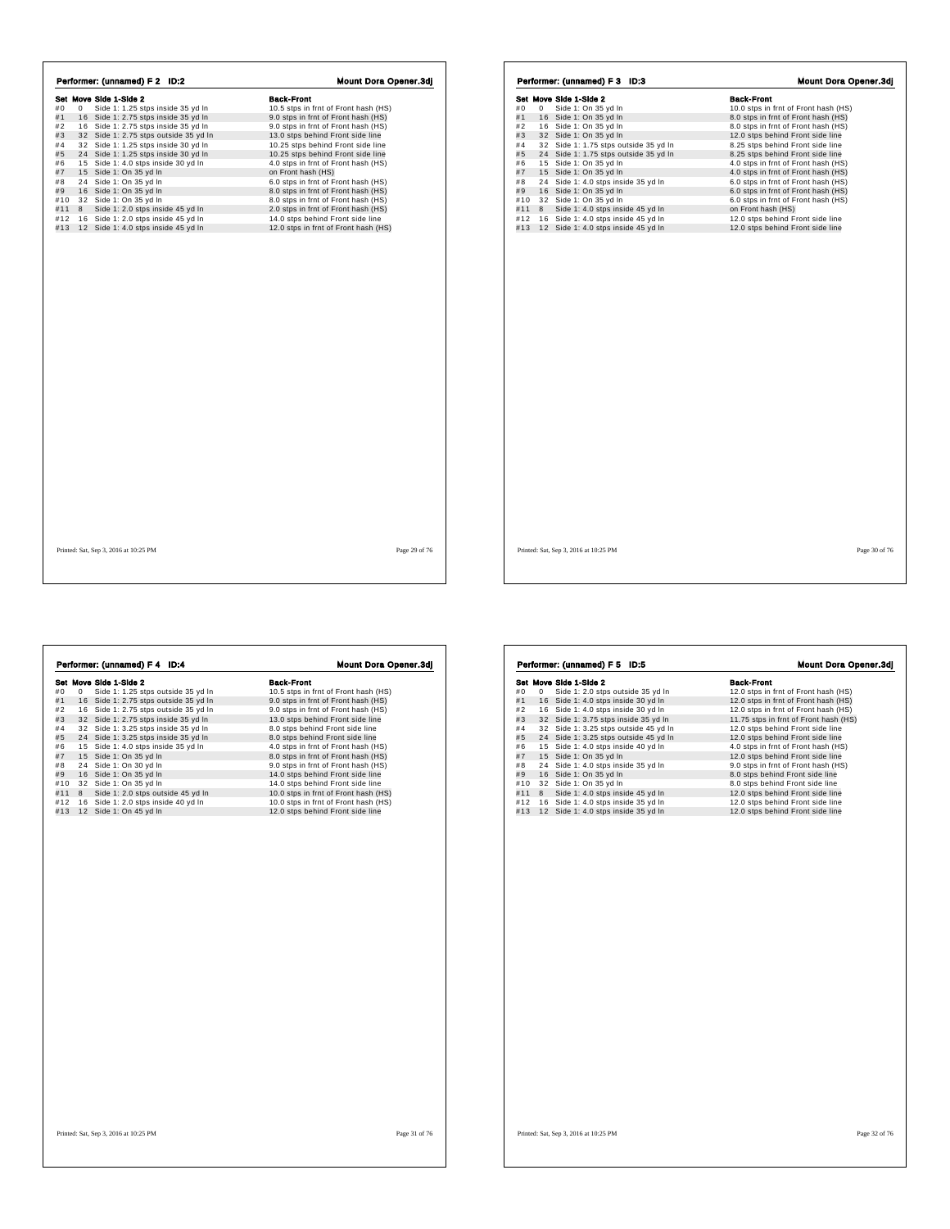|     |   | Performer: (unnamed) F 2 ID:2         | <b>Mount Dora Opener.3dj</b>         |               |
|-----|---|---------------------------------------|--------------------------------------|---------------|
|     |   | Set Move Side 1-Side 2                | <b>Back-Front</b>                    |               |
| #0  | 0 | Side 1: 1.25 stps inside 35 yd In     | 10.5 stps in frnt of Front hash (HS) |               |
| #1  |   | 16 Side 1: 2.75 stps inside 35 yd In  | 9.0 stps in frnt of Front hash (HS)  |               |
| #2  |   | 16 Side 1: 2.75 stps inside 35 yd In  | 9.0 stps in frnt of Front hash (HS)  |               |
| #3  |   | 32 Side 1: 2.75 stps outside 35 yd In | 13.0 stps behind Front side line     |               |
| #4  |   | 32 Side 1: 1.25 stps inside 30 yd In  | 10.25 stps behind Front side line    |               |
| #5  |   | 24 Side 1: 1.25 stps inside 30 vd In  | 10.25 stps behind Front side line    |               |
| #6  |   | 15 Side 1: 4.0 stps inside 30 yd In   | 4.0 stps in frnt of Front hash (HS)  |               |
| #7  |   | 15 Side 1: On 35 yd In                | on Front hash (HS)                   |               |
| #8  |   | 24 Side 1: On 35 yd In                | 6.0 stps in frnt of Front hash (HS)  |               |
| #9  |   | 16 Side 1: On 35 yd In                | 8.0 stps in frnt of Front hash (HS)  |               |
| #10 |   | 32 Side 1: On 35 vd In                | 8.0 stps in frnt of Front hash (HS)  |               |
| #11 | 8 | Side 1: 2.0 stps inside 45 yd In      | 2.0 stps in frnt of Front hash (HS)  |               |
| #12 |   | 16 Side 1: 2.0 stps inside 45 yd In   | 14.0 stps behind Front side line     |               |
| #13 |   | 12 Side 1: 4.0 stps inside 45 yd In   | 12.0 stps in frnt of Front hash (HS) |               |
|     |   |                                       |                                      |               |
|     |   | Printed: Sat, Sep 3, 2016 at 10:25 PM |                                      | Page 29 of 76 |

h,

 $\sqrt{ }$ 

| Performer: (unnamed) F 3 ID:3 |   |                        |                                       |  |  |                                      |  |  | <b>Mount Dora Opener.3dj</b> |  |
|-------------------------------|---|------------------------|---------------------------------------|--|--|--------------------------------------|--|--|------------------------------|--|
|                               |   | Set Move Side 1-Side 2 |                                       |  |  | <b>Back-Front</b>                    |  |  |                              |  |
| #0                            | 0 |                        | Side 1: On 35 yd In                   |  |  | 10.0 stps in frnt of Front hash (HS) |  |  |                              |  |
| #1                            |   |                        | 16 Side 1: On 35 yd In                |  |  | 8.0 stps in frnt of Front hash (HS)  |  |  |                              |  |
| #2                            |   |                        | 16 Side 1: On 35 yd In                |  |  | 8.0 stps in frnt of Front hash (HS)  |  |  |                              |  |
| #3                            |   |                        | 32 Side 1: On 35 yd In                |  |  | 12.0 stps behind Front side line     |  |  |                              |  |
| #4                            |   |                        | 32 Side 1: 1.75 stps outside 35 yd In |  |  | 8.25 stps behind Front side line     |  |  |                              |  |
| #5                            |   |                        | 24 Side 1: 1.75 stps outside 35 yd In |  |  | 8.25 stps behind Front side line     |  |  |                              |  |
| #6                            |   |                        | 15 Side 1: On 35 yd In                |  |  | 4.0 stps in frnt of Front hash (HS)  |  |  |                              |  |
| #7                            |   |                        | 15 Side 1: On 35 yd In                |  |  | 4.0 stps in frnt of Front hash (HS)  |  |  |                              |  |
| #8                            |   |                        | 24 Side 1: 4.0 stps inside 35 yd In   |  |  | 6.0 stps in frnt of Front hash (HS)  |  |  |                              |  |
| #9                            |   |                        | 16 Side 1: On 35 yd In                |  |  | 6.0 stps in frnt of Front hash (HS)  |  |  |                              |  |
| #10                           |   |                        | 32 Side 1: On 35 yd In                |  |  | 6.0 stps in frnt of Front hash (HS)  |  |  |                              |  |
| #11                           | 8 |                        | Side 1: 4.0 stps inside 45 yd In      |  |  | on Front hash (HS)                   |  |  |                              |  |
| #12                           |   |                        | 16 Side 1: 4.0 stps inside 45 yd In   |  |  | 12.0 stps behind Front side line     |  |  |                              |  |
| #13                           |   |                        | 12 Side 1: 4.0 stps inside 45 yd In   |  |  | 12.0 stps behind Front side line     |  |  |                              |  |
|                               |   |                        |                                       |  |  |                                      |  |  |                              |  |
|                               |   |                        |                                       |  |  |                                      |  |  |                              |  |

| Performer: (unnamed) F 4 ID:4 |   |                                       |                                      |
|-------------------------------|---|---------------------------------------|--------------------------------------|
|                               |   | Set Move Side 1-Side 2                | <b>Back-Front</b>                    |
| #0                            | 0 | Side 1: 1.25 stps outside 35 yd In    | 10.5 stps in frnt of Front hash (HS) |
| #1                            |   | 16 Side 1: 2.75 stps outside 35 yd In | 9.0 stps in frnt of Front hash (HS)  |
| #2                            |   | 16 Side 1: 2.75 stps outside 35 yd In | 9.0 stps in frnt of Front hash (HS)  |
| #3                            |   | 32 Side 1: 2.75 stps inside 35 vd In  | 13.0 stps behind Front side line     |
| #4                            |   | 32 Side 1: 3.25 stps inside 35 yd In  | 8.0 stps behind Front side line      |
| #5                            |   | 24 Side 1: 3.25 stps inside 35 yd In  | 8.0 stps behind Front side line      |
| #6                            |   | 15 Side 1: 4.0 stps inside 35 yd In   | 4.0 stps in frnt of Front hash (HS)  |
| #7                            |   | 15 Side 1: On 35 yd In                | 8.0 stps in frnt of Front hash (HS)  |
| #8                            |   | 24 Side 1: On 30 yd In                | 9.0 stps in frnt of Front hash (HS)  |
| #9                            |   | 16 Side 1: On 35 vd In                | 14.0 stps behind Front side line     |
| #10                           |   | 32 Side 1: On 35 yd In                | 14.0 stps behind Front side line     |
| #11                           | 8 | Side 1: 2.0 stps outside 45 yd In     | 10.0 stps in frnt of Front hash (HS) |
| #12                           |   | 16 Side 1: 2.0 stps inside 40 yd In   | 10.0 stps in frnt of Front hash (HS) |
| #13                           |   | 12 Side 1: On 45 yd In                | 12.0 stps behind Front side line     |
|                               |   |                                       |                                      |
|                               |   |                                       |                                      |

| #0  | 0 | Set Move Side 1-Side 2<br>Side 1: 2.0 stps outside 35 yd In | <b>Back-Front</b><br>12.0 stps in frnt of Front hash (HS) |
|-----|---|-------------------------------------------------------------|-----------------------------------------------------------|
| #1  |   | 16 Side 1: 4.0 stps inside 30 yd In                         | 12.0 stps in frnt of Front hash (HS)                      |
| #2  |   | 16 Side 1: 4.0 stps inside 30 yd In                         | 12.0 stps in frnt of Front hash (HS)                      |
| #3  |   | 32 Side 1: 3.75 stps inside 35 yd In                        | 11.75 stps in frnt of Front hash (HS)                     |
| #4  |   | 32 Side 1: 3.25 stps outside 45 yd In                       | 12.0 stps behind Front side line                          |
| #5  |   | 24 Side 1: 3.25 stps outside 45 yd In                       | 12.0 stps behind Front side line                          |
| #6  |   | 15 Side 1: 4.0 stps inside 40 yd In                         | 4.0 stps in frnt of Front hash (HS)                       |
| #7  |   | 15 Side 1: On 35 yd In                                      | 12.0 stps behind Front side line                          |
| #8  |   | 24 Side 1: 4.0 stps inside 35 yd In                         | 9.0 stps in frnt of Front hash (HS)                       |
| #9  |   | 16 Side 1: On 35 yd In                                      | 8.0 stps behind Front side line                           |
| #10 |   | 32 Side 1: On 35 yd In                                      | 8.0 stps behind Front side line                           |
| #11 | 8 | Side 1: 4.0 stps inside 45 yd In                            | 12.0 stps behind Front side line                          |
| #12 |   | 16 Side 1: 4.0 stps inside 35 yd In                         | 12.0 stps behind Front side line                          |
| #13 |   | 12 Side 1: 4.0 stps inside 35 yd In                         | 12.0 stps behind Front side line                          |
|     |   |                                                             |                                                           |
|     |   |                                                             |                                                           |
|     |   |                                                             |                                                           |
|     |   |                                                             |                                                           |
|     |   |                                                             |                                                           |
|     |   |                                                             |                                                           |
|     |   |                                                             |                                                           |
|     |   |                                                             |                                                           |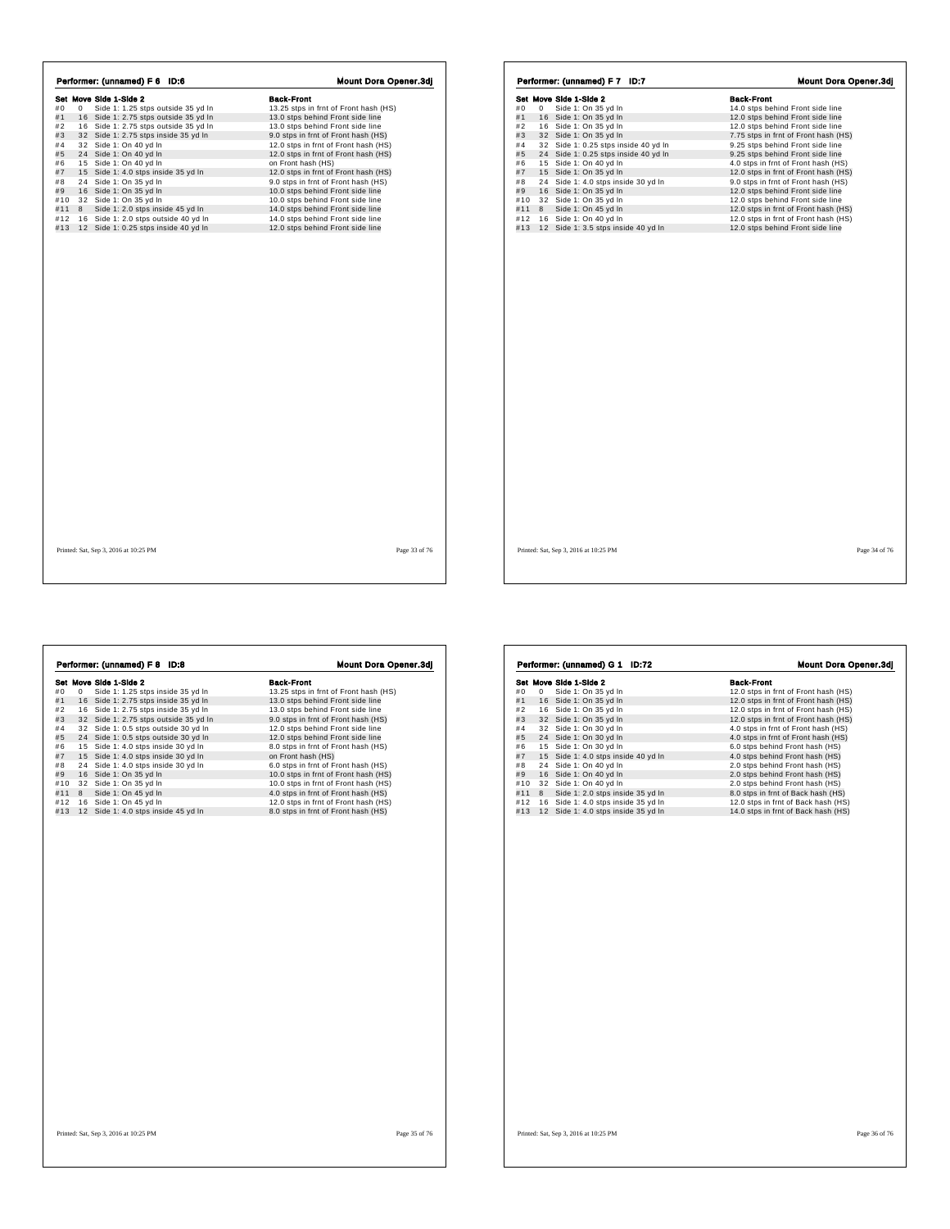|     |   | Set Move Side 1-Side 2                | <b>Back-Front</b>                     |
|-----|---|---------------------------------------|---------------------------------------|
| #0  | 0 | Side 1: 1.25 stps outside 35 yd In    | 13.25 stps in frnt of Front hash (HS) |
| #1  |   | 16 Side 1: 2.75 stps outside 35 yd In | 13.0 stps behind Front side line      |
| #2  |   | 16 Side 1: 2.75 stps outside 35 yd In | 13.0 stps behind Front side line      |
| #3  |   | 32 Side 1: 2.75 stps inside 35 yd In  | 9.0 stps in frnt of Front hash (HS)   |
| #4  |   | 32 Side 1: On 40 yd In                | 12.0 stps in frnt of Front hash (HS)  |
| #5  |   | 24 Side 1: On 40 yd In                | 12.0 stps in frnt of Front hash (HS)  |
| #6  |   | 15 Side 1: On 40 yd In                | on Front hash (HS)                    |
| #7  |   | 15 Side 1: 4.0 stps inside 35 yd In   | 12.0 stps in frnt of Front hash (HS)  |
| #8  |   | 24 Side 1: On 35 yd In                | 9.0 stps in frnt of Front hash (HS)   |
| #9  |   | 16 Side 1: On 35 yd In                | 10.0 stps behind Front side line      |
| #10 |   | 32 Side 1: On 35 yd In                | 10.0 stps behind Front side line      |
| #11 | 8 | Side 1: 2.0 stps inside 45 yd In      | 14.0 stps behind Front side line      |
| #12 |   | 16 Side 1: 2.0 stps outside 40 yd In  | 14.0 stps behind Front side line      |
| #13 |   | 12 Side 1: 0.25 stps inside 40 yd In  | 12.0 stps behind Front side line      |
|     |   |                                       |                                       |
|     |   |                                       |                                       |

| Set Move Side 1-Side 2<br><b>Back-Front</b><br>14.0 stps behind Front side line<br>#0<br>0<br>Side 1: On 35 yd In<br>16 Side 1: On 35 yd In<br>12.0 stps behind Front side line<br>16 Side 1: On 35 yd In<br>12.0 stps behind Front side line<br>32 Side 1: On 35 yd In<br>7.75 stps in frnt of Front hash (HS)<br>32 Side 1: 0.25 stps inside 40 yd In<br>9.25 stps behind Front side line<br>Side 1: 0.25 stps inside 40 yd In<br>24<br>9.25 stps behind Front side line<br>15 Side 1: On 40 yd In<br>4.0 stps in frnt of Front hash (HS)<br>12.0 stps in frnt of Front hash (HS)<br>15 Side 1: On 35 yd In<br>24<br>Side 1: 4.0 stps inside 30 yd In<br>9.0 stps in frnt of Front hash (HS)<br>16 Side 1: On 35 yd In<br>12.0 stps behind Front side line<br>32 Side 1: On 35 yd In<br>12.0 stps behind Front side line<br>8<br>Side 1: On 45 vd In<br>12.0 stps in frnt of Front hash (HS)<br>16 Side 1: On 40 yd In<br>12.0 stps in frnt of Front hash (HS)<br>12 Side 1: 3.5 stps inside 40 yd In<br>12.0 stps behind Front side line |  |  |
|---------------------------------------------------------------------------------------------------------------------------------------------------------------------------------------------------------------------------------------------------------------------------------------------------------------------------------------------------------------------------------------------------------------------------------------------------------------------------------------------------------------------------------------------------------------------------------------------------------------------------------------------------------------------------------------------------------------------------------------------------------------------------------------------------------------------------------------------------------------------------------------------------------------------------------------------------------------------------------------------------------------------------------------------|--|--|
| #1<br>#2<br>#3<br>#4<br>#5<br>#6<br>#7<br>#8<br>#9<br>#11<br>#13                                                                                                                                                                                                                                                                                                                                                                                                                                                                                                                                                                                                                                                                                                                                                                                                                                                                                                                                                                            |  |  |
| #10<br>#12                                                                                                                                                                                                                                                                                                                                                                                                                                                                                                                                                                                                                                                                                                                                                                                                                                                                                                                                                                                                                                  |  |  |
|                                                                                                                                                                                                                                                                                                                                                                                                                                                                                                                                                                                                                                                                                                                                                                                                                                                                                                                                                                                                                                             |  |  |
|                                                                                                                                                                                                                                                                                                                                                                                                                                                                                                                                                                                                                                                                                                                                                                                                                                                                                                                                                                                                                                             |  |  |
|                                                                                                                                                                                                                                                                                                                                                                                                                                                                                                                                                                                                                                                                                                                                                                                                                                                                                                                                                                                                                                             |  |  |
|                                                                                                                                                                                                                                                                                                                                                                                                                                                                                                                                                                                                                                                                                                                                                                                                                                                                                                                                                                                                                                             |  |  |
|                                                                                                                                                                                                                                                                                                                                                                                                                                                                                                                                                                                                                                                                                                                                                                                                                                                                                                                                                                                                                                             |  |  |
|                                                                                                                                                                                                                                                                                                                                                                                                                                                                                                                                                                                                                                                                                                                                                                                                                                                                                                                                                                                                                                             |  |  |
|                                                                                                                                                                                                                                                                                                                                                                                                                                                                                                                                                                                                                                                                                                                                                                                                                                                                                                                                                                                                                                             |  |  |
|                                                                                                                                                                                                                                                                                                                                                                                                                                                                                                                                                                                                                                                                                                                                                                                                                                                                                                                                                                                                                                             |  |  |
|                                                                                                                                                                                                                                                                                                                                                                                                                                                                                                                                                                                                                                                                                                                                                                                                                                                                                                                                                                                                                                             |  |  |
|                                                                                                                                                                                                                                                                                                                                                                                                                                                                                                                                                                                                                                                                                                                                                                                                                                                                                                                                                                                                                                             |  |  |
|                                                                                                                                                                                                                                                                                                                                                                                                                                                                                                                                                                                                                                                                                                                                                                                                                                                                                                                                                                                                                                             |  |  |
|                                                                                                                                                                                                                                                                                                                                                                                                                                                                                                                                                                                                                                                                                                                                                                                                                                                                                                                                                                                                                                             |  |  |
|                                                                                                                                                                                                                                                                                                                                                                                                                                                                                                                                                                                                                                                                                                                                                                                                                                                                                                                                                                                                                                             |  |  |
|                                                                                                                                                                                                                                                                                                                                                                                                                                                                                                                                                                                                                                                                                                                                                                                                                                                                                                                                                                                                                                             |  |  |
|                                                                                                                                                                                                                                                                                                                                                                                                                                                                                                                                                                                                                                                                                                                                                                                                                                                                                                                                                                                                                                             |  |  |
|                                                                                                                                                                                                                                                                                                                                                                                                                                                                                                                                                                                                                                                                                                                                                                                                                                                                                                                                                                                                                                             |  |  |
|                                                                                                                                                                                                                                                                                                                                                                                                                                                                                                                                                                                                                                                                                                                                                                                                                                                                                                                                                                                                                                             |  |  |
|                                                                                                                                                                                                                                                                                                                                                                                                                                                                                                                                                                                                                                                                                                                                                                                                                                                                                                                                                                                                                                             |  |  |
| Printed: Sat, Sep 3, 2016 at 10:25 PM<br>Page 34 of 76                                                                                                                                                                                                                                                                                                                                                                                                                                                                                                                                                                                                                                                                                                                                                                                                                                                                                                                                                                                      |  |  |

**Set Move Side 1 - Slots 2**<br> **Set Move Side 1 - 1.25** stps inside 35 yd In<br> **Set Move Side 1:** 2.75 stps inside 35 yd In<br>
13.0 stps behind Front hash (HS)<br>
14 1 6 Side 1: 2.75 stps inside 35 yd In<br>
13.0 stps behind Front s **Performer: (unnamed) F 8 ID:8 Mount Dora Opener.3dj**<br> **Set Move Side 1: 9:25** stps inside 35 yd In 13.25 stps in frit of Front hash (HS)<br>
#1 16 Side 1: 2.75 stps inside 35 yd In 13.0 stps behind Front isde line<br>
#2 16 Sid

| #0  |             |                                     |                                      |
|-----|-------------|-------------------------------------|--------------------------------------|
|     |             | Set Move Side 1-Side 2              | <b>Back-Front</b>                    |
|     | $\mathbf 0$ | Side 1: On 35 yd In                 | 12.0 stps in frnt of Front hash (HS) |
| #1  |             | 16 Side 1: On 35 yd In              | 12.0 stps in frnt of Front hash (HS) |
| #2  |             | 16 Side 1: On 35 yd In              | 12.0 stps in frnt of Front hash (HS) |
| #3  |             | 32 Side 1: On 35 yd In              | 12.0 stps in frnt of Front hash (HS) |
| #4  |             | 32 Side 1: On 30 yd In              | 4.0 stps in frnt of Front hash (HS)  |
| #5  |             | 24 Side 1: On 30 yd In              | 4.0 stps in frnt of Front hash (HS)  |
| #6  |             | 15 Side 1: On 30 yd In              | 6.0 stps behind Front hash (HS)      |
| #7  |             | 15 Side 1: 4.0 stps inside 40 yd In | 4.0 stps behind Front hash (HS)      |
| #8  |             | 24 Side 1: On 40 yd In              | 2.0 stps behind Front hash (HS)      |
| #9  |             | 16 Side 1: On 40 yd In              | 2.0 stps behind Front hash (HS)      |
| #10 |             | 32 Side 1: On 40 yd In              | 2.0 stps behind Front hash (HS)      |
| #11 | 8           | Side 1: 2.0 stps inside 35 yd In    | 8.0 stps in frnt of Back hash (HS)   |
| #12 |             | 16 Side 1: 4.0 stps inside 35 yd In | 12.0 stps in frnt of Back hash (HS)  |
| #13 |             | 12 Side 1: 4.0 stps inside 35 yd In | 14.0 stps in frnt of Back hash (HS)  |
|     |             |                                     |                                      |
|     |             |                                     |                                      |
|     |             |                                     |                                      |

 $\sqrt{ }$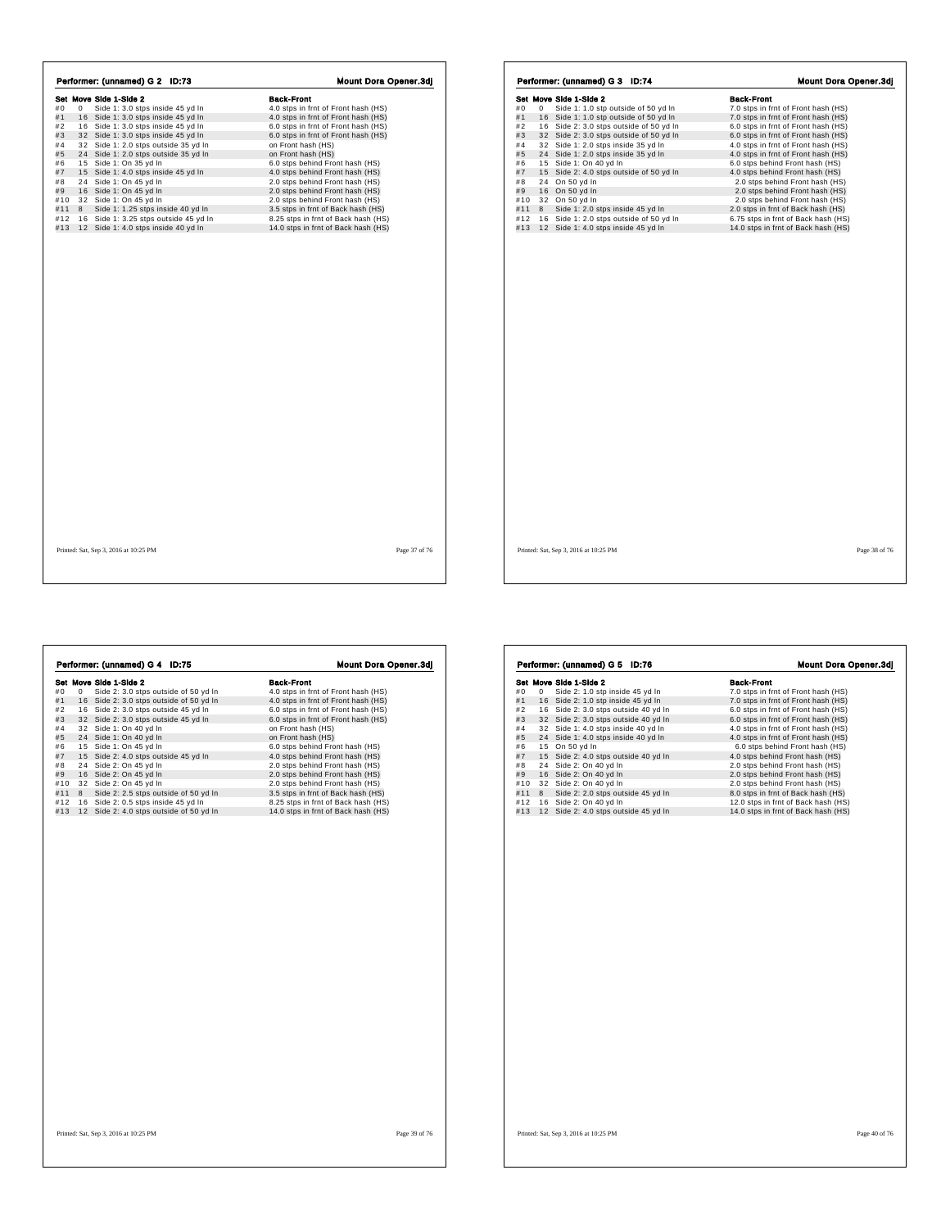|     |   | Performer: (unnamed) G 2 ID:73        | Mount Dora Opener.3dj               |  |
|-----|---|---------------------------------------|-------------------------------------|--|
|     |   | Set Move Side 1-Side 2                | <b>Back-Front</b>                   |  |
| #0  | 0 | Side 1: 3.0 stps inside 45 yd In      | 4.0 stps in frnt of Front hash (HS) |  |
| #1  |   | 16 Side 1: 3.0 stps inside 45 yd In   | 4.0 stps in frnt of Front hash (HS) |  |
| #2  |   | 16 Side 1: 3.0 stps inside 45 yd In   | 6.0 stps in frnt of Front hash (HS) |  |
| #3  |   | 32 Side 1: 3.0 stps inside 45 yd In   | 6.0 stps in frnt of Front hash (HS) |  |
| #4  |   | 32 Side 1: 2.0 stps outside 35 yd In  | on Front hash (HS)                  |  |
| #5  |   | 24 Side 1: 2.0 stps outside 35 vd In  | on Front hash (HS)                  |  |
| #6  |   | 15 Side 1: On 35 yd In                | 6.0 stps behind Front hash (HS)     |  |
| #7  |   | 15 Side 1: 4.0 stps inside 45 yd In   | 4.0 stps behind Front hash (HS)     |  |
| #8  |   | 24 Side 1: On 45 yd In                | 2.0 stps behind Front hash (HS)     |  |
| #9  |   | 16 Side 1: On 45 yd In                | 2.0 stps behind Front hash (HS)     |  |
| #10 |   | 32 Side 1: On 45 vd In                | 2.0 stps behind Front hash (HS)     |  |
| #11 | 8 | Side 1: 1.25 stps inside 40 yd In     | 3.5 stps in frnt of Back hash (HS)  |  |
| #12 |   | 16 Side 1: 3.25 stps outside 45 yd In | 8.25 stps in frnt of Back hash (HS) |  |
| #13 |   | 12 Side 1: 4.0 stps inside 40 yd In   | 14.0 stps in frnt of Back hash (HS) |  |
|     |   |                                       |                                     |  |
|     |   |                                       |                                     |  |

 $\overline{1}$ 

 $\sqrt{ }$ 

| Performer: (unnamed) G 3 ID:74 |   |                                         |                                     |
|--------------------------------|---|-----------------------------------------|-------------------------------------|
|                                |   | Set Move Side 1-Side 2                  | <b>Back-Front</b>                   |
| #0                             | 0 | Side 1: 1.0 stp outside of 50 yd In     | 7.0 stps in frnt of Front hash (HS) |
| #1                             |   | 16 Side 1: 1.0 stp outside of 50 yd In  | 7.0 stps in frnt of Front hash (HS) |
| #2                             |   | 16 Side 2: 3.0 stps outside of 50 yd In | 6.0 stps in frnt of Front hash (HS) |
| #3                             |   | 32 Side 2: 3.0 stps outside of 50 yd In | 6.0 stps in frnt of Front hash (HS) |
| #4                             |   | 32 Side 1: 2.0 stps inside 35 yd In     | 4.0 stps in frnt of Front hash (HS) |
| #5                             |   | 24 Side 1: 2.0 stps inside 35 yd In     | 4.0 stps in frnt of Front hash (HS) |
| #6                             |   | 15 Side 1: On 40 yd In                  | 6.0 stps behind Front hash (HS)     |
| #7                             |   | 15 Side 2: 4.0 stps outside of 50 yd In | 4.0 stps behind Front hash (HS)     |
| #8                             |   | 24 On 50 yd In                          | 2.0 stps behind Front hash (HS)     |
| #9                             |   | 16 On 50 yd In                          | 2.0 stps behind Front hash (HS)     |
| #10                            |   | 32 On 50 yd In                          | 2.0 stps behind Front hash (HS)     |
| #11                            | 8 | Side 1: 2.0 stps inside 45 yd In        | 2.0 stps in frnt of Back hash (HS)  |
| #12                            |   | 16 Side 1: 2.0 stps outside of 50 yd In | 6.75 stps in frnt of Back hash (HS) |
| #13                            |   | 12 Side 1: 4.0 stps inside 45 yd In     | 14.0 stps in frnt of Back hash (HS) |
|                                |   |                                         |                                     |
|                                |   |                                         |                                     |

| Performer: (unnamed) G 4 ID:75 |   |                                         |                                     |
|--------------------------------|---|-----------------------------------------|-------------------------------------|
|                                |   | Set Move Side 1-Side 2                  | <b>Back-Front</b>                   |
| #0                             | 0 | Side 2: 3.0 stps outside of 50 yd In    | 4.0 stps in frnt of Front hash (HS) |
| #1                             |   | 16 Side 2: 3.0 stps outside of 50 yd In | 4.0 stps in frnt of Front hash (HS) |
| #2                             |   | 16 Side 2: 3.0 stps outside 45 yd In    | 6.0 stps in frnt of Front hash (HS) |
| #3                             |   | 32 Side 2: 3.0 stps outside 45 yd In    | 6.0 stps in frnt of Front hash (HS) |
| #4                             |   | 32 Side 1: On 40 yd In                  | on Front hash (HS)                  |
| #5                             |   | 24 Side 1: On 40 yd In                  | on Front hash (HS)                  |
| #6                             |   | 15 Side 1: On 45 yd In                  | 6.0 stps behind Front hash (HS)     |
| #7                             |   | 15 Side 2: 4.0 stps outside 45 yd In    | 4.0 stps behind Front hash (HS)     |
| #8                             |   | 24 Side 2: On 45 yd In                  | 2.0 stps behind Front hash (HS)     |
| #9                             |   | 16 Side 2: On 45 vd In                  | 2.0 stps behind Front hash (HS)     |
| #10                            |   | 32 Side 2: On 45 yd In                  | 2.0 stps behind Front hash (HS)     |
| #11                            | 8 | Side 2: 2.5 stps outside of 50 yd In    | 3.5 stps in frnt of Back hash (HS)  |
| #12                            |   | 16 Side 2: 0.5 stps inside 45 yd In     | 8.25 stps in frnt of Back hash (HS) |
| #13                            |   | 12 Side 2: 4.0 stps outside of 50 yd In | 14.0 stps in frnt of Back hash (HS) |
|                                |   |                                         |                                     |
|                                |   |                                         |                                     |
|                                |   |                                         |                                     |

| Set Move Side 1-Side 2<br><b>Back-Front</b><br>#0<br>Side 2: 1.0 stp inside 45 yd In<br>7.0 stps in frnt of Front hash (HS)<br>0<br>#1<br>16 Side 2: 1.0 stp inside 45 yd In<br>7.0 stps in frnt of Front hash (HS)<br>#2<br>16 Side 2: 3.0 stps outside 40 yd In<br>6.0 stps in frnt of Front hash (HS)<br>#3<br>32 Side 2: 3.0 stps outside 40 yd In<br>6.0 stps in frnt of Front hash (HS)<br>#4<br>32 Side 1: 4.0 stps inside 40 yd In<br>4.0 stps in frnt of Front hash (HS)<br>#5<br>24 Side 1: 4.0 stps inside 40 yd In<br>4.0 stps in frnt of Front hash (HS)<br>#6<br>15 On 50 yd In<br>6.0 stps behind Front hash (HS)<br>#7<br>15 Side 2: 4.0 stps outside 40 yd In<br>4.0 stps behind Front hash (HS)<br>24 Side 2: On 40 yd In<br>#8<br>2.0 stps behind Front hash (HS)<br>#9<br>16 Side 2: On 40 yd In<br>2.0 stps behind Front hash (HS)<br>#10<br>32 Side 2: On 40 yd In<br>2.0 stps behind Front hash (HS)<br>#11<br>8<br>Side 2: 2.0 stps outside 45 yd In<br>8.0 stps in frnt of Back hash (HS)<br>#12<br>16 Side 2: On 40 yd In<br>12.0 stps in frnt of Back hash (HS)<br>#13<br>12 Side 2: 4.0 stps outside 45 yd In<br>14.0 stps in frnt of Back hash (HS) |  |  |  |
|----------------------------------------------------------------------------------------------------------------------------------------------------------------------------------------------------------------------------------------------------------------------------------------------------------------------------------------------------------------------------------------------------------------------------------------------------------------------------------------------------------------------------------------------------------------------------------------------------------------------------------------------------------------------------------------------------------------------------------------------------------------------------------------------------------------------------------------------------------------------------------------------------------------------------------------------------------------------------------------------------------------------------------------------------------------------------------------------------------------------------------------------------------------------------------|--|--|--|
|                                                                                                                                                                                                                                                                                                                                                                                                                                                                                                                                                                                                                                                                                                                                                                                                                                                                                                                                                                                                                                                                                                                                                                                  |  |  |  |
|                                                                                                                                                                                                                                                                                                                                                                                                                                                                                                                                                                                                                                                                                                                                                                                                                                                                                                                                                                                                                                                                                                                                                                                  |  |  |  |
|                                                                                                                                                                                                                                                                                                                                                                                                                                                                                                                                                                                                                                                                                                                                                                                                                                                                                                                                                                                                                                                                                                                                                                                  |  |  |  |
|                                                                                                                                                                                                                                                                                                                                                                                                                                                                                                                                                                                                                                                                                                                                                                                                                                                                                                                                                                                                                                                                                                                                                                                  |  |  |  |
|                                                                                                                                                                                                                                                                                                                                                                                                                                                                                                                                                                                                                                                                                                                                                                                                                                                                                                                                                                                                                                                                                                                                                                                  |  |  |  |
|                                                                                                                                                                                                                                                                                                                                                                                                                                                                                                                                                                                                                                                                                                                                                                                                                                                                                                                                                                                                                                                                                                                                                                                  |  |  |  |
|                                                                                                                                                                                                                                                                                                                                                                                                                                                                                                                                                                                                                                                                                                                                                                                                                                                                                                                                                                                                                                                                                                                                                                                  |  |  |  |
|                                                                                                                                                                                                                                                                                                                                                                                                                                                                                                                                                                                                                                                                                                                                                                                                                                                                                                                                                                                                                                                                                                                                                                                  |  |  |  |
|                                                                                                                                                                                                                                                                                                                                                                                                                                                                                                                                                                                                                                                                                                                                                                                                                                                                                                                                                                                                                                                                                                                                                                                  |  |  |  |
|                                                                                                                                                                                                                                                                                                                                                                                                                                                                                                                                                                                                                                                                                                                                                                                                                                                                                                                                                                                                                                                                                                                                                                                  |  |  |  |
|                                                                                                                                                                                                                                                                                                                                                                                                                                                                                                                                                                                                                                                                                                                                                                                                                                                                                                                                                                                                                                                                                                                                                                                  |  |  |  |
|                                                                                                                                                                                                                                                                                                                                                                                                                                                                                                                                                                                                                                                                                                                                                                                                                                                                                                                                                                                                                                                                                                                                                                                  |  |  |  |
|                                                                                                                                                                                                                                                                                                                                                                                                                                                                                                                                                                                                                                                                                                                                                                                                                                                                                                                                                                                                                                                                                                                                                                                  |  |  |  |
|                                                                                                                                                                                                                                                                                                                                                                                                                                                                                                                                                                                                                                                                                                                                                                                                                                                                                                                                                                                                                                                                                                                                                                                  |  |  |  |
|                                                                                                                                                                                                                                                                                                                                                                                                                                                                                                                                                                                                                                                                                                                                                                                                                                                                                                                                                                                                                                                                                                                                                                                  |  |  |  |
|                                                                                                                                                                                                                                                                                                                                                                                                                                                                                                                                                                                                                                                                                                                                                                                                                                                                                                                                                                                                                                                                                                                                                                                  |  |  |  |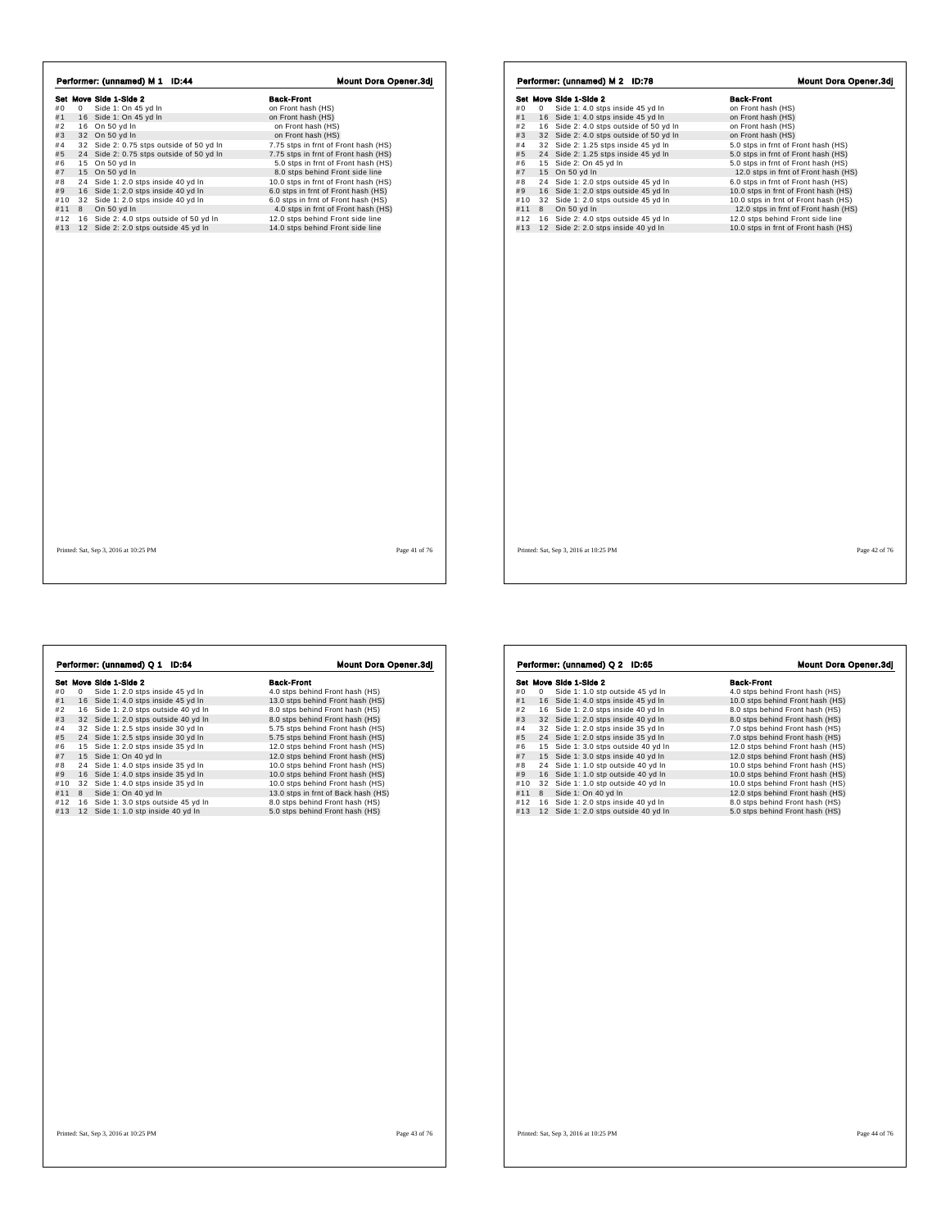| Performer: (unnamed) M 1 ID:44                                                                                                                                                                                                                                                                                                                                                                                                                                                                                                                 | <b>Mount Dora Opener.3dj</b>                                                                                                                                                                                                                                                                                                                                                                                                                                                                             | Performer: (unnamed) M 2 ID:78                                                                                                                                                                                                                                                                                                                                                                                                                                                                                                                                                                                                  | <b>Mount Dora Opener.3dj</b>                                                                                                                                                                                                                                                                                                                                                                                                                                                                                      |
|------------------------------------------------------------------------------------------------------------------------------------------------------------------------------------------------------------------------------------------------------------------------------------------------------------------------------------------------------------------------------------------------------------------------------------------------------------------------------------------------------------------------------------------------|----------------------------------------------------------------------------------------------------------------------------------------------------------------------------------------------------------------------------------------------------------------------------------------------------------------------------------------------------------------------------------------------------------------------------------------------------------------------------------------------------------|---------------------------------------------------------------------------------------------------------------------------------------------------------------------------------------------------------------------------------------------------------------------------------------------------------------------------------------------------------------------------------------------------------------------------------------------------------------------------------------------------------------------------------------------------------------------------------------------------------------------------------|-------------------------------------------------------------------------------------------------------------------------------------------------------------------------------------------------------------------------------------------------------------------------------------------------------------------------------------------------------------------------------------------------------------------------------------------------------------------------------------------------------------------|
| Set Move Side 1-Side 2<br>#0<br>0 Side 1: On 45 yd In<br>#1<br>16 Side 1: On 45 yd In<br>16 On 50 yd In<br>#2<br>#3<br>32 On 50 yd In<br>32 Side 2: 0.75 stps outside of 50 yd In<br>#4<br>24 Side 2: 0.75 stps outside of 50 yd In<br>#5<br>15 On 50 yd In<br>#6<br>15 On 50 yd In<br>#7<br>24 Side 1: 2.0 stps inside 40 yd In<br>#8<br>16 Side 1: 2.0 stps inside 40 yd In<br>#9<br>#10 32 Side 1: 2.0 stps inside 40 yd In<br>#11 8 On 50 yd In<br>#12 16 Side 2: 4.0 stps outside of 50 yd In<br>#13 12 Side 2: 2.0 stps outside 45 yd In | <b>Back-Front</b><br>on Front hash (HS)<br>on Front hash (HS)<br>on Front hash (HS)<br>on Front hash (HS)<br>7.75 stps in frnt of Front hash (HS)<br>7.75 stps in frnt of Front hash (HS)<br>5.0 stps in frnt of Front hash (HS)<br>8.0 stps behind Front side line<br>10.0 stps in frnt of Front hash (HS)<br>6.0 stps in frnt of Front hash (HS)<br>6.0 stps in frnt of Front hash (HS)<br>4.0 stps in frnt of Front hash (HS)<br>12.0 stps behind Front side line<br>14.0 stps behind Front side line | Set Move Side 1-Side 2<br>0 Side 1: 4.0 stps inside 45 yd In<br>#0<br>16 Side 1: 4.0 stps inside 45 yd In<br>#1<br>16 Side 2: 4.0 stps outside of 50 yd In<br>#2<br>#3<br>32 Side 2: 4.0 stps outside of 50 yd In<br>#4<br>32 Side 2: 1.25 stps inside 45 yd In<br>#5<br>24 Side 2: 1.25 stps inside 45 yd In<br>15 Side 2: On 45 yd In<br>#6<br>15 On 50 yd In<br>#7<br>24 Side 1: 2.0 stps outside 45 yd In<br>#8<br>16 Side 1: 2.0 stps outside 45 yd In<br>#9<br>32 Side 1: 2.0 stps outside 45 yd In<br>#10<br>8 On 50 yd In<br>#11<br>#12 16 Side 2: 4.0 stps outside 45 yd In<br>#13 12 Side 2: 2.0 stps inside 40 yd In | <b>Back-Front</b><br>on Front hash (HS)<br>on Front hash (HS)<br>on Front hash (HS)<br>on Front hash (HS)<br>5.0 stps in frnt of Front hash (HS)<br>5.0 stps in frnt of Front hash (HS)<br>5.0 stps in frnt of Front hash (HS)<br>12.0 stps in frnt of Front hash (HS)<br>6.0 stps in frnt of Front hash (HS)<br>10.0 stps in frnt of Front hash (HS)<br>10.0 stps in frnt of Front hash (HS)<br>12.0 stps in frnt of Front hash (HS)<br>12.0 stps behind Front side line<br>10.0 stps in frnt of Front hash (HS) |
| Printed: Sat, Sep 3, 2016 at 10:25 PM                                                                                                                                                                                                                                                                                                                                                                                                                                                                                                          | Page 41 of 76                                                                                                                                                                                                                                                                                                                                                                                                                                                                                            | Printed: Sat, Sep 3, 2016 at 10:25 PM                                                                                                                                                                                                                                                                                                                                                                                                                                                                                                                                                                                           | Page 42 of 76                                                                                                                                                                                                                                                                                                                                                                                                                                                                                                     |

 $\sqrt{ }$ 

Г

**Set Move Side 1-Side 2**<br>
#1 **6** Side 1: 2.0 stps inside 45 yd In 4.0 stps behind Front hash (HS)<br>
#1 **6** Side 1: 2.0 stps outside 40 yd In 8.0.0 stps behind Front hash (HS)<br>
#2 16 Side 1: 2.0 stps outside 40 yd In 8.0 st

Performer: (unnamed) Q 1 ID:64 Mount Dora Opener.3dj

#43 24 Side 1: 2.5 stps inside 30 yd In 5.75 stps behind Front hash (HS)<br>#5 24 Side 1: 2.5 stps inside 30 yd In 5.75 stps behind Front hash (HS)<br>#6 15 Side 1: 2.0 stps inside 35 yd In 12.0 stps behind Front hash (HS)<br>#7 1

|          | Set Move Side 1-Side 2               | <b>Back-Front</b>                |
|----------|--------------------------------------|----------------------------------|
| #0<br>0  | Side 1: 1.0 stp outside 45 yd In     | 4.0 stps behind Front hash (HS)  |
| #1       | 16 Side 1: 4.0 stps inside 45 yd In  | 10.0 stps behind Front hash (HS) |
| #2       | 16 Side 1: 2.0 stps inside 40 yd In  | 8.0 stps behind Front hash (HS)  |
| #3       | 32 Side 1: 2.0 stps inside 40 yd In  | 8.0 stps behind Front hash (HS)  |
| #4       | 32 Side 1: 2.0 stps inside 35 yd In  | 7.0 stps behind Front hash (HS)  |
| #5       | 24 Side 1: 2.0 stps inside 35 yd In  | 7.0 stps behind Front hash (HS)  |
| #6       | 15 Side 1: 3.0 stps outside 40 yd In | 12.0 stps behind Front hash (HS) |
| #7       | 15 Side 1: 3.0 stps inside 40 yd In  | 12.0 stps behind Front hash (HS) |
| #8       | 24 Side 1: 1.0 stp outside 40 yd In  | 10.0 stps behind Front hash (HS) |
| #9       | 16 Side 1: 1.0 stp outside 40 yd In  | 10.0 stps behind Front hash (HS) |
| #10      | 32 Side 1: 1.0 stp outside 40 yd In  | 10.0 stps behind Front hash (HS) |
| #11<br>8 | Side 1: On 40 yd In                  | 12.0 stps behind Front hash (HS) |
| #12      | 16 Side 1: 2.0 stps inside 40 yd In  | 8.0 stps behind Front hash (HS)  |
| #13      | 12 Side 1: 2.0 stps outside 40 yd In | 5.0 stps behind Front hash (HS)  |
|          |                                      |                                  |
|          |                                      |                                  |
|          |                                      |                                  |
|          |                                      |                                  |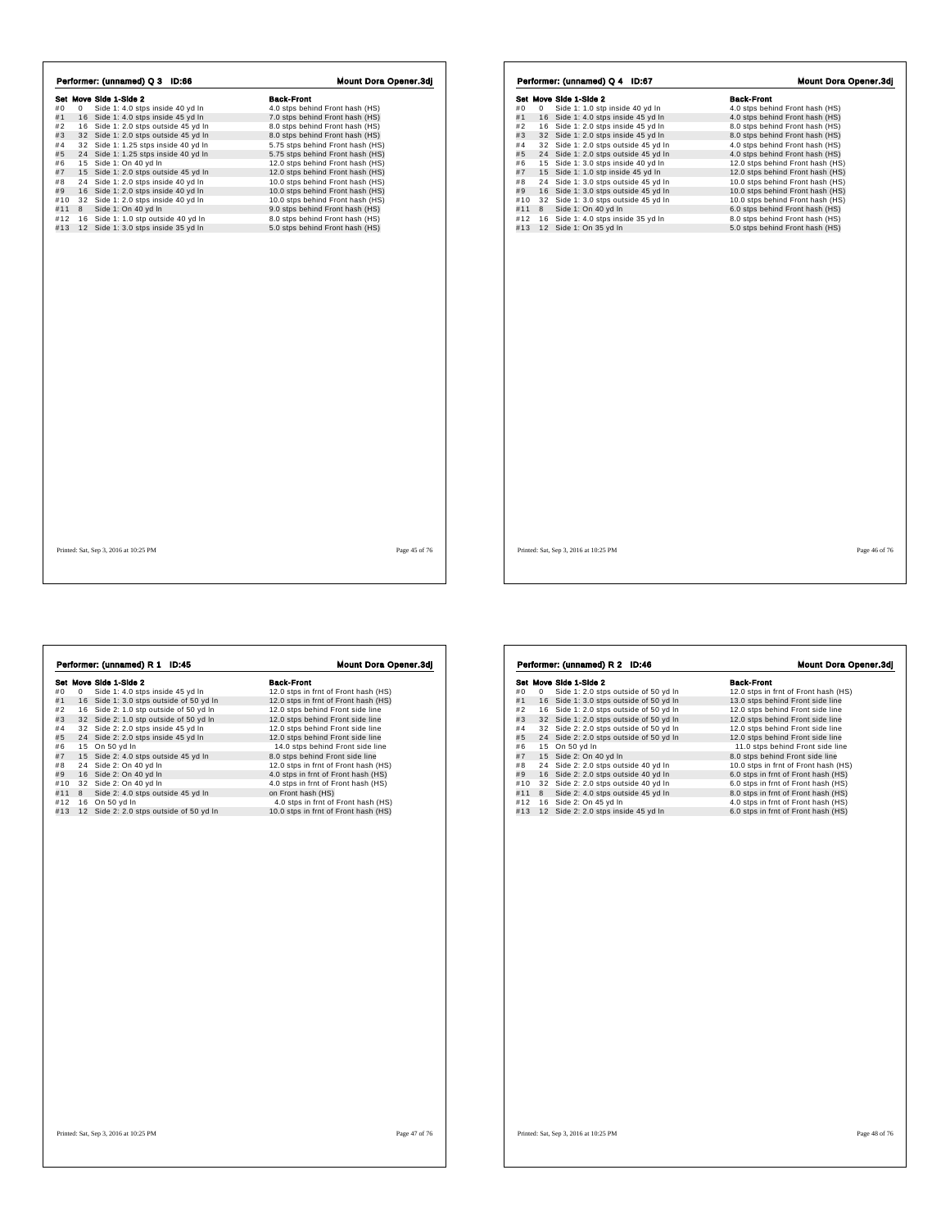|     |   | Performer: (unnamed) Q 3 ID:66        | Mount Dora Opener.3dj            |               |
|-----|---|---------------------------------------|----------------------------------|---------------|
|     |   | Set Move Side 1-Side 2                | <b>Back-Front</b>                |               |
| #0  | 0 | Side 1: 4.0 stps inside 40 yd In      | 4.0 stps behind Front hash (HS)  |               |
| #1  |   | 16 Side 1: 4.0 stps inside 45 yd In   | 7.0 stps behind Front hash (HS)  |               |
| #2  |   | 16 Side 1: 2.0 stps outside 45 yd In  | 8.0 stps behind Front hash (HS)  |               |
| #3  |   | 32 Side 1: 2.0 stps outside 45 yd In  | 8.0 stps behind Front hash (HS)  |               |
| #4  |   | 32 Side 1: 1.25 stps inside 40 yd In  | 5.75 stps behind Front hash (HS) |               |
| #5  |   | 24 Side 1: 1.25 stps inside 40 yd In  | 5.75 stps behind Front hash (HS) |               |
| #6  |   | 15 Side 1: On 40 yd In                | 12.0 stps behind Front hash (HS) |               |
| #7  |   | 15 Side 1: 2.0 stps outside 45 yd In  | 12.0 stps behind Front hash (HS) |               |
| #8  |   | 24 Side 1: 2.0 stps inside 40 yd In   | 10.0 stps behind Front hash (HS) |               |
| #9  |   | 16 Side 1: 2.0 stps inside 40 yd In   | 10.0 stps behind Front hash (HS) |               |
| #10 |   | 32 Side 1: 2.0 stps inside 40 vd In   | 10.0 stps behind Front hash (HS) |               |
| #11 | 8 | Side 1: On 40 yd In                   | 9.0 stps behind Front hash (HS)  |               |
| #12 |   | 16 Side 1: 1.0 stp outside 40 yd In   | 8.0 stps behind Front hash (HS)  |               |
| #13 |   | 12 Side 1: 3.0 stps inside 35 yd In   | 5.0 stps behind Front hash (HS)  |               |
|     |   |                                       |                                  |               |
|     |   | Printed: Sat, Sep 3, 2016 at 10:25 PM |                                  | Page 45 of 76 |

|     |   | Set Move Side 1-Side 2               | <b>Back-Front</b>                |
|-----|---|--------------------------------------|----------------------------------|
| #0  | 0 | Side 1: 1.0 stp inside 40 yd In      | 4.0 stps behind Front hash (HS)  |
| #1  |   | 16 Side 1: 4.0 stps inside 45 yd In  | 4.0 stps behind Front hash (HS)  |
| #2  |   | 16 Side 1: 2.0 stps inside 45 yd In  | 8.0 stps behind Front hash (HS)  |
| #3  |   | 32 Side 1: 2.0 stps inside 45 yd In  | 8.0 stps behind Front hash (HS)  |
| #4  |   | 32 Side 1: 2.0 stps outside 45 yd In | 4.0 stps behind Front hash (HS)  |
| #5  |   | 24 Side 1: 2.0 stps outside 45 yd In | 4.0 stps behind Front hash (HS)  |
| #6  |   | 15 Side 1: 3.0 stps inside 40 yd In  | 12.0 stps behind Front hash (HS) |
| #7  |   | 15 Side 1: 1.0 stp inside 45 yd In   | 12.0 stps behind Front hash (HS) |
| #8  |   | 24 Side 1: 3.0 stps outside 45 yd In | 10.0 stps behind Front hash (HS) |
| #9  |   | 16 Side 1: 3.0 stps outside 45 yd In | 10.0 stps behind Front hash (HS) |
| #10 |   | 32 Side 1: 3.0 stps outside 45 yd In | 10.0 stps behind Front hash (HS) |
| #11 | 8 | Side 1: On 40 vd In                  | 6.0 stps behind Front hash (HS)  |
| #12 |   | 16 Side 1: 4.0 stps inside 35 yd In  | 8.0 stps behind Front hash (HS)  |
| #13 |   | 12 Side 1: On 35 yd In               | 5.0 stps behind Front hash (HS)  |
|     |   |                                      |                                  |
|     |   |                                      |                                  |

 $\overline{1}$ 

**Set Move Side 1-Side 2**<br> **Set Move Side 1: 4.0** stps inside 45 yd In **Sack-Front** 12.0 stps in fmt of Front hash (HS)<br>
#1 16 Side 1: 3.0 stps outside of 50 yd In 12.0 stps in fmt of Front hash (HS)<br>
#3 32 Side 2: 1.0 stp **Performer: (unnamed) R 1 ID:45 Mount Dora Opener.3dj**<br> **Set Move Side 1:** 4.0 stps inside 45 yd ln 12.0 stps in fmt of Front hash (HS)<br>
#1 16 Side 1: 4.0 stps outside of 50 yd ln 12.0 stps in fmt of Front hash (HS)<br>
#2 1

| Set Move Side 1-Side 2<br>Side 1: 2.0 stps outside of 50 yd In<br>#0<br>0<br>12.0 stps in frnt of Front hash (HS)<br>#1<br>16 Side 1: 3.0 stps outside of 50 yd In<br>13.0 stps behind Front side line<br>#2<br>16 Side 1: 2.0 stps outside of 50 yd In<br>12.0 stps behind Front side line<br>#3<br>32 Side 1: 2.0 stps outside of 50 yd In<br>12.0 stps behind Front side line<br>#4<br>32 Side 2: 2.0 stps outside of 50 yd In<br>12.0 stps behind Front side line<br>#5<br>24 Side 2: 2.0 stps outside of 50 yd In<br>12.0 stps behind Front side line<br>#6<br>15 On 50 yd In<br>11.0 stps behind Front side line<br>#7<br>15 Side 2: On 40 yd In<br>8.0 stps behind Front side line<br>#8<br>24 Side 2: 2.0 stps outside 40 yd In<br>10.0 stps in frnt of Front hash (HS)<br>#9<br>16 Side 2: 2.0 stps outside 40 yd In<br>6.0 stps in frnt of Front hash (HS)<br>#10<br>32 Side 2: 2.0 stps outside 40 yd In<br>6.0 stps in frnt of Front hash (HS)<br>#11<br>Side 2: 4.0 stps outside 45 yd In<br>8.0 stps in frnt of Front hash (HS)<br>8<br>#12<br>16 Side 2: On 45 yd In<br>4.0 stps in frnt of Front hash (HS)<br>#13<br>12 Side 2: 2.0 stps inside 45 yd In<br>6.0 stps in frnt of Front hash (HS) |  |                   |
|-----------------------------------------------------------------------------------------------------------------------------------------------------------------------------------------------------------------------------------------------------------------------------------------------------------------------------------------------------------------------------------------------------------------------------------------------------------------------------------------------------------------------------------------------------------------------------------------------------------------------------------------------------------------------------------------------------------------------------------------------------------------------------------------------------------------------------------------------------------------------------------------------------------------------------------------------------------------------------------------------------------------------------------------------------------------------------------------------------------------------------------------------------------------------------------------------------------------|--|-------------------|
|                                                                                                                                                                                                                                                                                                                                                                                                                                                                                                                                                                                                                                                                                                                                                                                                                                                                                                                                                                                                                                                                                                                                                                                                                 |  | <b>Back-Front</b> |
|                                                                                                                                                                                                                                                                                                                                                                                                                                                                                                                                                                                                                                                                                                                                                                                                                                                                                                                                                                                                                                                                                                                                                                                                                 |  |                   |
|                                                                                                                                                                                                                                                                                                                                                                                                                                                                                                                                                                                                                                                                                                                                                                                                                                                                                                                                                                                                                                                                                                                                                                                                                 |  |                   |
|                                                                                                                                                                                                                                                                                                                                                                                                                                                                                                                                                                                                                                                                                                                                                                                                                                                                                                                                                                                                                                                                                                                                                                                                                 |  |                   |
|                                                                                                                                                                                                                                                                                                                                                                                                                                                                                                                                                                                                                                                                                                                                                                                                                                                                                                                                                                                                                                                                                                                                                                                                                 |  |                   |
|                                                                                                                                                                                                                                                                                                                                                                                                                                                                                                                                                                                                                                                                                                                                                                                                                                                                                                                                                                                                                                                                                                                                                                                                                 |  |                   |
|                                                                                                                                                                                                                                                                                                                                                                                                                                                                                                                                                                                                                                                                                                                                                                                                                                                                                                                                                                                                                                                                                                                                                                                                                 |  |                   |
|                                                                                                                                                                                                                                                                                                                                                                                                                                                                                                                                                                                                                                                                                                                                                                                                                                                                                                                                                                                                                                                                                                                                                                                                                 |  |                   |
|                                                                                                                                                                                                                                                                                                                                                                                                                                                                                                                                                                                                                                                                                                                                                                                                                                                                                                                                                                                                                                                                                                                                                                                                                 |  |                   |
|                                                                                                                                                                                                                                                                                                                                                                                                                                                                                                                                                                                                                                                                                                                                                                                                                                                                                                                                                                                                                                                                                                                                                                                                                 |  |                   |
|                                                                                                                                                                                                                                                                                                                                                                                                                                                                                                                                                                                                                                                                                                                                                                                                                                                                                                                                                                                                                                                                                                                                                                                                                 |  |                   |
|                                                                                                                                                                                                                                                                                                                                                                                                                                                                                                                                                                                                                                                                                                                                                                                                                                                                                                                                                                                                                                                                                                                                                                                                                 |  |                   |
|                                                                                                                                                                                                                                                                                                                                                                                                                                                                                                                                                                                                                                                                                                                                                                                                                                                                                                                                                                                                                                                                                                                                                                                                                 |  |                   |
|                                                                                                                                                                                                                                                                                                                                                                                                                                                                                                                                                                                                                                                                                                                                                                                                                                                                                                                                                                                                                                                                                                                                                                                                                 |  |                   |
|                                                                                                                                                                                                                                                                                                                                                                                                                                                                                                                                                                                                                                                                                                                                                                                                                                                                                                                                                                                                                                                                                                                                                                                                                 |  |                   |
|                                                                                                                                                                                                                                                                                                                                                                                                                                                                                                                                                                                                                                                                                                                                                                                                                                                                                                                                                                                                                                                                                                                                                                                                                 |  |                   |
|                                                                                                                                                                                                                                                                                                                                                                                                                                                                                                                                                                                                                                                                                                                                                                                                                                                                                                                                                                                                                                                                                                                                                                                                                 |  |                   |
|                                                                                                                                                                                                                                                                                                                                                                                                                                                                                                                                                                                                                                                                                                                                                                                                                                                                                                                                                                                                                                                                                                                                                                                                                 |  |                   |
|                                                                                                                                                                                                                                                                                                                                                                                                                                                                                                                                                                                                                                                                                                                                                                                                                                                                                                                                                                                                                                                                                                                                                                                                                 |  |                   |
|                                                                                                                                                                                                                                                                                                                                                                                                                                                                                                                                                                                                                                                                                                                                                                                                                                                                                                                                                                                                                                                                                                                                                                                                                 |  |                   |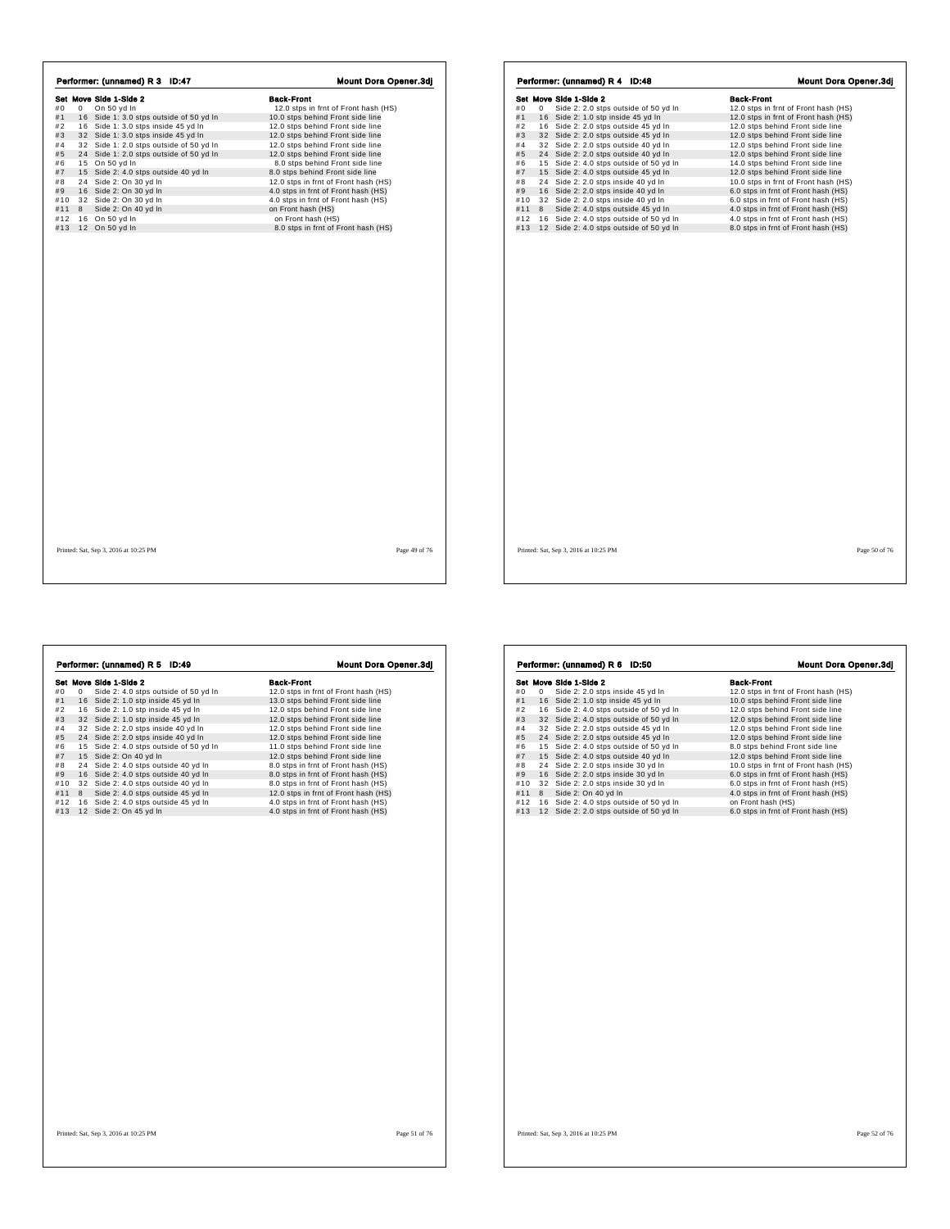|     |              | Performer: (unnamed) R 3 ID:47          | Mount Dora Opener.3dj                |
|-----|--------------|-----------------------------------------|--------------------------------------|
|     |              | Set Move Side 1-Side 2                  | <b>Back-Front</b>                    |
| #0  | $\mathbf{0}$ | On 50 yd In                             | 12.0 stps in frnt of Front hash (HS) |
| #1  |              | 16 Side 1: 3.0 stps outside of 50 yd In | 10.0 stps behind Front side line     |
| #2  |              | 16 Side 1: 3.0 stps inside 45 yd In     | 12.0 stps behind Front side line     |
| #3  |              | 32 Side 1: 3.0 stps inside 45 yd In     | 12.0 stps behind Front side line     |
| #4  |              | 32 Side 1: 2.0 stps outside of 50 yd In | 12.0 stps behind Front side line     |
| #5  |              | 24 Side 1: 2.0 stps outside of 50 yd In | 12.0 stps behind Front side line     |
| #6  |              | 15 On 50 yd In                          | 8.0 stps behind Front side line      |
| #7  |              | 15 Side 2: 4.0 stps outside 40 yd In    | 8.0 stps behind Front side line      |
| #8  |              | 24 Side 2: On 30 yd In                  | 12.0 stps in frnt of Front hash (HS) |
| #9  |              | 16 Side 2: On 30 yd In                  | 4.0 stps in frnt of Front hash (HS)  |
| #10 |              | 32 Side 2: On 30 yd In                  | 4.0 stps in frnt of Front hash (HS)  |
| #11 | 8            | Side 2: On 40 yd In                     | on Front hash (HS)                   |
| #12 |              | 16 On 50 yd In                          | on Front hash (HS)                   |
| #13 |              | 12 On 50 yd In                          | 8.0 stps in frnt of Front hash (HS)  |
|     |              |                                         |                                      |
|     |              | Printed: Sat, Sep 3, 2016 at 10:25 PM   | Page 49 of 76                        |

|     |   | Set Move Side 1-Side 2                  | <b>Back-Front</b>                    |
|-----|---|-----------------------------------------|--------------------------------------|
|     |   |                                         |                                      |
| #0  | 0 | Side 2: 2.0 stps outside of 50 yd In    | 12.0 stps in frnt of Front hash (HS) |
| #1  |   | 16 Side 2: 1.0 stp inside 45 yd In      | 12.0 stps in frnt of Front hash (HS) |
| #2  |   | 16 Side 2: 2.0 stps outside 45 yd In    | 12.0 stps behind Front side line     |
| #3  |   | 32 Side 2: 2.0 stps outside 45 yd In    | 12.0 stps behind Front side line     |
| #4  |   | 32 Side 2: 2.0 stps outside 40 yd In    | 12.0 stps behind Front side line     |
| #5  |   | 24 Side 2: 2.0 stps outside 40 yd In    | 12.0 stps behind Front side line     |
| #6  |   | 15 Side 2: 4.0 stps outside of 50 yd In | 14.0 stps behind Front side line     |
| #7  |   | 15 Side 2: 4.0 stps outside 45 yd In    | 12.0 stps behind Front side line     |
| #8  |   | 24 Side 2: 2.0 stps inside 40 yd In     | 10.0 stps in frnt of Front hash (HS) |
| #9  |   | 16 Side 2: 2.0 stps inside 40 yd In     | 6.0 stps in frnt of Front hash (HS)  |
| #10 |   | 32 Side 2: 2.0 stps inside 40 yd In     | 6.0 stps in frnt of Front hash (HS)  |
| #11 | 8 | Side 2: 4.0 stps outside 45 yd In       | 4.0 stps in frnt of Front hash (HS)  |
| #12 |   | 16 Side 2: 4.0 stps outside of 50 yd In | 4.0 stps in frnt of Front hash (HS)  |
| #13 |   | 12 Side 2: 4.0 stps outside of 50 yd In | 8.0 stps in frnt of Front hash (HS)  |
|     |   |                                         |                                      |
|     |   |                                         |                                      |

 $\sqrt{ }$ 

 $\lceil$ 

**Set Move Side 1-Side 2**<br> **Set Move Side 2: 4.0** stps outside of 50 yd In 13.0 stps in fmt of Front hash (HS)<br>
#1 16 Side 2: 1.0 stp inside 45 yd In 12.0 stps behind Front side line<br>
#3 32 Side 2: 1.0 stp inside 45 yd In **Performer: (unnamed) R 5 ID:49** Mount Dora Opener.3d]<br> **Set Move Side 1-Side 2**<br>
#1 1 6 Side 2: 4.0 stps inside 45 yd In 1 2.0 stps in frt of Front hash (HS)<br>
#1 1 6 Side 2: 1.0 stp inside 45 yd In 1 2.0 stps behind Fron

| #0<br>#1<br>#2<br>#3<br>#4<br>#5<br>#6<br>#7<br>#8<br>#9<br>#10<br>#11<br>#12<br>#13 | 0<br>16<br>24<br>24<br>16<br>8 | Set Move Side 1-Side 2<br>Side 2: 2.0 stps inside 45 yd In<br>16 Side 2: 1.0 stp inside 45 yd In<br>Side 2: 4.0 stps outside of 50 yd In<br>32 Side 2: 4.0 stps outside of 50 yd In<br>32 Side 2: 2.0 stps outside 45 yd In<br>Side 2: 2.0 stps outside 45 yd In<br>15 Side 2: 4.0 stps outside of 50 yd In<br>15 Side 2: 4.0 stps outside 40 yd In<br>Side 2: 2.0 stps inside 30 yd In<br>Side 2: 2.0 stps inside 30 yd In<br>32 Side 2: 2.0 stps inside 30 yd In<br>Side 2: On 40 yd In<br>16 Side 2: 4.0 stps outside of 50 yd In<br>12 Side 2: 2.0 stps outside of 50 yd In | <b>Back-Front</b><br>12.0 stps in frnt of Front hash (HS)<br>10.0 stps behind Front side line<br>12.0 stps behind Front side line<br>12.0 stps behind Front side line<br>12.0 stps behind Front side line<br>12.0 stps behind Front side line<br>8.0 stps behind Front side line<br>12.0 stps behind Front side line<br>10.0 stps in frnt of Front hash (HS)<br>6.0 stps in frnt of Front hash (HS)<br>6.0 stps in frnt of Front hash (HS)<br>4.0 stps in frnt of Front hash (HS)<br>on Front hash (HS)<br>6.0 stps in frnt of Front hash (HS) |
|--------------------------------------------------------------------------------------|--------------------------------|---------------------------------------------------------------------------------------------------------------------------------------------------------------------------------------------------------------------------------------------------------------------------------------------------------------------------------------------------------------------------------------------------------------------------------------------------------------------------------------------------------------------------------------------------------------------------------|------------------------------------------------------------------------------------------------------------------------------------------------------------------------------------------------------------------------------------------------------------------------------------------------------------------------------------------------------------------------------------------------------------------------------------------------------------------------------------------------------------------------------------------------|
|                                                                                      |                                |                                                                                                                                                                                                                                                                                                                                                                                                                                                                                                                                                                                 |                                                                                                                                                                                                                                                                                                                                                                                                                                                                                                                                                |
|                                                                                      |                                |                                                                                                                                                                                                                                                                                                                                                                                                                                                                                                                                                                                 |                                                                                                                                                                                                                                                                                                                                                                                                                                                                                                                                                |
|                                                                                      |                                |                                                                                                                                                                                                                                                                                                                                                                                                                                                                                                                                                                                 |                                                                                                                                                                                                                                                                                                                                                                                                                                                                                                                                                |
|                                                                                      |                                |                                                                                                                                                                                                                                                                                                                                                                                                                                                                                                                                                                                 |                                                                                                                                                                                                                                                                                                                                                                                                                                                                                                                                                |
|                                                                                      |                                |                                                                                                                                                                                                                                                                                                                                                                                                                                                                                                                                                                                 |                                                                                                                                                                                                                                                                                                                                                                                                                                                                                                                                                |
|                                                                                      |                                |                                                                                                                                                                                                                                                                                                                                                                                                                                                                                                                                                                                 |                                                                                                                                                                                                                                                                                                                                                                                                                                                                                                                                                |
|                                                                                      |                                |                                                                                                                                                                                                                                                                                                                                                                                                                                                                                                                                                                                 |                                                                                                                                                                                                                                                                                                                                                                                                                                                                                                                                                |
|                                                                                      |                                |                                                                                                                                                                                                                                                                                                                                                                                                                                                                                                                                                                                 |                                                                                                                                                                                                                                                                                                                                                                                                                                                                                                                                                |
|                                                                                      |                                |                                                                                                                                                                                                                                                                                                                                                                                                                                                                                                                                                                                 |                                                                                                                                                                                                                                                                                                                                                                                                                                                                                                                                                |
|                                                                                      |                                |                                                                                                                                                                                                                                                                                                                                                                                                                                                                                                                                                                                 |                                                                                                                                                                                                                                                                                                                                                                                                                                                                                                                                                |
|                                                                                      |                                |                                                                                                                                                                                                                                                                                                                                                                                                                                                                                                                                                                                 |                                                                                                                                                                                                                                                                                                                                                                                                                                                                                                                                                |
|                                                                                      |                                |                                                                                                                                                                                                                                                                                                                                                                                                                                                                                                                                                                                 |                                                                                                                                                                                                                                                                                                                                                                                                                                                                                                                                                |
|                                                                                      |                                |                                                                                                                                                                                                                                                                                                                                                                                                                                                                                                                                                                                 |                                                                                                                                                                                                                                                                                                                                                                                                                                                                                                                                                |
|                                                                                      |                                |                                                                                                                                                                                                                                                                                                                                                                                                                                                                                                                                                                                 |                                                                                                                                                                                                                                                                                                                                                                                                                                                                                                                                                |
|                                                                                      |                                |                                                                                                                                                                                                                                                                                                                                                                                                                                                                                                                                                                                 |                                                                                                                                                                                                                                                                                                                                                                                                                                                                                                                                                |
|                                                                                      |                                |                                                                                                                                                                                                                                                                                                                                                                                                                                                                                                                                                                                 | Page 52 of 76                                                                                                                                                                                                                                                                                                                                                                                                                                                                                                                                  |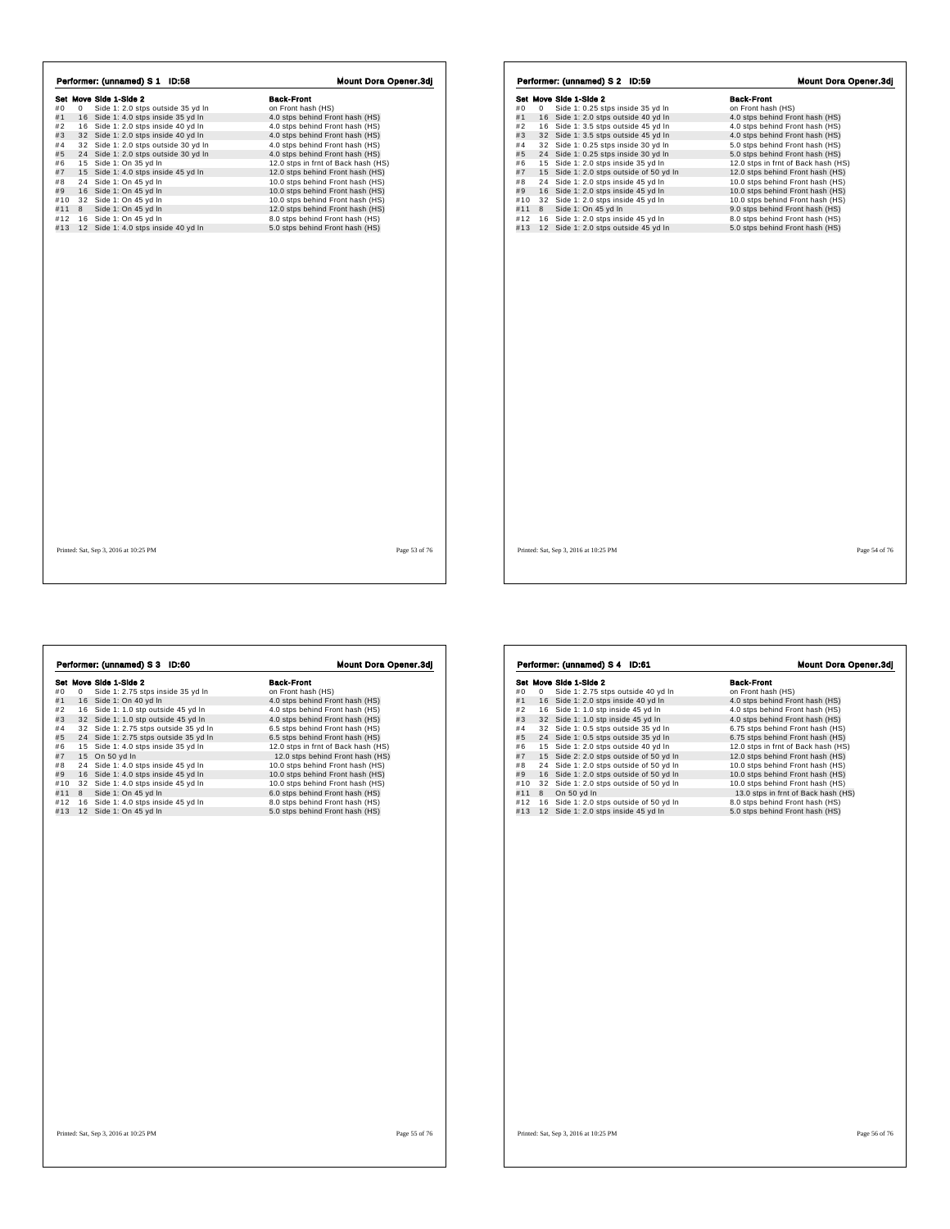|     |   | Performer: (unnamed) S 1 ID:58       | <b>Mount Dora Opener.3dj</b>        |
|-----|---|--------------------------------------|-------------------------------------|
|     |   | Set Move Side 1-Side 2               | <b>Back-Front</b>                   |
| #0  | 0 | Side 1: 2.0 stps outside 35 yd In    | on Front hash (HS)                  |
| #1  |   | 16 Side 1: 4.0 stps inside 35 yd In  | 4.0 stps behind Front hash (HS)     |
| #2  |   | 16 Side 1: 2.0 stps inside 40 yd In  | 4.0 stps behind Front hash (HS)     |
| #3  |   | 32 Side 1: 2.0 stps inside 40 yd In  | 4.0 stps behind Front hash (HS)     |
| #4  |   | 32 Side 1: 2.0 stps outside 30 yd In | 4.0 stps behind Front hash (HS)     |
| #5  |   | 24 Side 1: 2.0 stps outside 30 yd In | 4.0 stps behind Front hash (HS)     |
| #6  |   | 15 Side 1: On 35 yd In               | 12.0 stps in frnt of Back hash (HS) |
| #7  |   | 15 Side 1: 4.0 stps inside 45 yd In  | 12.0 stps behind Front hash (HS)    |
| #8  |   | 24 Side 1: On 45 yd In               | 10.0 stps behind Front hash (HS)    |
| #9  |   | 16 Side 1: On 45 yd In               | 10.0 stps behind Front hash (HS)    |
| #10 |   | 32 Side 1: On 45 yd In               | 10.0 stps behind Front hash (HS)    |
| #11 | 8 | Side 1: On 45 yd In                  | 12.0 stps behind Front hash (HS)    |
| #12 |   | 16 Side 1: On 45 yd In               | 8.0 stps behind Front hash (HS)     |
| #13 |   | 12 Side 1: 4.0 stps inside 40 yd In  | 5.0 stps behind Front hash (HS)     |
|     |   |                                      |                                     |
|     |   |                                      |                                     |

| Performer: (unnamed) S 2 ID:59 |   |                                         |  |                                     | <b>Mount Dora Opener.3dj</b> |  |
|--------------------------------|---|-----------------------------------------|--|-------------------------------------|------------------------------|--|
|                                |   | Set Move Side 1-Side 2                  |  | <b>Back-Front</b>                   |                              |  |
| #0                             | 0 | Side 1: 0.25 stps inside 35 yd In       |  | on Front hash (HS)                  |                              |  |
| #1                             |   | 16 Side 1: 2.0 stps outside 40 yd In    |  | 4.0 stps behind Front hash (HS)     |                              |  |
| #2                             |   | 16 Side 1: 3.5 stps outside 45 yd In    |  | 4.0 stps behind Front hash (HS)     |                              |  |
| #3                             |   | 32 Side 1: 3.5 stps outside 45 yd In    |  | 4.0 stps behind Front hash (HS)     |                              |  |
| #4                             |   | 32 Side 1: 0.25 stps inside 30 yd In    |  | 5.0 stps behind Front hash (HS)     |                              |  |
| #5                             |   | 24 Side 1: 0.25 stps inside 30 vd In    |  | 5.0 stps behind Front hash (HS)     |                              |  |
| #6                             |   | 15 Side 1: 2.0 stps inside 35 yd In     |  | 12.0 stps in frnt of Back hash (HS) |                              |  |
| #7                             |   | 15 Side 1: 2.0 stps outside of 50 yd In |  | 12.0 stps behind Front hash (HS)    |                              |  |
| #8                             |   | 24 Side 1: 2.0 stps inside 45 yd In     |  | 10.0 stps behind Front hash (HS)    |                              |  |
| #9                             |   | 16 Side 1: 2.0 stps inside 45 yd In     |  | 10.0 stps behind Front hash (HS)    |                              |  |
| #10                            |   | 32 Side 1: 2.0 stps inside 45 yd In     |  | 10.0 stps behind Front hash (HS)    |                              |  |
| #11                            | 8 | Side 1: On 45 yd In                     |  | 9.0 stps behind Front hash (HS)     |                              |  |
| #12                            |   | 16 Side 1: 2.0 stps inside 45 yd In     |  | 8.0 stps behind Front hash (HS)     |                              |  |
| #13                            |   | 12 Side 1: 2.0 stps outside 45 yd In    |  | 5.0 stps behind Front hash (HS)     |                              |  |
|                                |   |                                         |  |                                     |                              |  |
|                                |   |                                         |  |                                     |                              |  |

 $\sqrt{2}$ 

 $\sqrt{ }$ 

|     |   | Performer: (unnamed) S 3 ID:60        | <b>Mount Dora Opener.3dj</b>        |
|-----|---|---------------------------------------|-------------------------------------|
|     |   | Set Move Side 1-Side 2                | <b>Back-Front</b>                   |
| #0  | 0 | Side 1: 2.75 stps inside 35 yd In     | on Front hash (HS)                  |
| #1  |   | 16 Side 1: On 40 yd In                | 4.0 stps behind Front hash (HS)     |
| #2  |   | 16 Side 1: 1.0 stp outside 45 yd In   | 4.0 stps behind Front hash (HS)     |
| #3  |   | 32 Side 1: 1.0 stp outside 45 vd In   | 4.0 stps behind Front hash (HS)     |
| #4  |   | 32 Side 1: 2.75 stps outside 35 yd In | 6.5 stps behind Front hash (HS)     |
| #5  |   | 24 Side 1: 2.75 stps outside 35 yd In | 6.5 stps behind Front hash (HS)     |
| #6  |   | 15 Side 1: 4.0 stps inside 35 yd In   | 12.0 stps in frnt of Back hash (HS) |
| #7  |   | 15 On 50 yd In                        | 12.0 stps behind Front hash (HS)    |
| #8  |   | 24 Side 1: 4.0 stps inside 45 yd In   | 10.0 stps behind Front hash (HS)    |
| #9  |   | 16 Side 1: 4.0 stps inside 45 yd In   | 10.0 stps behind Front hash (HS)    |
| #10 |   | 32 Side 1: 4.0 stps inside 45 yd In   | 10.0 stps behind Front hash (HS)    |
| #11 | 8 | Side 1: On 45 yd In                   | 6.0 stps behind Front hash (HS)     |
| #12 |   | 16 Side 1: 4.0 stps inside 45 yd In   | 8.0 stps behind Front hash (HS)     |
| #13 |   | 12 Side 1: On 45 yd In                | 5.0 stps behind Front hash (HS)     |
|     |   |                                       |                                     |
|     |   |                                       |                                     |

| Set Move Side 1-Side 2<br>Side 1: 2.75 stps outside 40 yd In<br>16 Side 1: 2.0 stps inside 40 yd In | <b>Back-Front</b><br>on Front hash (HS)                                                                                                                                                                                                                                                                                                                            |
|-----------------------------------------------------------------------------------------------------|--------------------------------------------------------------------------------------------------------------------------------------------------------------------------------------------------------------------------------------------------------------------------------------------------------------------------------------------------------------------|
|                                                                                                     |                                                                                                                                                                                                                                                                                                                                                                    |
|                                                                                                     | 4.0 stps behind Front hash (HS)                                                                                                                                                                                                                                                                                                                                    |
| 16 Side 1: 1.0 stp inside 45 yd In                                                                  | 4.0 stps behind Front hash (HS)                                                                                                                                                                                                                                                                                                                                    |
| 32 Side 1: 1.0 stp inside 45 yd In                                                                  | 4.0 stps behind Front hash (HS)                                                                                                                                                                                                                                                                                                                                    |
| 32<br>Side 1: 0.5 stps outside 35 yd In                                                             | 6.75 stps behind Front hash (HS)                                                                                                                                                                                                                                                                                                                                   |
|                                                                                                     | 6.75 stps behind Front hash (HS)                                                                                                                                                                                                                                                                                                                                   |
|                                                                                                     | 12.0 stps in frnt of Back hash (HS)                                                                                                                                                                                                                                                                                                                                |
|                                                                                                     | 12.0 stps behind Front hash (HS)                                                                                                                                                                                                                                                                                                                                   |
|                                                                                                     | 10.0 stps behind Front hash (HS)                                                                                                                                                                                                                                                                                                                                   |
|                                                                                                     | 10.0 stps behind Front hash (HS)                                                                                                                                                                                                                                                                                                                                   |
|                                                                                                     | 10.0 stps behind Front hash (HS)                                                                                                                                                                                                                                                                                                                                   |
|                                                                                                     | 13.0 stps in frnt of Back hash (HS)                                                                                                                                                                                                                                                                                                                                |
|                                                                                                     | 8.0 stps behind Front hash (HS)                                                                                                                                                                                                                                                                                                                                    |
|                                                                                                     | 5.0 stps behind Front hash (HS)                                                                                                                                                                                                                                                                                                                                    |
|                                                                                                     |                                                                                                                                                                                                                                                                                                                                                                    |
|                                                                                                     |                                                                                                                                                                                                                                                                                                                                                                    |
|                                                                                                     | 24 Side 1: 0.5 stps outside 35 yd In<br>Side 1: 2.0 stps outside 40 yd In<br>15<br>15 Side 2: 2.0 stps outside of 50 yd In<br>Side 1: 2.0 stps outside of 50 yd In<br>24<br>16 Side 1: 2.0 stps outside of 50 yd In<br>32 Side 1: 2.0 stps outside of 50 yd In<br>On 50 yd In<br>Side 1: 2.0 stps outside of 50 yd In<br>16<br>12 Side 1: 2.0 stps inside 45 yd In |

Printed: Sat, Sep 3, 2016 at 10:25 PM Page 56 of 76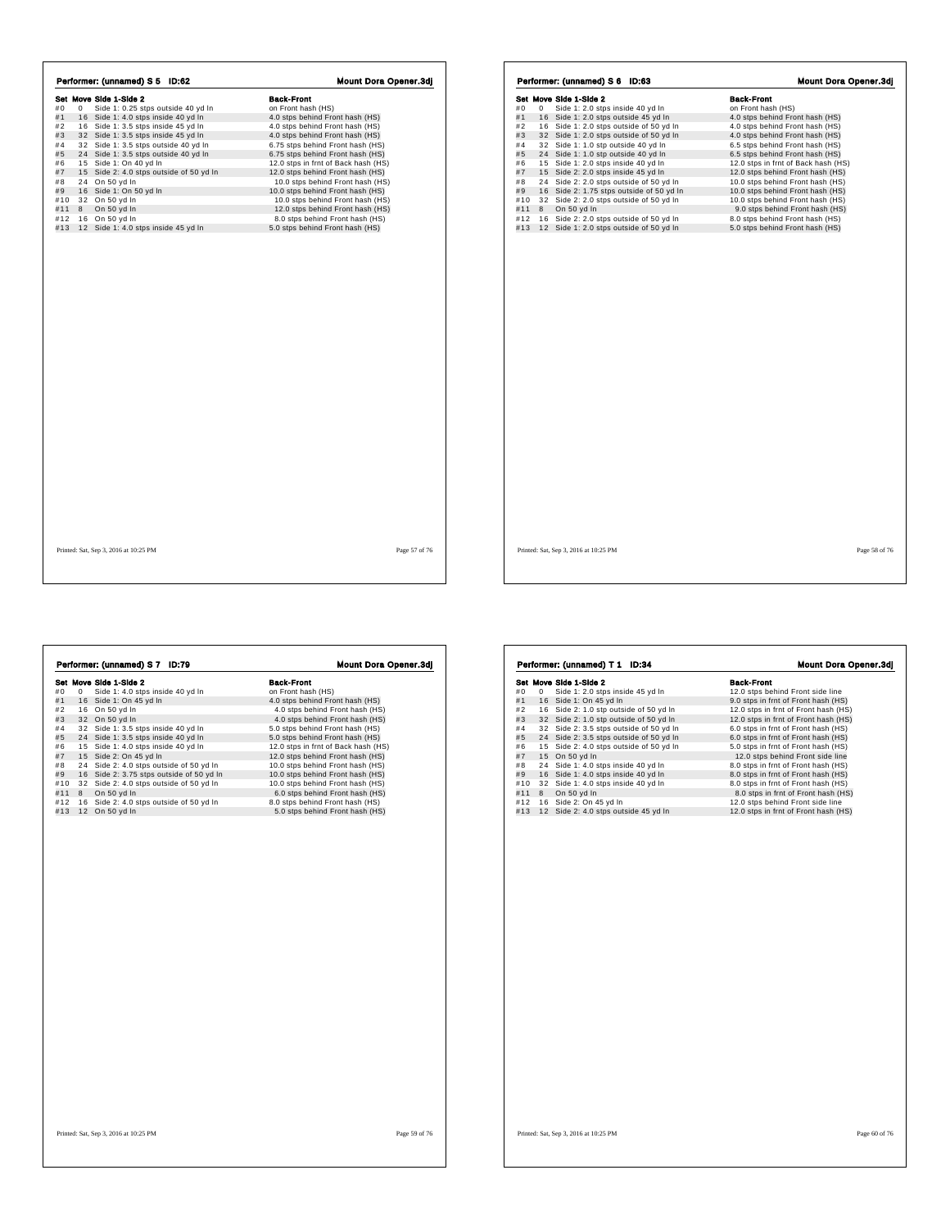| Performer: (unnamed) S 5 ID:62                | <b>Mount Dora Opener.3di</b>        | Performer: (unnamed) S 6 ID:63                 | <b>Mount Dora Opener.3di</b>        |
|-----------------------------------------------|-------------------------------------|------------------------------------------------|-------------------------------------|
| Set Move Side 1-Side 2                        | <b>Back-Front</b>                   | Set Move Side 1-Side 2                         | <b>Back-Front</b>                   |
| 0 Side 1: 0.25 stps outside 40 yd In<br>#0    | on Front hash (HS)                  | 0 Side 1: 2.0 stps inside 40 yd In<br>#0       | on Front hash (HS)                  |
| 16 Side 1: 4.0 stps inside 40 yd In<br>#1     | 4.0 stps behind Front hash (HS)     | 16 Side 1: 2.0 stps outside 45 yd In<br>#1     | 4.0 stps behind Front hash (HS)     |
| 16 Side 1: 3.5 stps inside 45 yd In<br>#2     | 4.0 stps behind Front hash (HS)     | 16 Side 1: 2.0 stps outside of 50 yd In<br>#2  | 4.0 stps behind Front hash (HS)     |
| #3<br>32 Side 1: 3.5 stps inside 45 yd In     | 4.0 stps behind Front hash (HS)     | #3<br>32 Side 1: 2.0 stps outside of 50 yd In  | 4.0 stps behind Front hash (HS)     |
| 32 Side 1: 3.5 stps outside 40 yd In<br>#4    | 6.75 stps behind Front hash (HS)    | 32 Side 1: 1.0 stp outside 40 yd In<br>#4      | 6.5 stps behind Front hash (HS)     |
| 24 Side 1: 3.5 stps outside 40 yd In<br>#5    | 6.75 stps behind Front hash (HS)    | #5<br>24 Side 1: 1.0 stp outside 40 yd In      | 6.5 stps behind Front hash (HS)     |
| #6 15 Side 1: On 40 yd In                     | 12.0 stps in frnt of Back hash (HS) | 15 Side 1: 2.0 stps inside 40 yd In<br>#6      | 12.0 stps in frnt of Back hash (HS) |
| #7<br>15 Side 2: 4.0 stps outside of 50 yd In | 12.0 stps behind Front hash (HS)    | #7<br>15 Side 2: 2.0 stps inside 45 yd In      | 12.0 stps behind Front hash (HS)    |
| 24 On 50 yd In<br>#8                          | 10.0 stps behind Front hash (HS)    | 24 Side 2: 2.0 stps outside of 50 yd In<br>#8  | 10.0 stps behind Front hash (HS)    |
| #9 16 Side 1: On 50 yd In                     | 10.0 stps behind Front hash (HS)    | 16 Side 2: 1.75 stps outside of 50 yd In<br>#9 | 10.0 stps behind Front hash (HS)    |
| 32 On 50 yd In<br>#10                         | 10.0 stps behind Front hash (HS)    | 32 Side 2: 2.0 stps outside of 50 yd In<br>#10 | 10.0 stps behind Front hash (HS)    |
| #11 8 On 50 yd In                             | 12.0 stps behind Front hash (HS)    | 8 On 50 yd In<br>#11                           | 9.0 stps behind Front hash (HS)     |
| #12 16 On 50 yd In                            | 8.0 stps behind Front hash (HS)     | #12 16 Side 2: 2.0 stps outside of 50 yd In    | 8.0 stps behind Front hash (HS)     |
| #13 12 Side 1: 4.0 stps inside 45 yd In       | 5.0 stps behind Front hash (HS)     | #13 12 Side 1: 2.0 stps outside of 50 yd In    | 5.0 stps behind Front hash (HS)     |
|                                               |                                     |                                                |                                     |
| Printed: Sat, Sep 3, 2016 at 10:25 PM         | Page 57 of 76                       | Printed: Sat, Sep 3, 2016 at 10:25 PM          | Page 58 of 76                       |

**Set Move Side 1-Side 2**<br> **Side 1:** 4.0 stps inside 40 yd In this more from thash (HS)<br>
#1 16 Side 1: 0. n 45 yd In 4.0 stps behind From thash (HS)<br>
#3 32 On 50 yd In 4.0 stps behind From thash (HS)<br>
#3 32 On 50 yd In 4.0

Performer: (unnamed) S 7 ID:79 Mount Dora Opener.3dj

| #0<br>Side 1: 2.0 stps inside 45 yd In<br>12.0 stps behind Front side line<br>0<br>16 Side 1: On 45 yd In<br>#1<br>16 Side 2: 1.0 stp outside of 50 yd In<br>#2<br>#3<br>32 Side 2: 1.0 stp outside of 50 yd In<br>#4<br>32 Side 2: 3.5 stps outside of 50 yd In<br>6.0 stps in frnt of Front hash (HS)<br>#5<br>24 Side 2: 3.5 stps outside of 50 yd In<br>6.0 stps in frnt of Front hash (HS)<br>15 Side 2: 4.0 stps outside of 50 yd In<br>#6<br>5.0 stps in frnt of Front hash (HS)<br>#7<br>15 On 50 yd In<br>12.0 stps behind Front side line<br>24 Side 1: 4.0 stps inside 40 yd In<br>#8<br>8.0 stps in frnt of Front hash (HS)<br>16 Side 1: 4.0 stps inside 40 yd In<br>#9<br>8.0 stps in frnt of Front hash (HS)<br>#10<br>32 Side 1: 4.0 stps inside 40 yd In<br>8.0 stps in frnt of Front hash (HS)<br>#11<br>8<br>On 50 yd In<br>8.0 stps in frnt of Front hash (HS)<br>#12<br>16 Side 2: On 45 yd In<br>12.0 stps behind Front side line<br>12 Side 2: 4.0 stps outside 45 yd In<br>#13<br>12.0 stps in frnt of Front hash (HS) | Set Move Side 1-Side 2 | <b>Back-Front</b>                    |
|------------------------------------------------------------------------------------------------------------------------------------------------------------------------------------------------------------------------------------------------------------------------------------------------------------------------------------------------------------------------------------------------------------------------------------------------------------------------------------------------------------------------------------------------------------------------------------------------------------------------------------------------------------------------------------------------------------------------------------------------------------------------------------------------------------------------------------------------------------------------------------------------------------------------------------------------------------------------------------------------------------------------------------------------|------------------------|--------------------------------------|
|                                                                                                                                                                                                                                                                                                                                                                                                                                                                                                                                                                                                                                                                                                                                                                                                                                                                                                                                                                                                                                                |                        |                                      |
|                                                                                                                                                                                                                                                                                                                                                                                                                                                                                                                                                                                                                                                                                                                                                                                                                                                                                                                                                                                                                                                |                        | 9.0 stps in frnt of Front hash (HS)  |
|                                                                                                                                                                                                                                                                                                                                                                                                                                                                                                                                                                                                                                                                                                                                                                                                                                                                                                                                                                                                                                                |                        | 12.0 stps in frnt of Front hash (HS) |
|                                                                                                                                                                                                                                                                                                                                                                                                                                                                                                                                                                                                                                                                                                                                                                                                                                                                                                                                                                                                                                                |                        | 12.0 stps in frnt of Front hash (HS) |
|                                                                                                                                                                                                                                                                                                                                                                                                                                                                                                                                                                                                                                                                                                                                                                                                                                                                                                                                                                                                                                                |                        |                                      |
|                                                                                                                                                                                                                                                                                                                                                                                                                                                                                                                                                                                                                                                                                                                                                                                                                                                                                                                                                                                                                                                |                        |                                      |
|                                                                                                                                                                                                                                                                                                                                                                                                                                                                                                                                                                                                                                                                                                                                                                                                                                                                                                                                                                                                                                                |                        |                                      |
|                                                                                                                                                                                                                                                                                                                                                                                                                                                                                                                                                                                                                                                                                                                                                                                                                                                                                                                                                                                                                                                |                        |                                      |
|                                                                                                                                                                                                                                                                                                                                                                                                                                                                                                                                                                                                                                                                                                                                                                                                                                                                                                                                                                                                                                                |                        |                                      |
|                                                                                                                                                                                                                                                                                                                                                                                                                                                                                                                                                                                                                                                                                                                                                                                                                                                                                                                                                                                                                                                |                        |                                      |
|                                                                                                                                                                                                                                                                                                                                                                                                                                                                                                                                                                                                                                                                                                                                                                                                                                                                                                                                                                                                                                                |                        |                                      |
|                                                                                                                                                                                                                                                                                                                                                                                                                                                                                                                                                                                                                                                                                                                                                                                                                                                                                                                                                                                                                                                |                        |                                      |
|                                                                                                                                                                                                                                                                                                                                                                                                                                                                                                                                                                                                                                                                                                                                                                                                                                                                                                                                                                                                                                                |                        |                                      |
|                                                                                                                                                                                                                                                                                                                                                                                                                                                                                                                                                                                                                                                                                                                                                                                                                                                                                                                                                                                                                                                |                        |                                      |
|                                                                                                                                                                                                                                                                                                                                                                                                                                                                                                                                                                                                                                                                                                                                                                                                                                                                                                                                                                                                                                                |                        |                                      |
|                                                                                                                                                                                                                                                                                                                                                                                                                                                                                                                                                                                                                                                                                                                                                                                                                                                                                                                                                                                                                                                |                        |                                      |
|                                                                                                                                                                                                                                                                                                                                                                                                                                                                                                                                                                                                                                                                                                                                                                                                                                                                                                                                                                                                                                                |                        |                                      |

 $\lceil$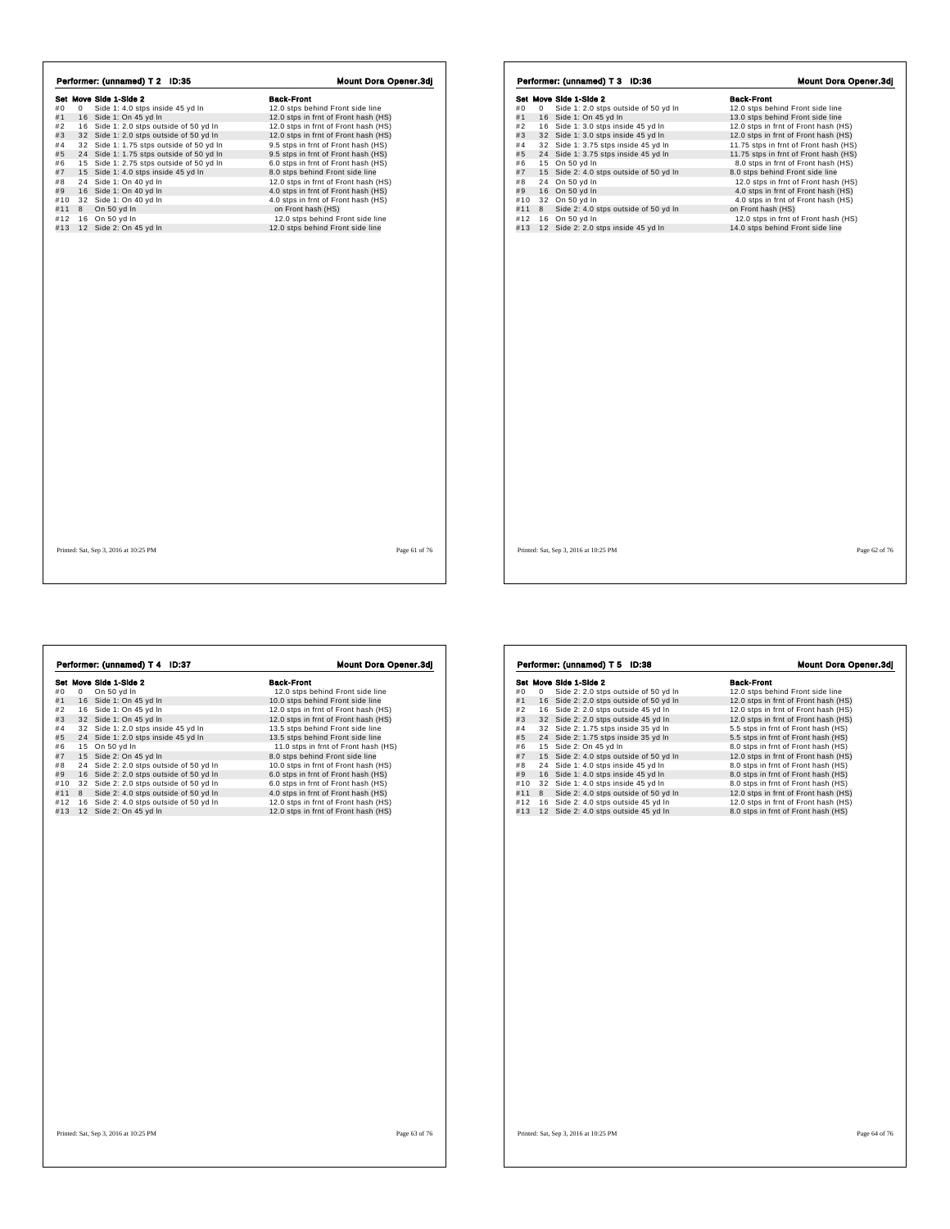|     |   | Performer: (unnamed) T 2 ID:35           | Mount Dora Opener.3dj                |
|-----|---|------------------------------------------|--------------------------------------|
|     |   | Set Move Side 1-Side 2                   | <b>Back-Front</b>                    |
| #0  | 0 | Side 1: 4.0 stps inside 45 yd In         | 12.0 stps behind Front side line     |
| #1  |   | 16 Side 1: On 45 yd In                   | 12.0 stps in frnt of Front hash (HS) |
| #2  |   | 16 Side 1: 2.0 stps outside of 50 yd In  | 12.0 stps in frnt of Front hash (HS) |
| #3  |   | 32 Side 1: 2.0 stps outside of 50 yd In  | 12.0 stps in frnt of Front hash (HS) |
| #4  |   | 32 Side 1: 1.75 stps outside of 50 yd In | 9.5 stps in frnt of Front hash (HS)  |
| #5  |   | 24 Side 1: 1.75 stps outside of 50 yd In | 9.5 stps in frnt of Front hash (HS)  |
| #6  |   | 15 Side 1: 2.75 stps outside of 50 yd In | 6.0 stps in frnt of Front hash (HS)  |
| #7  |   | 15 Side 1: 4.0 stps inside 45 yd In      | 8.0 stps behind Front side line      |
| #8  |   | 24 Side 1: On 40 yd In                   | 12.0 stps in frnt of Front hash (HS) |
| #9  |   | 16 Side 1: On 40 yd In                   | 4.0 stps in frnt of Front hash (HS)  |
| #10 |   | 32 Side 1: On 40 yd In                   | 4.0 stps in frnt of Front hash (HS)  |
| #11 | 8 | On 50 vd In                              | on Front hash (HS)                   |
| #12 |   | 16 On 50 yd In                           | 12.0 stps behind Front side line     |
| #13 |   | 12 Side 2: On 45 yd In                   | 12.0 stps behind Front side line     |
|     |   |                                          |                                      |
|     |   |                                          |                                      |

|     |   | Set Move Side 1-Side 2                  | <b>Back-Front</b>                     |
|-----|---|-----------------------------------------|---------------------------------------|
| #0  | 0 | Side 1: 2.0 stps outside of 50 yd In    | 12.0 stps behind Front side line      |
| #1  |   | 16 Side 1: On 45 yd In                  | 13.0 stps behind Front side line      |
| #2  |   | 16 Side 1: 3.0 stps inside 45 yd In     | 12.0 stps in frnt of Front hash (HS)  |
| #3  |   | 32 Side 1: 3.0 stps inside 45 yd In     | 12.0 stps in frnt of Front hash (HS)  |
| #4  |   | 32 Side 1: 3.75 stps inside 45 yd In    | 11.75 stps in frnt of Front hash (HS) |
| #5  |   | 24 Side 1: 3.75 stps inside 45 yd In    | 11.75 stps in frnt of Front hash (HS) |
| #6  |   | 15 On 50 yd In                          | 8.0 stps in frnt of Front hash (HS)   |
| #7  |   | 15 Side 2: 4.0 stps outside of 50 yd In | 8.0 stps behind Front side line       |
| #8  |   | 24 On 50 yd In                          | 12.0 stps in frnt of Front hash (HS)  |
| #9  |   | 16 On 50 yd In                          | 4.0 stps in frnt of Front hash (HS)   |
| #10 |   | 32 On 50 yd In                          | 4.0 stps in frnt of Front hash (HS)   |
| #11 | 8 | Side 2: 4.0 stps outside of 50 yd In    | on Front hash (HS)                    |
| #12 |   | 16 On 50 yd In                          | 12.0 stps in frnt of Front hash (HS)  |
| #13 |   | 12 Side 2: 2.0 stps inside 45 yd In     | 14.0 stps behind Front side line      |
|     |   |                                         |                                       |
|     |   |                                         |                                       |
|     |   |                                         |                                       |
|     |   |                                         |                                       |

**Set Move Side 1-Slote 1-8 between the set of the Side 1-Slote 1-Slote 1-Slote 1: 0. 45 yd html**  $\neq 10$  **or**  $\frac{1}{2}$  **or**  $\frac{1}{2}$  **or**  $\frac{1}{2}$  **or**  $\frac{1}{2}$  **or**  $\frac{1}{2}$  **or**  $\frac{1}{2}$  **or**  $\frac{1}{2}$  **or**  $\frac{1}{2}$  **or**  $\frac{1}{2}$ **Performer: (unnamed) T 4 ID:37 Mount Dora Opener.3dj**<br> **Set Move Side 1-Side 2**<br>
#1 16 Side 1: On 45 yd In 12.0 stps behind Front side line<br>
#2 16 Side 1: On 45 yd In 12.0 stps him to I Front hash (HS)<br>
#3 2 Side 1: 2.0

|     |   | Set Move Side 1-Side 2                  | <b>Back-Front</b>                    |
|-----|---|-----------------------------------------|--------------------------------------|
| #0  | 0 | Side 2: 2.0 stps outside of 50 yd In    | 12.0 stps behind Front side line     |
| #1  |   | 16 Side 2: 2.0 stps outside of 50 yd In | 12.0 stps in frnt of Front hash (HS) |
| #2  |   | 16 Side 2: 2.0 stps outside 45 yd In    | 12.0 stps in frnt of Front hash (HS) |
| #3  |   | 32 Side 2: 2.0 stps outside 45 yd In    | 12.0 stps in frnt of Front hash (HS) |
| #4  |   | 32 Side 2: 1.75 stps inside 35 yd In    | 5.5 stps in frnt of Front hash (HS)  |
| #5  |   | 24 Side 2: 1.75 stps inside 35 yd In    | 5.5 stps in frnt of Front hash (HS)  |
| #6  |   | 15 Side 2: On 45 yd In                  | 8.0 stps in frnt of Front hash (HS)  |
| #7  |   | 15 Side 2: 4.0 stps outside of 50 yd In | 12.0 stps in frnt of Front hash (HS) |
| #8  |   | 24 Side 1: 4.0 stps inside 45 yd In     | 8.0 stps in frnt of Front hash (HS)  |
| #9  |   | 16 Side 1: 4.0 stps inside 45 vd In     | 8.0 stps in frnt of Front hash (HS)  |
| #10 |   | 32 Side 1: 4.0 stps inside 45 yd In     | 8.0 stps in frnt of Front hash (HS)  |
| #11 | 8 | Side 2: 4.0 stps outside of 50 yd In    | 12.0 stps in frnt of Front hash (HS) |
| #12 |   | 16 Side 2: 4.0 stps outside 45 yd In    | 12.0 stps in frnt of Front hash (HS) |
| #13 |   | 12 Side 2: 4.0 stps outside 45 yd In    | 8.0 stps in frnt of Front hash (HS)  |
|     |   |                                         |                                      |
|     |   |                                         |                                      |
|     |   |                                         |                                      |

 $\overline{\phantom{a}}$ 

Performer: (unnamed) T 5 ID:38 Mount Dora Opener.3dj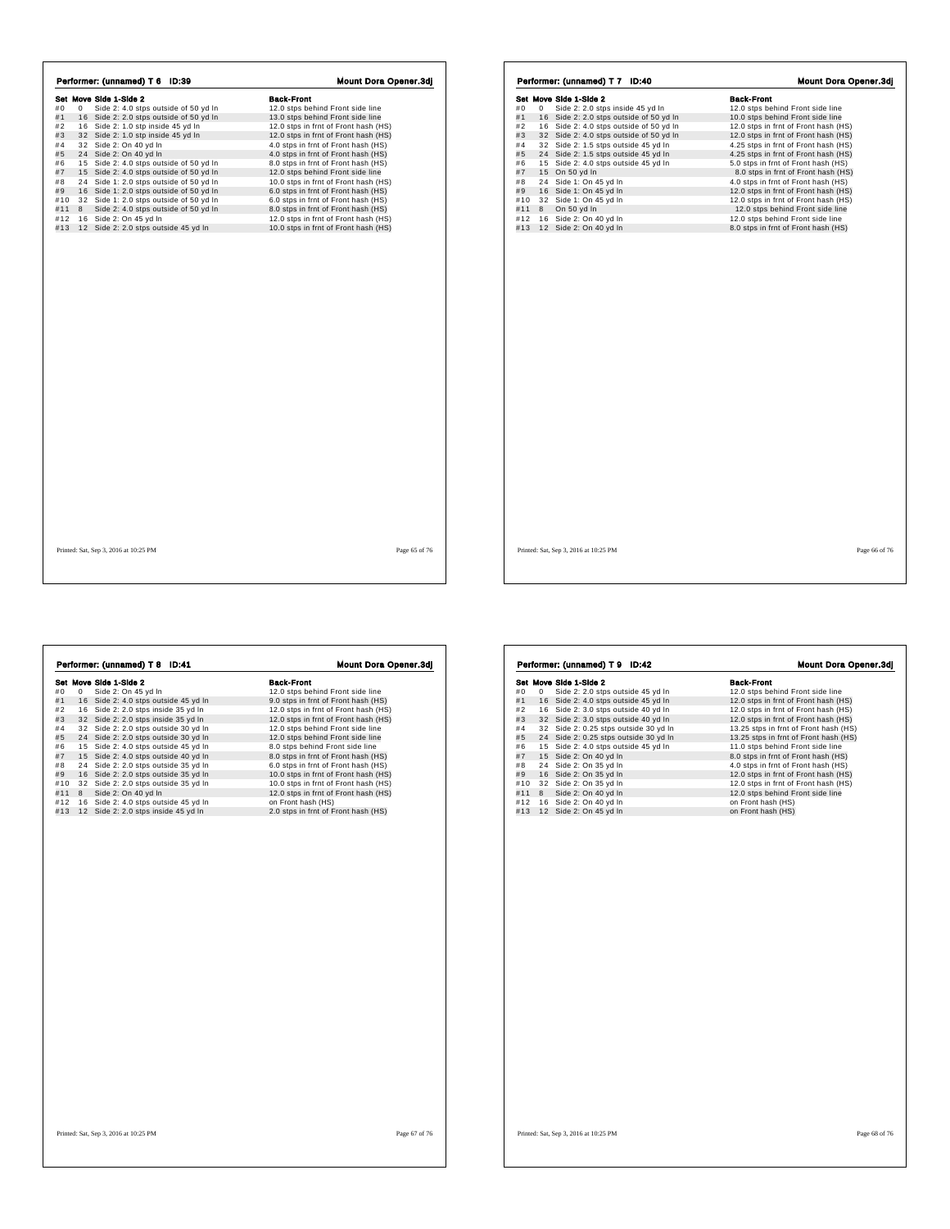|     |   |                                         | <b>Mount Dora Opener.3dj</b>         |
|-----|---|-----------------------------------------|--------------------------------------|
|     |   | Set Move Side 1-Side 2                  | <b>Back-Front</b>                    |
| #0  | 0 | Side 2: 4.0 stps outside of 50 yd In    | 12.0 stps behind Front side line     |
| #1  |   | 16 Side 2: 2.0 stps outside of 50 yd In | 13.0 stps behind Front side line     |
| #2  |   | 16 Side 2: 1.0 stp inside 45 yd In      | 12.0 stps in frnt of Front hash (HS) |
| #3  |   | 32 Side 2: 1.0 stp inside 45 yd In      | 12.0 stps in frnt of Front hash (HS) |
| #4  |   | 32 Side 2: On 40 yd In                  | 4.0 stps in frnt of Front hash (HS)  |
| #5  |   | 24 Side 2: On 40 yd In                  | 4.0 stps in frnt of Front hash (HS)  |
| #6  |   | 15 Side 2: 4.0 stps outside of 50 yd In | 8.0 stps in frnt of Front hash (HS)  |
| #7  |   | 15 Side 2: 4.0 stps outside of 50 yd In | 12.0 stps behind Front side line     |
| #8  |   | 24 Side 1: 2.0 stps outside of 50 yd In | 10.0 stps in frnt of Front hash (HS) |
| #9  |   | 16 Side 1: 2.0 stps outside of 50 yd In | 6.0 stps in frnt of Front hash (HS)  |
| #10 |   | 32 Side 1: 2.0 stps outside of 50 yd In | 6.0 stps in frnt of Front hash (HS)  |
| #11 | 8 | Side 2: 4.0 stps outside of 50 yd In    | 8.0 stps in frnt of Front hash (HS)  |
| #12 |   | 16 Side 2: On 45 yd In                  | 12.0 stps in frnt of Front hash (HS) |
| #13 |   | 12 Side 2: 2.0 stps outside 45 yd In    | 10.0 stps in frnt of Front hash (HS) |
|     |   |                                         |                                      |
|     |   |                                         |                                      |

| Performer: (unnamed) T 7 ID:40 |    |                                         |                                      |
|--------------------------------|----|-----------------------------------------|--------------------------------------|
|                                |    | Set Move Side 1-Side 2                  | <b>Back-Front</b>                    |
| #0                             | 0  | Side 2: 2.0 stps inside 45 yd In        | 12.0 stps behind Front side line     |
| #1                             |    | 16 Side 2: 2.0 stps outside of 50 yd In | 10.0 stps behind Front side line     |
| #2                             |    | 16 Side 2: 4.0 stps outside of 50 yd In | 12.0 stps in frnt of Front hash (HS) |
| #3                             |    | 32 Side 2: 4.0 stps outside of 50 yd In | 12.0 stps in frnt of Front hash (HS) |
| #4                             |    | 32 Side 2: 1.5 stps outside 45 yd In    | 4.25 stps in frnt of Front hash (HS) |
| #5                             |    | 24 Side 2: 1.5 stps outside 45 yd In    | 4.25 stps in frnt of Front hash (HS) |
| #6                             |    | 15 Side 2: 4.0 stps outside 45 yd In    | 5.0 stps in frnt of Front hash (HS)  |
| #7                             |    | 15 On 50 yd In                          | 8.0 stps in frnt of Front hash (HS)  |
| #8                             | 24 | Side 1: On 45 yd In                     | 4.0 stps in frnt of Front hash (HS)  |
| #9                             |    | 16 Side 1: On 45 yd In                  | 12.0 stps in frnt of Front hash (HS) |
| #10                            |    | 32 Side 1: On 45 yd In                  | 12.0 stps in frnt of Front hash (HS) |
| #11                            | 8  | On 50 yd In                             | 12.0 stps behind Front side line     |
| #12                            |    | 16 Side 2: On 40 yd In                  | 12.0 stps behind Front side line     |
| #13                            |    | 12 Side 2: On 40 yd In                  | 8.0 stps in frnt of Front hash (HS)  |
|                                |    |                                         |                                      |
|                                |    |                                         |                                      |

| <b>Back-Front</b><br>Set Move Side 1-Side 2<br>12.0 stps behind Front side line<br>Side 2: On 45 yd In<br>0<br>16 Side 2: 4.0 stps outside 45 yd In<br>9.0 stps in frnt of Front hash (HS)<br>16 Side 2: 2.0 stps inside 35 yd In<br>12.0 stps in frnt of Front hash (HS)<br>32 Side 2: 2.0 stps inside 35 yd In<br>12.0 stps in frnt of Front hash (HS)<br>12.0 stps behind Front side line<br>32 Side 2: 2.0 stps outside 30 yd In<br>24 Side 2: 2.0 stps outside 30 yd In<br>12.0 stps behind Front side line<br>15 Side 2: 4.0 stps outside 45 yd In<br>8.0 stps behind Front side line<br>15 Side 2: 4.0 stps outside 40 yd In<br>8.0 stps in frnt of Front hash (HS)<br>Side 2: 2.0 stps outside 35 yd In<br>6.0 stps in frnt of Front hash (HS)<br>24<br>16 Side 2: 2.0 stps outside 35 vd In<br>10.0 stps in frnt of Front hash (HS)<br>32 Side 2: 2.0 stps outside 35 yd In<br>10.0 stps in frnt of Front hash (HS)<br>8<br>Side 2: On 40 yd In<br>12.0 stps in frnt of Front hash (HS)<br>16 Side 2: 4.0 stps outside 45 yd In<br>on Front hash (HS)<br>2.0 stps in frnt of Front hash (HS)<br>12 Side 2: 2.0 stps inside 45 yd In |  |  | Performer: (unnamed) T 8 ID:41 | <b>Mount Dora Opener.3dj</b> |
|----------------------------------------------------------------------------------------------------------------------------------------------------------------------------------------------------------------------------------------------------------------------------------------------------------------------------------------------------------------------------------------------------------------------------------------------------------------------------------------------------------------------------------------------------------------------------------------------------------------------------------------------------------------------------------------------------------------------------------------------------------------------------------------------------------------------------------------------------------------------------------------------------------------------------------------------------------------------------------------------------------------------------------------------------------------------------------------------------------------------------------------------|--|--|--------------------------------|------------------------------|
| #0                                                                                                                                                                                                                                                                                                                                                                                                                                                                                                                                                                                                                                                                                                                                                                                                                                                                                                                                                                                                                                                                                                                                           |  |  |                                |                              |
| #1<br>#2<br>#3<br>#4<br>#5<br>#6<br>#7<br>#8<br>#9<br>#10<br>#11<br>#12<br>#13                                                                                                                                                                                                                                                                                                                                                                                                                                                                                                                                                                                                                                                                                                                                                                                                                                                                                                                                                                                                                                                               |  |  |                                |                              |
|                                                                                                                                                                                                                                                                                                                                                                                                                                                                                                                                                                                                                                                                                                                                                                                                                                                                                                                                                                                                                                                                                                                                              |  |  |                                |                              |
|                                                                                                                                                                                                                                                                                                                                                                                                                                                                                                                                                                                                                                                                                                                                                                                                                                                                                                                                                                                                                                                                                                                                              |  |  |                                |                              |
|                                                                                                                                                                                                                                                                                                                                                                                                                                                                                                                                                                                                                                                                                                                                                                                                                                                                                                                                                                                                                                                                                                                                              |  |  |                                |                              |
|                                                                                                                                                                                                                                                                                                                                                                                                                                                                                                                                                                                                                                                                                                                                                                                                                                                                                                                                                                                                                                                                                                                                              |  |  |                                |                              |
|                                                                                                                                                                                                                                                                                                                                                                                                                                                                                                                                                                                                                                                                                                                                                                                                                                                                                                                                                                                                                                                                                                                                              |  |  |                                |                              |
|                                                                                                                                                                                                                                                                                                                                                                                                                                                                                                                                                                                                                                                                                                                                                                                                                                                                                                                                                                                                                                                                                                                                              |  |  |                                |                              |
|                                                                                                                                                                                                                                                                                                                                                                                                                                                                                                                                                                                                                                                                                                                                                                                                                                                                                                                                                                                                                                                                                                                                              |  |  |                                |                              |
|                                                                                                                                                                                                                                                                                                                                                                                                                                                                                                                                                                                                                                                                                                                                                                                                                                                                                                                                                                                                                                                                                                                                              |  |  |                                |                              |
|                                                                                                                                                                                                                                                                                                                                                                                                                                                                                                                                                                                                                                                                                                                                                                                                                                                                                                                                                                                                                                                                                                                                              |  |  |                                |                              |
|                                                                                                                                                                                                                                                                                                                                                                                                                                                                                                                                                                                                                                                                                                                                                                                                                                                                                                                                                                                                                                                                                                                                              |  |  |                                |                              |
|                                                                                                                                                                                                                                                                                                                                                                                                                                                                                                                                                                                                                                                                                                                                                                                                                                                                                                                                                                                                                                                                                                                                              |  |  |                                |                              |
|                                                                                                                                                                                                                                                                                                                                                                                                                                                                                                                                                                                                                                                                                                                                                                                                                                                                                                                                                                                                                                                                                                                                              |  |  |                                |                              |
|                                                                                                                                                                                                                                                                                                                                                                                                                                                                                                                                                                                                                                                                                                                                                                                                                                                                                                                                                                                                                                                                                                                                              |  |  |                                |                              |
|                                                                                                                                                                                                                                                                                                                                                                                                                                                                                                                                                                                                                                                                                                                                                                                                                                                                                                                                                                                                                                                                                                                                              |  |  |                                |                              |

|     |   | Set Move Side 1-Side 2                | <b>Back-Front</b>                     |
|-----|---|---------------------------------------|---------------------------------------|
| #0  | 0 | Side 2: 2.0 stps outside 45 yd In     | 12.0 stps behind Front side line      |
| #1  |   | 16 Side 2: 4.0 stps outside 45 yd In  | 12.0 stps in frnt of Front hash (HS)  |
| #2  |   | 16 Side 2: 3.0 stps outside 40 yd In  | 12.0 stps in frnt of Front hash (HS)  |
| #3  |   | 32 Side 2: 3.0 stps outside 40 yd In  | 12.0 stps in frnt of Front hash (HS)  |
| #4  |   | 32 Side 2: 0.25 stps outside 30 yd In | 13.25 stps in frnt of Front hash (HS) |
| #5  |   | 24 Side 2: 0.25 stps outside 30 yd In | 13.25 stps in frnt of Front hash (HS) |
| #6  |   | 15 Side 2: 4.0 stps outside 45 yd In  | 11.0 stps behind Front side line      |
| #7  |   | 15 Side 2: On 40 yd In                | 8.0 stps in frnt of Front hash (HS)   |
| #8  |   | 24 Side 2: On 35 yd In                | 4.0 stps in frnt of Front hash (HS)   |
| #9  |   | 16 Side 2: On 35 vd In                | 12.0 stps in frnt of Front hash (HS)  |
| #10 |   | 32 Side 2: On 35 yd In                | 12.0 stps in frnt of Front hash (HS)  |
| #11 | 8 | Side 2: On 40 yd In                   | 12.0 stps behind Front side line      |
| #12 |   | 16 Side 2: On 40 yd In                | on Front hash (HS)                    |
| #13 |   | 12 Side 2: On 45 yd In                | on Front hash (HS)                    |
|     |   |                                       |                                       |
|     |   |                                       |                                       |
|     |   |                                       |                                       |
|     |   |                                       |                                       |
|     |   |                                       |                                       |
|     |   |                                       |                                       |

h,

 $\Gamma$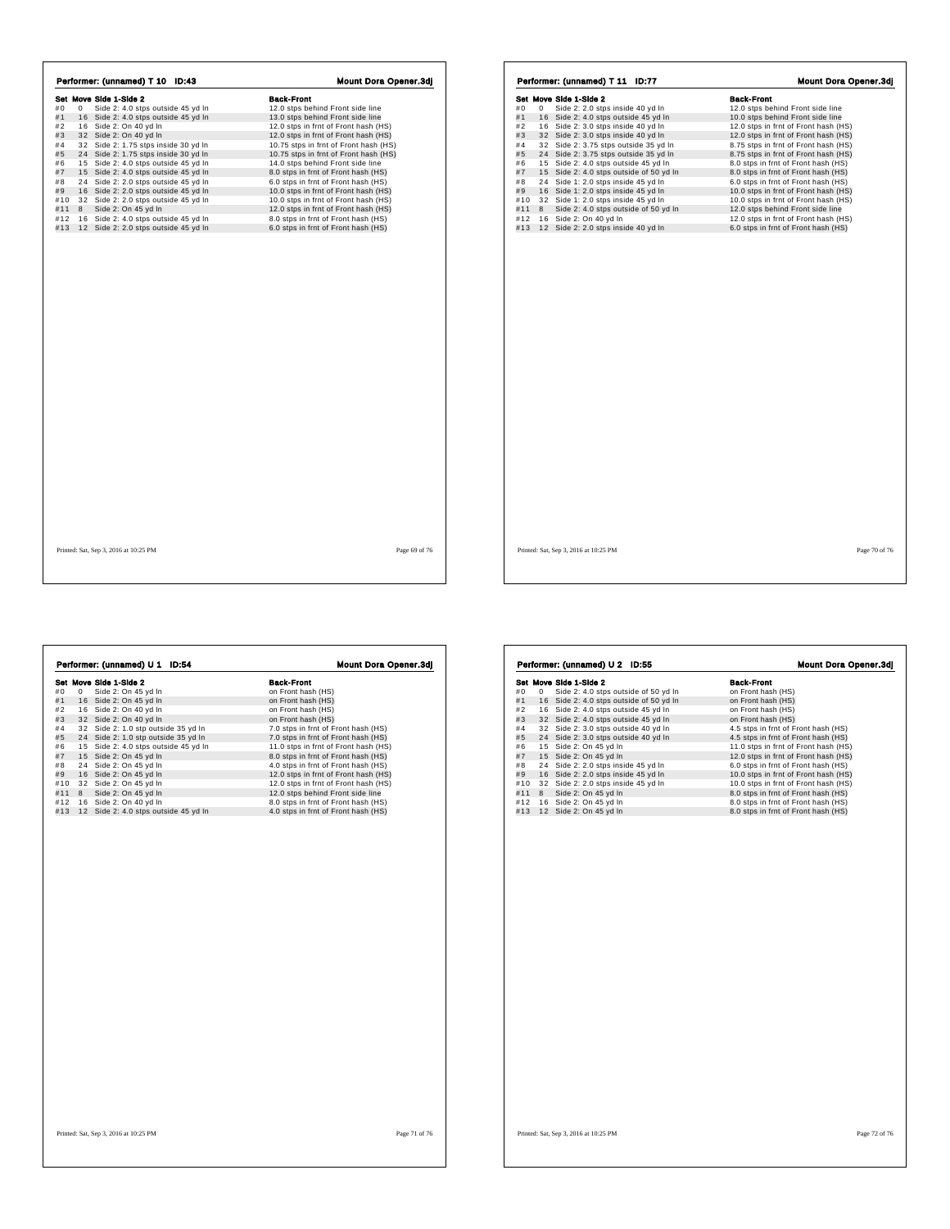| Performer: (unnamed) T 10 ID:43 |   |                                      |                                       |
|---------------------------------|---|--------------------------------------|---------------------------------------|
|                                 |   | Set Move Side 1-Side 2               | <b>Back-Front</b>                     |
| #0                              | 0 | Side 2: 4.0 stps outside 45 yd In    | 12.0 stps behind Front side line      |
| #1                              |   | 16 Side 2: 4.0 stps outside 45 yd In | 13.0 stps behind Front side line      |
| #2                              |   | 16 Side 2: On 40 yd In               | 12.0 stps in frnt of Front hash (HS)  |
| #3                              |   | 32 Side 2: On 40 yd In               | 12.0 stps in frnt of Front hash (HS)  |
| #4                              |   | 32 Side 2: 1.75 stps inside 30 vd In | 10.75 stps in frnt of Front hash (HS) |
| #5                              |   | 24 Side 2: 1.75 stps inside 30 yd In | 10.75 stps in frnt of Front hash (HS) |
| #6                              |   | 15 Side 2: 4.0 stps outside 45 yd In | 14.0 stps behind Front side line      |
| #7                              |   | 15 Side 2: 4.0 stps outside 45 yd In | 8.0 stps in frnt of Front hash (HS)   |
| #8                              |   | 24 Side 2: 2.0 stps outside 45 yd In | 6.0 stps in frnt of Front hash (HS)   |
| #9                              |   | 16 Side 2: 2.0 stps outside 45 yd In | 10.0 stps in frnt of Front hash (HS)  |
| #10                             |   | 32 Side 2: 2.0 stps outside 45 yd In | 10.0 stps in frnt of Front hash (HS)  |
| #11                             | 8 | Side 2: On 45 yd In                  | 12.0 stps in frnt of Front hash (HS)  |
| #12                             |   | 16 Side 2: 4.0 stps outside 45 yd In | 8.0 stps in frnt of Front hash (HS)   |
| #13                             |   | 12 Side 2: 2.0 stps outside 45 yd In | 6.0 stps in frnt of Front hash (HS)   |
|                                 |   |                                      |                                       |
|                                 |   |                                      |                                       |

|     |   |                        | Performer: (unnamed) T 11 ID:77     |                                         |                   |                                      | Mount Dora Opener.3dj |  |
|-----|---|------------------------|-------------------------------------|-----------------------------------------|-------------------|--------------------------------------|-----------------------|--|
|     |   | Set Move Side 1-Side 2 |                                     |                                         | <b>Back-Front</b> |                                      |                       |  |
| #0  | 0 |                        | Side 2: 2.0 stps inside 40 yd In    |                                         |                   | 12.0 stps behind Front side line     |                       |  |
| #1  |   |                        |                                     | 16 Side 2: 4.0 stps outside 45 yd In    |                   | 10.0 stps behind Front side line     |                       |  |
| #2  |   |                        | 16 Side 2: 3.0 stps inside 40 yd In |                                         |                   | 12.0 stps in frnt of Front hash (HS) |                       |  |
| #3  |   |                        | 32 Side 2: 3.0 stps inside 40 yd In |                                         |                   | 12.0 stps in frnt of Front hash (HS) |                       |  |
| #4  |   |                        |                                     | 32 Side 2: 3.75 stps outside 35 yd In   |                   | 8.75 stps in frnt of Front hash (HS) |                       |  |
| #5  |   |                        |                                     | 24 Side 2: 3.75 stps outside 35 yd In   |                   | 8.75 stps in frnt of Front hash (HS) |                       |  |
| #6  |   |                        |                                     | 15 Side 2: 4.0 stps outside 45 yd In    |                   | 8.0 stps in frnt of Front hash (HS)  |                       |  |
| #7  |   |                        |                                     | 15 Side 2: 4.0 stps outside of 50 yd In |                   | 8.0 stps in frnt of Front hash (HS)  |                       |  |
| #8  |   |                        | 24 Side 1: 2.0 stps inside 45 yd In |                                         |                   | 6.0 stps in frnt of Front hash (HS)  |                       |  |
| #9  |   |                        | 16 Side 1: 2.0 stps inside 45 yd In |                                         |                   | 10.0 stps in frnt of Front hash (HS) |                       |  |
| #10 |   |                        | 32 Side 1: 2.0 stps inside 45 yd In |                                         |                   | 10.0 stps in frnt of Front hash (HS) |                       |  |
| #11 | 8 |                        |                                     | Side 2: 4.0 stps outside of 50 yd In    |                   | 12.0 stps behind Front side line     |                       |  |
| #12 |   |                        | 16 Side 2: On 40 yd In              |                                         |                   | 12.0 stps in frnt of Front hash (HS) |                       |  |
| #13 |   |                        | 12 Side 2: 2.0 stps inside 40 yd In |                                         |                   | 6.0 stps in frnt of Front hash (HS)  |                       |  |
|     |   |                        |                                     |                                         |                   |                                      |                       |  |
|     |   |                        |                                     |                                         |                   |                                      |                       |  |
|     |   |                        |                                     |                                         |                   |                                      |                       |  |

 $\Gamma$ 

 $\sqrt{ }$ 

**Set Move Side 1-Side 2**<br> **Side 2:** On 45 yd in<br>
#1 16 Side 2: On 45 yd in<br>
#3 32 Side 2: On 40 yd in<br>
#3 32 Side 2: On 40 yd in<br>
#3 32 Side 2: 1.0 stp outside 35 yd in<br>
#3 4 Side 2: 1.0 stp outside 35 yd in<br>
#5 24 Side 2: Performer: (unnamed) U 1 ID:54 Mount Dora Opener.3dj Printed: Sat, Sep 3, 2016 at 10:25 PM Page 71 of 76

|                | Set Move Side 1-Side 2                  | <b>Back-Front</b>                    |
|----------------|-----------------------------------------|--------------------------------------|
| #0<br>$\Omega$ | Side 2: 4.0 stps outside of 50 yd In    | on Front hash (HS)                   |
| #1             | 16 Side 2: 4.0 stps outside of 50 yd In | on Front hash (HS)                   |
| #2             | 16 Side 2: 4.0 stps outside 45 yd In    | on Front hash (HS)                   |
| #3             | 32 Side 2: 4.0 stps outside 45 vd In    | on Front hash (HS)                   |
| #4             | 32 Side 2: 3.0 stps outside 40 yd In    | 4.5 stps in frnt of Front hash (HS)  |
| #5             | 24 Side 2: 3.0 stps outside 40 yd In    | 4.5 stps in frnt of Front hash (HS)  |
| #6             | 15 Side 2: On 45 yd In                  | 11.0 stps in frnt of Front hash (HS) |
| #7             | 15 Side 2: On 45 yd In                  | 12.0 stps in frnt of Front hash (HS) |
| #8             | 24 Side 2: 2.0 stps inside 45 yd In     | 6.0 stps in frnt of Front hash (HS)  |
| #9             | 16 Side 2: 2.0 stps inside 45 yd In     | 10.0 stps in frnt of Front hash (HS) |
| #10            | 32 Side 2: 2.0 stps inside 45 yd In     | 10.0 stps in frnt of Front hash (HS) |
| #11<br>8       | Side 2: On 45 yd In                     | 8.0 stps in frnt of Front hash (HS)  |
| #12            | 16 Side 2: On 45 yd In                  | 8.0 stps in frnt of Front hash (HS)  |
| #13            | 12 Side 2: On 45 yd In                  | 8.0 stps in frnt of Front hash (HS)  |
|                |                                         |                                      |
|                |                                         |                                      |